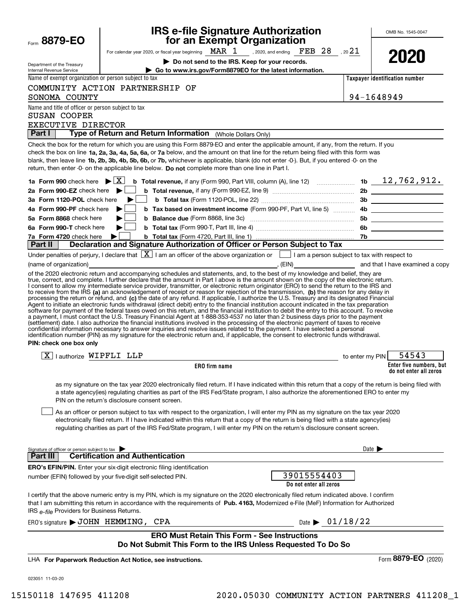| Form $8879 - EO$                                                    |                                                                                                                                                                                                                                                                                                                                                                                                                                                                                                                                                                                                                                                                                                                                                           | <b>IRS e-file Signature Authorization<br/>for an Exempt Organization</b>                                                                                                                                                                 |                                | OMB No. 1545-0047                                 |
|---------------------------------------------------------------------|-----------------------------------------------------------------------------------------------------------------------------------------------------------------------------------------------------------------------------------------------------------------------------------------------------------------------------------------------------------------------------------------------------------------------------------------------------------------------------------------------------------------------------------------------------------------------------------------------------------------------------------------------------------------------------------------------------------------------------------------------------------|------------------------------------------------------------------------------------------------------------------------------------------------------------------------------------------------------------------------------------------|--------------------------------|---------------------------------------------------|
|                                                                     | For calendar year 2020, or fiscal year beginning $\text{~MAR}$ $\text{~1}$ . 2020, and ending $\text{~FEB}$ $\text{~28}$ , 20 $\text{~21}$                                                                                                                                                                                                                                                                                                                                                                                                                                                                                                                                                                                                                |                                                                                                                                                                                                                                          |                                |                                                   |
|                                                                     |                                                                                                                                                                                                                                                                                                                                                                                                                                                                                                                                                                                                                                                                                                                                                           | Do not send to the IRS. Keep for your records.                                                                                                                                                                                           |                                | 2020                                              |
| Department of the Treasury<br>Internal Revenue Service              |                                                                                                                                                                                                                                                                                                                                                                                                                                                                                                                                                                                                                                                                                                                                                           | Go to www.irs.gov/Form8879EO for the latest information.                                                                                                                                                                                 |                                |                                                   |
| Name of exempt organization or person subject to tax                |                                                                                                                                                                                                                                                                                                                                                                                                                                                                                                                                                                                                                                                                                                                                                           |                                                                                                                                                                                                                                          |                                | Taxpaver identification number                    |
|                                                                     | COMMUNITY ACTION PARTNERSHIP OF                                                                                                                                                                                                                                                                                                                                                                                                                                                                                                                                                                                                                                                                                                                           |                                                                                                                                                                                                                                          |                                |                                                   |
| SONOMA COUNTY                                                       |                                                                                                                                                                                                                                                                                                                                                                                                                                                                                                                                                                                                                                                                                                                                                           |                                                                                                                                                                                                                                          |                                | 94-1648949                                        |
| Name and title of officer or person subject to tax                  |                                                                                                                                                                                                                                                                                                                                                                                                                                                                                                                                                                                                                                                                                                                                                           |                                                                                                                                                                                                                                          |                                |                                                   |
| SUSAN COOPER                                                        |                                                                                                                                                                                                                                                                                                                                                                                                                                                                                                                                                                                                                                                                                                                                                           |                                                                                                                                                                                                                                          |                                |                                                   |
| EXECUTIVE DIRECTOR                                                  |                                                                                                                                                                                                                                                                                                                                                                                                                                                                                                                                                                                                                                                                                                                                                           |                                                                                                                                                                                                                                          |                                |                                                   |
| <b>Part I</b>                                                       | Type of Return and Return Information (Whole Dollars Only)                                                                                                                                                                                                                                                                                                                                                                                                                                                                                                                                                                                                                                                                                                |                                                                                                                                                                                                                                          |                                |                                                   |
|                                                                     | Check the box for the return for which you are using this Form 8879-EO and enter the applicable amount, if any, from the return. If you<br>check the box on line 1a, 2a, 3a, 4a, 5a, 6a, or 7a below, and the amount on that line for the return being filed with this form was<br>blank, then leave line 1b, 2b, 3b, 4b, 5b, 6b, or 7b, whichever is applicable, blank (do not enter -0-). But, if you entered -0- on the<br>return, then enter -0- on the applicable line below. Do not complete more than one line in Part I.<br>1a Form 990 check here $\blacktriangleright \lfloor \underline{X} \rfloor$ b Total revenue, if any (Form 990, Part VIII, column (A), line 12)  1b $\underline{\hspace{1em}12}$ , 762, 912.                            |                                                                                                                                                                                                                                          |                                |                                                   |
| 2a Form 990-EZ check here $\blacktriangleright$                     |                                                                                                                                                                                                                                                                                                                                                                                                                                                                                                                                                                                                                                                                                                                                                           |                                                                                                                                                                                                                                          |                                |                                                   |
| 3a Form 1120-POL check here                                         | <b>Contract Contract</b><br>▶                                                                                                                                                                                                                                                                                                                                                                                                                                                                                                                                                                                                                                                                                                                             |                                                                                                                                                                                                                                          |                                |                                                   |
| 4a Form 990-PF check here                                           |                                                                                                                                                                                                                                                                                                                                                                                                                                                                                                                                                                                                                                                                                                                                                           |                                                                                                                                                                                                                                          |                                |                                                   |
| 5a Form 8868 check here                                             |                                                                                                                                                                                                                                                                                                                                                                                                                                                                                                                                                                                                                                                                                                                                                           | <b>b</b> Balance due (Form 8868, line 3c) <b>Manual</b> Contract Contract Contract Contract Contract Contract Contract Contract Contract Contract Contract Contract Contract Contract Contract Contract Contract Contract Contract Contr |                                | 5b _____________________                          |
| 6a Form 990-T check here                                            | ▶                                                                                                                                                                                                                                                                                                                                                                                                                                                                                                                                                                                                                                                                                                                                                         |                                                                                                                                                                                                                                          |                                |                                                   |
| 7a Form 4720 check here                                             |                                                                                                                                                                                                                                                                                                                                                                                                                                                                                                                                                                                                                                                                                                                                                           |                                                                                                                                                                                                                                          |                                |                                                   |
| Part II                                                             | Declaration and Signature Authorization of Officer or Person Subject to Tax                                                                                                                                                                                                                                                                                                                                                                                                                                                                                                                                                                                                                                                                               |                                                                                                                                                                                                                                          |                                |                                                   |
|                                                                     | Under penalties of perjury, I declare that $ \overline{\mathbf{X}} $ I am an officer of the above organization or $\Box$ I am a person subject to tax with respect to                                                                                                                                                                                                                                                                                                                                                                                                                                                                                                                                                                                     |                                                                                                                                                                                                                                          |                                |                                                   |
|                                                                     |                                                                                                                                                                                                                                                                                                                                                                                                                                                                                                                                                                                                                                                                                                                                                           |                                                                                                                                                                                                                                          |                                |                                                   |
| PIN: check one box only                                             | (settlement) date. I also authorize the financial institutions involved in the processing of the electronic payment of taxes to receive<br>confidential information necessary to answer inquiries and resolve issues related to the payment. I have selected a personal<br>identification number (PIN) as my signature for the electronic return and, if applicable, the consent to electronic funds withdrawal.                                                                                                                                                                                                                                                                                                                                          |                                                                                                                                                                                                                                          |                                |                                                   |
| $\boxed{\text{X}}$   authorize WIPFLI LLP                           |                                                                                                                                                                                                                                                                                                                                                                                                                                                                                                                                                                                                                                                                                                                                                           | <b>Example 1</b> September 2016 and to enter my PIN                                                                                                                                                                                      |                                | 54543                                             |
|                                                                     | <b>ERO</b> firm name                                                                                                                                                                                                                                                                                                                                                                                                                                                                                                                                                                                                                                                                                                                                      |                                                                                                                                                                                                                                          |                                | Enter five numbers, but<br>do not enter all zeros |
|                                                                     | as my signature on the tax year 2020 electronically filed return. If I have indicated within this return that a copy of the return is being filed with<br>a state agency(ies) regulating charities as part of the IRS Fed/State program, I also authorize the aforementioned ERO to enter my<br>PIN on the return's disclosure consent screen.<br>As an officer or person subject to tax with respect to the organization, I will enter my PIN as my signature on the tax year 2020<br>electronically filed return. If I have indicated within this return that a copy of the return is being filed with a state agency(ies)<br>regulating charities as part of the IRS Fed/State program, I will enter my PIN on the return's disclosure consent screen. |                                                                                                                                                                                                                                          |                                |                                                   |
| Signature of officer or person subject to tax $\blacktriangleright$ |                                                                                                                                                                                                                                                                                                                                                                                                                                                                                                                                                                                                                                                                                                                                                           |                                                                                                                                                                                                                                          |                                | Date $\blacktriangleright$                        |
| Part III                                                            | <b>Certification and Authentication</b>                                                                                                                                                                                                                                                                                                                                                                                                                                                                                                                                                                                                                                                                                                                   |                                                                                                                                                                                                                                          |                                |                                                   |
|                                                                     | <b>ERO's EFIN/PIN.</b> Enter your six-digit electronic filing identification                                                                                                                                                                                                                                                                                                                                                                                                                                                                                                                                                                                                                                                                              |                                                                                                                                                                                                                                          |                                |                                                   |
|                                                                     | number (EFIN) followed by your five-digit self-selected PIN.                                                                                                                                                                                                                                                                                                                                                                                                                                                                                                                                                                                                                                                                                              | 39015554403<br>Do not enter all zeros                                                                                                                                                                                                    |                                |                                                   |
| IRS e-file Providers for Business Returns.                          | I certify that the above numeric entry is my PIN, which is my signature on the 2020 electronically filed return indicated above. I confirm<br>that I am submitting this return in accordance with the requirements of Pub. 4163, Modernized e-File (MeF) Information for Authorized                                                                                                                                                                                                                                                                                                                                                                                                                                                                       |                                                                                                                                                                                                                                          |                                |                                                   |
| ERO's signature $\blacktriangleright$ JOHN HEMMING, CPA             |                                                                                                                                                                                                                                                                                                                                                                                                                                                                                                                                                                                                                                                                                                                                                           |                                                                                                                                                                                                                                          | Date $\triangleright$ 01/18/22 |                                                   |
|                                                                     |                                                                                                                                                                                                                                                                                                                                                                                                                                                                                                                                                                                                                                                                                                                                                           | <b>ERO Must Retain This Form - See Instructions</b>                                                                                                                                                                                      |                                |                                                   |
|                                                                     |                                                                                                                                                                                                                                                                                                                                                                                                                                                                                                                                                                                                                                                                                                                                                           | Do Not Submit This Form to the IRS Unless Requested To Do So                                                                                                                                                                             |                                |                                                   |
|                                                                     | LHA For Paperwork Reduction Act Notice, see instructions.                                                                                                                                                                                                                                                                                                                                                                                                                                                                                                                                                                                                                                                                                                 |                                                                                                                                                                                                                                          |                                | Form 8879-EO (2020)                               |
|                                                                     |                                                                                                                                                                                                                                                                                                                                                                                                                                                                                                                                                                                                                                                                                                                                                           |                                                                                                                                                                                                                                          |                                |                                                   |
| 023051 11-03-20                                                     |                                                                                                                                                                                                                                                                                                                                                                                                                                                                                                                                                                                                                                                                                                                                                           |                                                                                                                                                                                                                                          |                                |                                                   |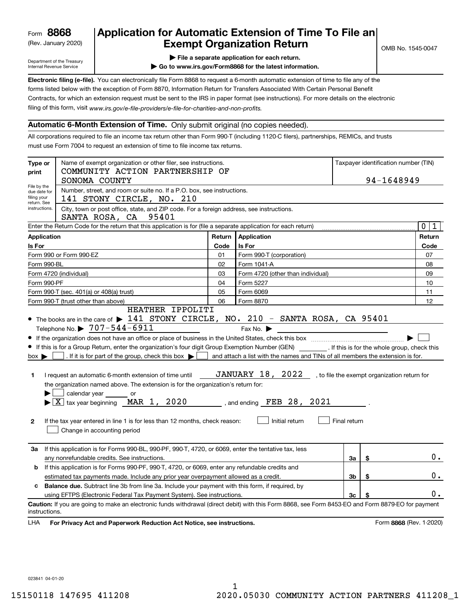(Rev. January 2020)

### **Application for Automatic Extension of Time To File an Exempt Organization Return**

Department of the Treasury Internal Revenue Service

**| File a separate application for each return.**

**| Go to www.irs.gov/Form8868 for the latest information.**

**Electronic filing (e-file).**  You can electronically file Form 8868 to request a 6-month automatic extension of time to file any of the filing of this form, visit www.irs.gov/e-file-providers/e-file-for-charities-and-non-profits. forms listed below with the exception of Form 8870, Information Return for Transfers Associated With Certain Personal Benefit Contracts, for which an extension request must be sent to the IRS in paper format (see instructions). For more details on the electronic

#### **Automatic 6-Month Extension of Time.** Only submit original (no copies needed).

All corporations required to file an income tax return other than Form 990-T (including 1120-C filers), partnerships, REMICs, and trusts must use Form 7004 to request an extension of time to file income tax returns.

| Type or<br>print                                                                                      | Name of exempt organization or other filer, see instructions.<br>COMMUNITY ACTION PARTNERSHIP OF                                                                                                                                                                                                                                                                                                                                                                                                                                                                                                                                                           |            |                                                                                                                                                                                                          | Taxpayer identification number (TIN) |                                              |                         |  |  |  |
|-------------------------------------------------------------------------------------------------------|------------------------------------------------------------------------------------------------------------------------------------------------------------------------------------------------------------------------------------------------------------------------------------------------------------------------------------------------------------------------------------------------------------------------------------------------------------------------------------------------------------------------------------------------------------------------------------------------------------------------------------------------------------|------------|----------------------------------------------------------------------------------------------------------------------------------------------------------------------------------------------------------|--------------------------------------|----------------------------------------------|-------------------------|--|--|--|
|                                                                                                       | SONOMA COUNTY                                                                                                                                                                                                                                                                                                                                                                                                                                                                                                                                                                                                                                              | 94-1648949 |                                                                                                                                                                                                          |                                      |                                              |                         |  |  |  |
| File by the<br>due date for<br>filing your<br>return. See                                             | Number, street, and room or suite no. If a P.O. box, see instructions.<br>141 STONY CIRCLE, NO. 210                                                                                                                                                                                                                                                                                                                                                                                                                                                                                                                                                        |            |                                                                                                                                                                                                          |                                      |                                              |                         |  |  |  |
|                                                                                                       | City, town or post office, state, and ZIP code. For a foreign address, see instructions.<br>instructions.<br>SANTA ROSA, CA 95401                                                                                                                                                                                                                                                                                                                                                                                                                                                                                                                          |            |                                                                                                                                                                                                          |                                      |                                              |                         |  |  |  |
|                                                                                                       | Enter the Return Code for the return that this application is for (file a separate application for each return)                                                                                                                                                                                                                                                                                                                                                                                                                                                                                                                                            |            |                                                                                                                                                                                                          |                                      | 0 <sup>1</sup><br>1                          |                         |  |  |  |
| <b>Application</b>                                                                                    |                                                                                                                                                                                                                                                                                                                                                                                                                                                                                                                                                                                                                                                            | Return     | Application                                                                                                                                                                                              |                                      |                                              | Return                  |  |  |  |
| Is For                                                                                                |                                                                                                                                                                                                                                                                                                                                                                                                                                                                                                                                                                                                                                                            | Code       | <b>Is For</b>                                                                                                                                                                                            |                                      |                                              | Code                    |  |  |  |
|                                                                                                       | Form 990 or Form 990-EZ                                                                                                                                                                                                                                                                                                                                                                                                                                                                                                                                                                                                                                    | 01         | Form 990-T (corporation)                                                                                                                                                                                 |                                      |                                              | 07                      |  |  |  |
| Form 990-BL                                                                                           |                                                                                                                                                                                                                                                                                                                                                                                                                                                                                                                                                                                                                                                            | 02         | Form 1041-A                                                                                                                                                                                              |                                      |                                              | 08                      |  |  |  |
|                                                                                                       | Form 4720 (individual)                                                                                                                                                                                                                                                                                                                                                                                                                                                                                                                                                                                                                                     | 03         | Form 4720 (other than individual)                                                                                                                                                                        |                                      |                                              | 09                      |  |  |  |
| Form 990-PF                                                                                           |                                                                                                                                                                                                                                                                                                                                                                                                                                                                                                                                                                                                                                                            | 04         | Form 5227                                                                                                                                                                                                |                                      |                                              | 10                      |  |  |  |
|                                                                                                       | Form 990-T (sec. 401(a) or 408(a) trust)                                                                                                                                                                                                                                                                                                                                                                                                                                                                                                                                                                                                                   | 05         | Form 6069                                                                                                                                                                                                |                                      |                                              | 11                      |  |  |  |
|                                                                                                       | Form 990-T (trust other than above)                                                                                                                                                                                                                                                                                                                                                                                                                                                                                                                                                                                                                        | 06         | Form 8870                                                                                                                                                                                                |                                      |                                              | 12                      |  |  |  |
|                                                                                                       | HEATHER IPPOLITI<br>• The books are in the care of $\blacktriangleright$ 141 STONY CIRCLE, NO. 210 - SANTA ROSA, CA 95401                                                                                                                                                                                                                                                                                                                                                                                                                                                                                                                                  |            |                                                                                                                                                                                                          |                                      |                                              |                         |  |  |  |
| $box \blacktriangleright$<br>1<br>2                                                                   | Telephone No. $\triangleright$ 707-544-6911<br>If this is for a Group Return, enter the organization's four digit Group Exemption Number (GEN) [If this is for the whole group, check this<br>. If it is for part of the group, check this box $\blacktriangleright$<br>I request an automatic 6-month extension of time until<br>the organization named above. The extension is for the organization's return for:<br>calendar year ________ or<br>$\blacktriangleright$ $\boxed{\text{X}}$ tax year beginning $\boxed{\text{MAR}}$ 1, 2020<br>If the tax year entered in line 1 is for less than 12 months, check reason:<br>Change in accounting period |            | Fax No. $\blacktriangleright$<br>and attach a list with the names and TINs of all members the extension is for.<br><b>JANUARY 18, 2022</b><br>, and ending $\,$ FEB $\,$ 28, $\,$ 2021<br>Initial return | Final return                         | , to file the exempt organization return for |                         |  |  |  |
| За                                                                                                    | If this application is for Forms 990-BL, 990-PF, 990-T, 4720, or 6069, enter the tentative tax, less                                                                                                                                                                                                                                                                                                                                                                                                                                                                                                                                                       |            |                                                                                                                                                                                                          |                                      |                                              |                         |  |  |  |
|                                                                                                       | any nonrefundable credits. See instructions.                                                                                                                                                                                                                                                                                                                                                                                                                                                                                                                                                                                                               |            |                                                                                                                                                                                                          | За                                   | \$                                           | 0.                      |  |  |  |
| b                                                                                                     | If this application is for Forms 990-PF, 990-T, 4720, or 6069, enter any refundable credits and                                                                                                                                                                                                                                                                                                                                                                                                                                                                                                                                                            |            |                                                                                                                                                                                                          |                                      |                                              |                         |  |  |  |
| 3b<br>\$<br>estimated tax payments made. Include any prior year overpayment allowed as a credit.      |                                                                                                                                                                                                                                                                                                                                                                                                                                                                                                                                                                                                                                                            |            |                                                                                                                                                                                                          |                                      |                                              | $0$ .                   |  |  |  |
| Balance due. Subtract line 3b from line 3a. Include your payment with this form, if required, by<br>c |                                                                                                                                                                                                                                                                                                                                                                                                                                                                                                                                                                                                                                                            |            |                                                                                                                                                                                                          |                                      |                                              |                         |  |  |  |
|                                                                                                       | using EFTPS (Electronic Federal Tax Payment System). See instructions.                                                                                                                                                                                                                                                                                                                                                                                                                                                                                                                                                                                     |            |                                                                                                                                                                                                          | 3 <sub>c</sub>                       |                                              | 0.                      |  |  |  |
| instructions.                                                                                         | Caution: If you are going to make an electronic funds withdrawal (direct debit) with this Form 8868, see Form 8453-EO and Form 8879-EO for payment                                                                                                                                                                                                                                                                                                                                                                                                                                                                                                         |            |                                                                                                                                                                                                          |                                      |                                              |                         |  |  |  |
| LHA                                                                                                   | For Privacy Act and Paperwork Reduction Act Notice, see instructions.                                                                                                                                                                                                                                                                                                                                                                                                                                                                                                                                                                                      |            |                                                                                                                                                                                                          |                                      |                                              | Form 8868 (Rev. 1-2020) |  |  |  |

023841 04-01-20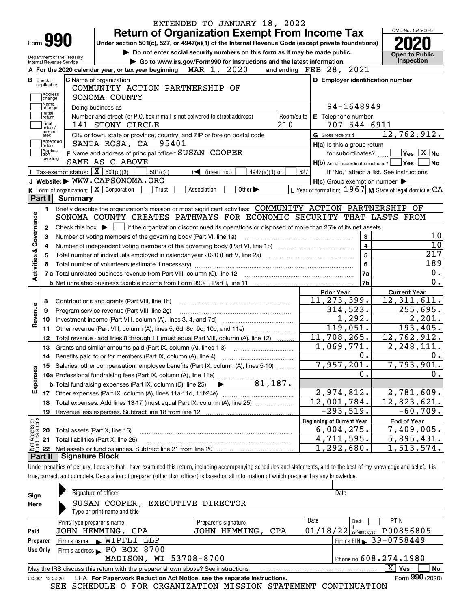|                                                        |                                      | EXTENDED TO JANUARY 18, 2022                                                                                                                               |                                                             | OMB No. 1545-0047                                                                                                |
|--------------------------------------------------------|--------------------------------------|------------------------------------------------------------------------------------------------------------------------------------------------------------|-------------------------------------------------------------|------------------------------------------------------------------------------------------------------------------|
| Form <b>990</b>                                        |                                      | <b>Return of Organization Exempt From Income Tax</b><br>Under section 501(c), 527, or 4947(a)(1) of the Internal Revenue Code (except private foundations) |                                                             |                                                                                                                  |
|                                                        |                                      | Do not enter social security numbers on this form as it may be made public.                                                                                |                                                             |                                                                                                                  |
| Department of the Treasury<br>Internal Revenue Service |                                      | Go to www.irs.gov/Form990 for instructions and the latest information.                                                                                     |                                                             | <b>Open to Public</b><br>Inspection                                                                              |
|                                                        |                                      | MAR 1,<br>2020<br>A For the 2020 calendar year, or tax year beginning                                                                                      | 2021<br>and ending $\,$ FEB $\,$ 28,                        |                                                                                                                  |
| <b>B</b> Check if                                      |                                      | <b>C</b> Name of organization                                                                                                                              | D Employer identification number                            |                                                                                                                  |
| applicable:                                            |                                      | COMMUNITY ACTION PARTNERSHIP OF                                                                                                                            |                                                             |                                                                                                                  |
| Address<br>change                                      |                                      | SONOMA COUNTY                                                                                                                                              |                                                             |                                                                                                                  |
| Name<br>change                                         |                                      | Doing business as                                                                                                                                          | 94-1648949                                                  |                                                                                                                  |
| Initial<br> return                                     |                                      | Number and street (or P.O. box if mail is not delivered to street address)<br>Room/suite                                                                   | E Telephone number                                          |                                                                                                                  |
| Final<br>return/                                       |                                      | 210<br>141 STONY CIRCLE                                                                                                                                    | $707 - 544 - 6911$                                          |                                                                                                                  |
| termin-<br>ated                                        |                                      | City or town, state or province, country, and ZIP or foreign postal code                                                                                   | G Gross receipts \$                                         | 12,762,912.                                                                                                      |
| Amended<br> return                                     |                                      | 95401<br>SANTA ROSA, CA                                                                                                                                    | H(a) Is this a group return                                 |                                                                                                                  |
| Applica-<br>dtion                                      |                                      | F Name and address of principal officer: SUSAN COOPER                                                                                                      | for subordinates?                                           | $\sqrt{}$ Yes $\sqrt{}$ X $\sqrt{}$ No                                                                           |
| pending                                                |                                      | SAME AS C ABOVE                                                                                                                                            | $H(b)$ Are all subordinates included?                       | <b>Yes</b>                                                                                                       |
|                                                        |                                      | Tax-exempt status: $\boxed{\mathbf{X}}$ 501(c)(3)<br>$501(c)$ (<br>$\sqrt{\frac{2}{1}}$ (insert no.)<br>4947(a)(1) or                                      | 527                                                         | If "No," attach a list. See instructions                                                                         |
|                                                        |                                      | J Website: WWW.CAPSONOMA.ORG                                                                                                                               | $H(c)$ Group exemption number $\blacktriangleright$         |                                                                                                                  |
|                                                        |                                      | K Form of organization: X Corporation<br>Trust<br>Association<br>Other $\blacktriangleright$                                                               | L Year of formation: $1967$ M State of legal domicile: $CA$ |                                                                                                                  |
| Part I                                                 | <b>Summary</b>                       |                                                                                                                                                            |                                                             |                                                                                                                  |
| 1.                                                     |                                      | Briefly describe the organization's mission or most significant activities: COMMUNITY ACTION PARTNERSHIP OF                                                |                                                             |                                                                                                                  |
|                                                        |                                      | SONOMA COUNTY CREATES PATHWAYS FOR ECONOMIC SECURITY THAT LASTS FROM                                                                                       |                                                             |                                                                                                                  |
| 2                                                      | Check this box $\blacktriangleright$ | if the organization discontinued its operations or disposed of more than 25% of its net assets.                                                            |                                                             |                                                                                                                  |
| з                                                      |                                      | Number of voting members of the governing body (Part VI, line 1a)                                                                                          | 3                                                           |                                                                                                                  |
| 4                                                      |                                      |                                                                                                                                                            | $\overline{4}$                                              |                                                                                                                  |
| 5                                                      |                                      |                                                                                                                                                            | $\overline{5}$                                              | 217                                                                                                              |
|                                                        |                                      |                                                                                                                                                            | $6\phantom{a}$                                              | 189                                                                                                              |
| Activities & Governance                                |                                      |                                                                                                                                                            | 7a                                                          |                                                                                                                  |
|                                                        |                                      | <b>b</b> Net unrelated business taxable income from Form 990-T, Part I, line 11 <b>manual contract and the UL</b>                                          | 7b                                                          |                                                                                                                  |
|                                                        |                                      |                                                                                                                                                            | <b>Prior Year</b>                                           | <b>Current Year</b>                                                                                              |
| 8                                                      |                                      | Contributions and grants (Part VIII, line 1h)                                                                                                              | 11, 273, 399.                                               | $\overline{12}$ , 311, 611.                                                                                      |
| Revenue<br>9                                           |                                      | Program service revenue (Part VIII, line 2g)                                                                                                               | 314,523.                                                    | 255,695.                                                                                                         |
| 10                                                     |                                      |                                                                                                                                                            | 1,292.                                                      | 2,201.                                                                                                           |
| 11                                                     |                                      | Other revenue (Part VIII, column (A), lines 5, 6d, 8c, 9c, 10c, and 11e)                                                                                   | 119,051.                                                    | 193,405.                                                                                                         |
|                                                        |                                      |                                                                                                                                                            |                                                             |                                                                                                                  |
| 12                                                     |                                      | Total revenue - add lines 8 through 11 (must equal Part VIII, column (A), line 12)                                                                         | 11,708,265.                                                 |                                                                                                                  |
| 13                                                     |                                      | Grants and similar amounts paid (Part IX, column (A), lines 1-3)                                                                                           | 1,069,771.                                                  |                                                                                                                  |
|                                                        |                                      | 14 Benefits paid to or for members (Part IX, column (A), line 4)                                                                                           | 0.                                                          |                                                                                                                  |
| 15                                                     |                                      | Salaries, other compensation, employee benefits (Part IX, column (A), lines 5-10)                                                                          | 7,957,201.                                                  |                                                                                                                  |
|                                                        |                                      |                                                                                                                                                            | 0.                                                          |                                                                                                                  |
|                                                        |                                      | 81,187.<br><b>b</b> Total fundraising expenses (Part IX, column (D), line 25)                                                                              |                                                             |                                                                                                                  |
| 17                                                     |                                      |                                                                                                                                                            | 2,974,812.                                                  |                                                                                                                  |
| 18                                                     |                                      | Total expenses. Add lines 13-17 (must equal Part IX, column (A), line 25)                                                                                  | 12,001,784.                                                 |                                                                                                                  |
| 19                                                     |                                      |                                                                                                                                                            | $\overline{-293}$ , 519.                                    |                                                                                                                  |
|                                                        |                                      |                                                                                                                                                            | <b>Beginning of Current Year</b>                            | <b>End of Year</b>                                                                                               |
| 20                                                     |                                      | Total assets (Part X, line 16)                                                                                                                             | 6,004,275.                                                  |                                                                                                                  |
| 21                                                     |                                      | Total liabilities (Part X, line 26)                                                                                                                        | 4,711,595.                                                  | 12,762,912.<br>2, 248, 111.<br>7,793,901.<br>2,781,609.<br>12,823,621.<br>$-60,709.$<br>7,409,005.<br>5,895,431. |
| Expenses<br>Net Assets or<br>Fund Balances<br>22       |                                      |                                                                                                                                                            | 1,292,680.                                                  | 1,513,574.                                                                                                       |

| Sign            | Signature of officer                                                            |                      | Date                                       |  |  |  |  |  |  |  |  |  |
|-----------------|---------------------------------------------------------------------------------|----------------------|--------------------------------------------|--|--|--|--|--|--|--|--|--|
| Here            | SUSAN COOPER,                                                                   | EXECUTIVE DIRECTOR   |                                            |  |  |  |  |  |  |  |  |  |
|                 | Type or print name and title                                                    |                      |                                            |  |  |  |  |  |  |  |  |  |
|                 | Print/Type preparer's name                                                      | Preparer's signature | Date<br><b>PTIN</b><br>Check               |  |  |  |  |  |  |  |  |  |
| Paid            | JOHN HEMMING, CPA                                                               | JOHN HEMMING, CPA    | P00856805<br>$01/18/22$ self-employed      |  |  |  |  |  |  |  |  |  |
| Preparer        | WIPFLI LLP<br>Firm's name                                                       |                      | $1$ Firm's EIN $\triangleright$ 39-0758449 |  |  |  |  |  |  |  |  |  |
| Use Only        | Firm's address PO BOX 8700                                                      |                      |                                            |  |  |  |  |  |  |  |  |  |
|                 | MADISON, WI 53708-8700<br>Phone no. $608.274.1980$                              |                      |                                            |  |  |  |  |  |  |  |  |  |
|                 | May the IRS discuss this return with the preparer shown above? See instructions |                      | $\mathbf{X}$<br>No<br>Yes                  |  |  |  |  |  |  |  |  |  |
| 032001 12-23-20 | LHA For Paperwork Reduction Act Notice, see the separate instructions.          |                      | Form 990 (2020)                            |  |  |  |  |  |  |  |  |  |

SEE SCHEDULE O FOR ORGANIZATION MISSION STATEMENT CONTINUATION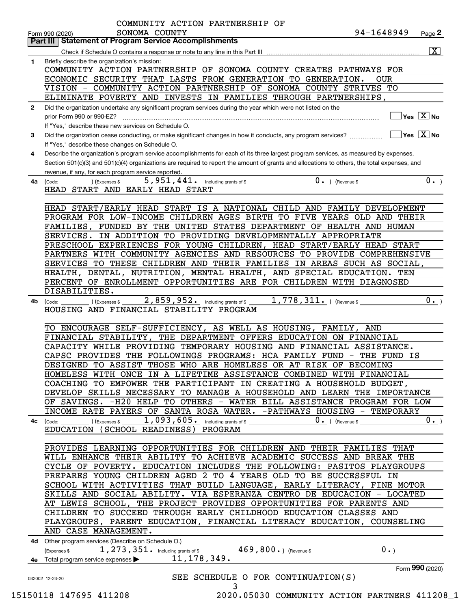|              | 94-1648949<br>SONOMA COUNTY<br>Page 2<br>Form 990 (2020)<br><b>Part III   Statement of Program Service Accomplishments</b>                                                                                  |
|--------------|-------------------------------------------------------------------------------------------------------------------------------------------------------------------------------------------------------------|
|              | $\overline{\mathbf{X}}$                                                                                                                                                                                     |
| 1.           | Briefly describe the organization's mission:                                                                                                                                                                |
|              | COMMUNITY ACTION PARTNERSHIP OF SONOMA COUNTY CREATES PATHWAYS FOR                                                                                                                                          |
|              | ECONOMIC SECURITY THAT LASTS FROM GENERATION TO GENERATION.<br><b>OUR</b>                                                                                                                                   |
|              | VISION - COMMUNITY ACTION PARTNERSHIP OF SONOMA COUNTY STRIVES TO                                                                                                                                           |
|              | ELIMINATE POVERTY AND INVESTS IN FAMILIES THROUGH PARTNERSHIPS,                                                                                                                                             |
| $\mathbf{2}$ | Did the organization undertake any significant program services during the year which were not listed on the                                                                                                |
|              | $]$ Yes $[\overline{\mathrm{X}}]$ No<br>prior Form 990 or 990-EZ?                                                                                                                                           |
|              | If "Yes," describe these new services on Schedule O.                                                                                                                                                        |
| 3            | $\boxed{\phantom{1}}$ Yes $\boxed{\text{X}}$ No<br>Did the organization cease conducting, or make significant changes in how it conducts, any program services?                                             |
|              | If "Yes," describe these changes on Schedule O.                                                                                                                                                             |
| 4            | Describe the organization's program service accomplishments for each of its three largest program services, as measured by expenses.                                                                        |
|              | Section 501(c)(3) and 501(c)(4) organizations are required to report the amount of grants and allocations to others, the total expenses, and                                                                |
|              | revenue, if any, for each program service reported.                                                                                                                                                         |
| 4a           | 5,951,441. including grants of \$ 0. (Revenue \$<br>$\overline{0}$ .<br>$\sqrt{2}$ (Expenses \$ $\sqrt{2}$<br>(Code:                                                                                        |
|              | HEAD START AND EARLY HEAD START                                                                                                                                                                             |
|              |                                                                                                                                                                                                             |
|              | HEAD START/EARLY HEAD START IS A NATIONAL CHILD AND FAMILY DEVELOPMENT                                                                                                                                      |
|              | PROGRAM FOR LOW-INCOME CHILDREN AGES BIRTH TO FIVE YEARS OLD AND THEIR                                                                                                                                      |
|              | FAMILIES, FUNDED BY THE UNITED STATES DEPARTMENT OF HEALTH AND HUMAN                                                                                                                                        |
|              | SERVICES. IN ADDITION TO PROVIDING DEVELOPMENTALLY APPROPRIATE                                                                                                                                              |
|              | PRESCHOOL EXPERIENCES FOR YOUNG CHILDREN, HEAD START/EARLY HEAD START                                                                                                                                       |
|              | PARTNERS WITH COMMUNITY AGENCIES AND RESOURCES TO PROVIDE COMPREHENSIVE                                                                                                                                     |
|              | SERVICES TO THESE CHILDREN AND THEIR FAMILIES IN AREAS SUCH AS SOCIAL,                                                                                                                                      |
|              | HEALTH, DENTAL, NUTRITION, MENTAL HEALTH, AND SPECIAL EDUCATION. TEN                                                                                                                                        |
|              | PERCENT OF ENROLLMENT OPPORTUNITIES ARE FOR CHILDREN WITH DIAGNOSED                                                                                                                                         |
|              | DISABILITIES.                                                                                                                                                                                               |
|              | 0.<br>$2$ , $859$ , $952$ . $\hbox{\scriptsize\begin{array}{c} \text{including grants of $\$$} \end{array}}\, 1$ , $778$ , $311$ . $\hbox{\scriptsize\begin{array}{c} \text{ (Revenue $\$$} \end{array}}\,$ |
| 4b           | $($ Expenses \$ $\overline{\phantom{a}}$<br>(Code:<br>HOUSING AND FINANCIAL STABILITY PROGRAM                                                                                                               |
|              |                                                                                                                                                                                                             |
|              | TO ENCOURAGE SELF-SUFFICIENCY, AS WELL AS HOUSING, FAMILY, AND                                                                                                                                              |
|              | FINANCIAL STABILITY, THE DEPARTMENT OFFERS EDUCATION ON FINANCIAL                                                                                                                                           |
|              | CAPACITY WHILE PROVIDING TEMPORARY HOUSING AND FINANCIAL ASSISTANCE.                                                                                                                                        |
|              | CAPSC PROVIDES THE FOLLOWINGS PROGRAMS: HCA FAMILY FUND - THE FUND IS                                                                                                                                       |
|              | DESIGNED TO ASSIST THOSE WHO ARE HOMELESS OR AT RISK OF BECOMING                                                                                                                                            |
|              | HOMELESS WITH ONCE IN A LIFETIME ASSISTANCE COMBINED WITH FINANCIAL                                                                                                                                         |
|              | COACHING TO EMPOWER THE PARTICIPANT IN CREATING A HOUSEHOLD BUDGET,                                                                                                                                         |
|              | DEVELOP SKILLS NECESSARY TO MANAGE A HOUSEHOLD AND LEARN THE IMPORTANCE                                                                                                                                     |
|              | OF SAVINGS. - H20 HELP TO OTHERS - WATER BILL ASSISTANCE PROGRAM FOR LOW                                                                                                                                    |
|              | INCOME RATE PAYERS OF SANTA ROSA WATER. -PATHWAYS HOUSING - TEMPORARY                                                                                                                                       |
|              | 1,093,605. including grants of \$<br>$0 \cdot$<br>$0 \cdot$ ) (Revenue \$<br>) (Expenses \$                                                                                                                 |
|              | 4c (Code:<br>EDUCATION (SCHOOL READINESS) PROGRAM                                                                                                                                                           |
|              |                                                                                                                                                                                                             |
|              | PROVIDES LEARNING OPPORTUNITIES FOR CHILDREN AND THEIR FAMILIES THAT                                                                                                                                        |
|              | WILL ENHANCE THEIR ABILITY TO ACHIEVE ACADEMIC SUCCESS AND BREAK THE                                                                                                                                        |
|              | CYCLE OF POVERTY. EDUCATION INCLUDES THE FOLLOWING: PASITOS PLAYGROUPS                                                                                                                                      |
|              | PREPARES YOUNG CHILDREN AGED 2 TO 4 YEARS OLD TO BE SUCCESSFUL IN                                                                                                                                           |
|              | SCHOOL WITH ACTIVITIES THAT BUILD LANGUAGE, EARLY LITERACY, FINE MOTOR                                                                                                                                      |
|              | SKILLS AND SOCIAL ABILITY. VIA ESPERANZA CENTRO DE EDUCACION - LOCATED                                                                                                                                      |
|              | AT LEWIS SCHOOL, THE PROJECT PROVIDES OPPORTUNITIES FOR PARENTS AND                                                                                                                                         |
|              | CHILDREN TO SUCCEED THROUGH EARLY CHILDHOOD EDUCATION CLASSES AND                                                                                                                                           |
|              | PLAYGROUPS, PARENT EDUCATION, FINANCIAL LITERACY EDUCATION, COUNSELING                                                                                                                                      |
|              |                                                                                                                                                                                                             |
|              | AND CASE MANAGEMENT.                                                                                                                                                                                        |
|              | 4d Other program services (Describe on Schedule O.)                                                                                                                                                         |
|              | 469,800.) (Revenue \$<br>$0 \cdot$<br>$1,273,351$ . including grants of \$<br>(Expenses \$                                                                                                                  |
|              | 11, 178, 349.<br>Total program service expenses<br>Form 990 (2020)                                                                                                                                          |
|              |                                                                                                                                                                                                             |
|              | SEE SCHEDULE O FOR CONTINUATION(S)                                                                                                                                                                          |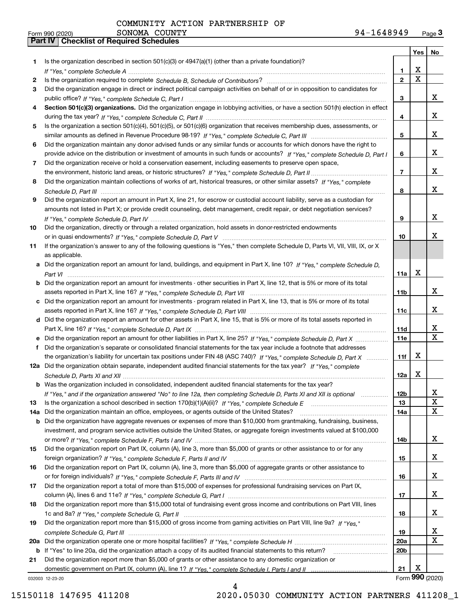|     |                                                                                                                                  |                 | Yes                     | No              |
|-----|----------------------------------------------------------------------------------------------------------------------------------|-----------------|-------------------------|-----------------|
| 1   | Is the organization described in section $501(c)(3)$ or $4947(a)(1)$ (other than a private foundation)?                          |                 |                         |                 |
|     |                                                                                                                                  | 1.              | х                       |                 |
| 2   |                                                                                                                                  | $\mathbf{2}$    | $\overline{\mathbf{x}}$ |                 |
| 3   | Did the organization engage in direct or indirect political campaign activities on behalf of or in opposition to candidates for  |                 |                         |                 |
|     |                                                                                                                                  | 3               |                         | x               |
| 4   | Section 501(c)(3) organizations. Did the organization engage in lobbying activities, or have a section 501(h) election in effect |                 |                         |                 |
|     |                                                                                                                                  | 4               |                         | x               |
| 5   | Is the organization a section 501(c)(4), 501(c)(5), or 501(c)(6) organization that receives membership dues, assessments, or     |                 |                         |                 |
|     |                                                                                                                                  | 5               |                         | x               |
| 6   | Did the organization maintain any donor advised funds or any similar funds or accounts for which donors have the right to        |                 |                         |                 |
|     | provide advice on the distribution or investment of amounts in such funds or accounts? If "Yes," complete Schedule D, Part I     | 6               |                         | x               |
| 7   | Did the organization receive or hold a conservation easement, including easements to preserve open space,                        |                 |                         |                 |
|     |                                                                                                                                  | $\overline{7}$  |                         | x               |
| 8   | Did the organization maintain collections of works of art, historical treasures, or other similar assets? If "Yes," complete     |                 |                         |                 |
|     |                                                                                                                                  | 8               |                         | x               |
| 9   | Did the organization report an amount in Part X, line 21, for escrow or custodial account liability, serve as a custodian for    |                 |                         |                 |
|     | amounts not listed in Part X; or provide credit counseling, debt management, credit repair, or debt negotiation services?        |                 |                         |                 |
|     |                                                                                                                                  | 9               |                         | x               |
| 10  | Did the organization, directly or through a related organization, hold assets in donor-restricted endowments                     |                 |                         |                 |
|     |                                                                                                                                  | 10              |                         | x               |
| 11  | If the organization's answer to any of the following questions is "Yes," then complete Schedule D, Parts VI, VII, VIII, IX, or X |                 |                         |                 |
|     | as applicable.                                                                                                                   |                 |                         |                 |
| а   | Did the organization report an amount for land, buildings, and equipment in Part X, line 10? If "Yes," complete Schedule D.      |                 |                         |                 |
|     |                                                                                                                                  | 11a             | х                       |                 |
|     | Did the organization report an amount for investments - other securities in Part X, line 12, that is 5% or more of its total     |                 |                         | x               |
|     |                                                                                                                                  | 11b             |                         |                 |
| c   | Did the organization report an amount for investments - program related in Part X, line 13, that is 5% or more of its total      | 11c             |                         | x               |
|     | d Did the organization report an amount for other assets in Part X, line 15, that is 5% or more of its total assets reported in  |                 |                         |                 |
|     |                                                                                                                                  | 11d             |                         | x               |
|     |                                                                                                                                  | <b>11e</b>      |                         | $\mathbf X$     |
| f   | Did the organization's separate or consolidated financial statements for the tax year include a footnote that addresses          |                 |                         |                 |
|     | the organization's liability for uncertain tax positions under FIN 48 (ASC 740)? If "Yes," complete Schedule D, Part X           | 11f             | х                       |                 |
|     | 12a Did the organization obtain separate, independent audited financial statements for the tax year? If "Yes," complete          |                 |                         |                 |
|     |                                                                                                                                  | 12a             | x                       |                 |
|     | <b>b</b> Was the organization included in consolidated, independent audited financial statements for the tax year?               |                 |                         |                 |
|     | If "Yes," and if the organization answered "No" to line 12a, then completing Schedule D, Parts XI and XII is optional            | 12 <sub>b</sub> |                         | 47              |
| 13  | Is the organization a school described in section $170(b)(1)(A)(ii)?$ If "Yes," complete Schedule E                              | 13              |                         | X               |
| 14a | Did the organization maintain an office, employees, or agents outside of the United States?                                      | 14a             |                         | X               |
| b   | Did the organization have aggregate revenues or expenses of more than \$10,000 from grantmaking, fundraising, business,          |                 |                         |                 |
|     | investment, and program service activities outside the United States, or aggregate foreign investments valued at \$100,000       |                 |                         |                 |
|     |                                                                                                                                  | 14b             |                         | x               |
| 15  | Did the organization report on Part IX, column (A), line 3, more than \$5,000 of grants or other assistance to or for any        |                 |                         |                 |
|     |                                                                                                                                  | 15              |                         | x               |
| 16  | Did the organization report on Part IX, column (A), line 3, more than \$5,000 of aggregate grants or other assistance to         |                 |                         |                 |
|     |                                                                                                                                  | 16              |                         | x               |
| 17  | Did the organization report a total of more than \$15,000 of expenses for professional fundraising services on Part IX,          |                 |                         |                 |
|     |                                                                                                                                  | 17              |                         | x               |
| 18  | Did the organization report more than \$15,000 total of fundraising event gross income and contributions on Part VIII, lines     |                 |                         |                 |
|     |                                                                                                                                  | 18              |                         | x               |
| 19  | Did the organization report more than \$15,000 of gross income from gaming activities on Part VIII, line 9a? If "Yes."           |                 |                         |                 |
|     |                                                                                                                                  | 19              |                         | X               |
| 20a |                                                                                                                                  | 20a             |                         | X               |
|     | b If "Yes" to line 20a, did the organization attach a copy of its audited financial statements to this return?                   | 20b             |                         |                 |
| 21  | Did the organization report more than \$5,000 of grants or other assistance to any domestic organization or                      |                 |                         |                 |
|     |                                                                                                                                  | 21              | х                       |                 |
|     | 032003 12-23-20                                                                                                                  |                 |                         | Form 990 (2020) |

4

032003 12-23-20

15150118 147695 411208 2020.05030 COMMUNITY ACTION PARTNERS 411208\_1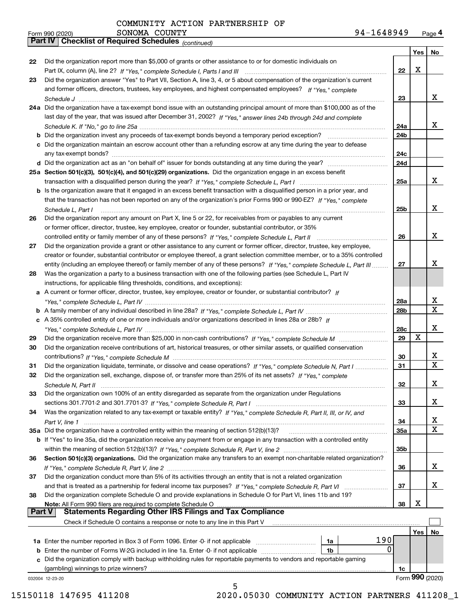*(continued)*

|               |                                                                                                                              |                 | Yes | No                      |
|---------------|------------------------------------------------------------------------------------------------------------------------------|-----------------|-----|-------------------------|
| 22            | Did the organization report more than \$5,000 of grants or other assistance to or for domestic individuals on                |                 |     |                         |
|               |                                                                                                                              | 22              | х   |                         |
| 23            | Did the organization answer "Yes" to Part VII, Section A, line 3, 4, or 5 about compensation of the organization's current   |                 |     |                         |
|               | and former officers, directors, trustees, key employees, and highest compensated employees? If "Yes." complete               |                 |     |                         |
|               |                                                                                                                              | 23              |     | x                       |
|               | 24a Did the organization have a tax-exempt bond issue with an outstanding principal amount of more than \$100,000 as of the  |                 |     |                         |
|               | last day of the year, that was issued after December 31, 2002? If "Yes," answer lines 24b through 24d and complete           |                 |     |                         |
|               |                                                                                                                              | 24a             |     | x                       |
|               | <b>b</b> Did the organization invest any proceeds of tax-exempt bonds beyond a temporary period exception?                   | 24 <sub>b</sub> |     |                         |
|               | c Did the organization maintain an escrow account other than a refunding escrow at any time during the year to defease       |                 |     |                         |
|               |                                                                                                                              | 24c             |     |                         |
|               |                                                                                                                              | 24d             |     |                         |
|               | 25a Section 501(c)(3), 501(c)(4), and 501(c)(29) organizations. Did the organization engage in an excess benefit             |                 |     |                         |
|               |                                                                                                                              | 25a             |     | x                       |
|               | b Is the organization aware that it engaged in an excess benefit transaction with a disqualified person in a prior year, and |                 |     |                         |
|               | that the transaction has not been reported on any of the organization's prior Forms 990 or 990-EZ? If "Yes," complete        |                 |     |                         |
|               |                                                                                                                              |                 |     | x                       |
|               | Schedule L. Part I                                                                                                           | 25b             |     |                         |
| 26            | Did the organization report any amount on Part X, line 5 or 22, for receivables from or payables to any current              |                 |     |                         |
|               | or former officer, director, trustee, key employee, creator or founder, substantial contributor, or 35%                      |                 |     |                         |
|               | controlled entity or family member of any of these persons? If "Yes," complete Schedule L, Part II                           | 26              |     | x                       |
| 27            | Did the organization provide a grant or other assistance to any current or former officer, director, trustee, key employee,  |                 |     |                         |
|               | creator or founder, substantial contributor or employee thereof, a grant selection committee member, or to a 35% controlled  |                 |     |                         |
|               | entity (including an employee thereof) or family member of any of these persons? If "Yes," complete Schedule L, Part III     | 27              |     | x                       |
| 28            | Was the organization a party to a business transaction with one of the following parties (see Schedule L, Part IV            |                 |     |                         |
|               | instructions, for applicable filing thresholds, conditions, and exceptions):                                                 |                 |     |                         |
|               | a A current or former officer, director, trustee, key employee, creator or founder, or substantial contributor? If           |                 |     |                         |
|               |                                                                                                                              | 28a             |     | x                       |
|               |                                                                                                                              | 28 <sub>b</sub> |     | $\overline{\mathtt{x}}$ |
|               | c A 35% controlled entity of one or more individuals and/or organizations described in lines 28a or 28b? If                  |                 |     |                         |
|               |                                                                                                                              | 28c             |     | x                       |
| 29            |                                                                                                                              | 29              | X   |                         |
| 30            | Did the organization receive contributions of art, historical treasures, or other similar assets, or qualified conservation  |                 |     |                         |
|               |                                                                                                                              | 30              |     | x                       |
| 31            | Did the organization liquidate, terminate, or dissolve and cease operations? If "Yes," complete Schedule N, Part I           | 31              |     | $\overline{\mathbf{x}}$ |
| 32            | Did the organization sell, exchange, dispose of, or transfer more than 25% of its net assets? If "Yes," complete             |                 |     |                         |
|               |                                                                                                                              | 32              |     | х                       |
|               | Did the organization own 100% of an entity disregarded as separate from the organization under Regulations                   |                 |     |                         |
|               |                                                                                                                              | 33              |     | x                       |
| 34            | Was the organization related to any tax-exempt or taxable entity? If "Yes," complete Schedule R, Part II, III, or IV, and    |                 |     |                         |
|               |                                                                                                                              | 34              |     | X                       |
|               | 35a Did the organization have a controlled entity within the meaning of section 512(b)(13)?                                  | <b>35a</b>      |     | X                       |
|               | b If "Yes" to line 35a, did the organization receive any payment from or engage in any transaction with a controlled entity  |                 |     |                         |
|               |                                                                                                                              | 35b             |     |                         |
| 36            | Section 501(c)(3) organizations. Did the organization make any transfers to an exempt non-charitable related organization?   |                 |     |                         |
|               |                                                                                                                              | 36              |     | x                       |
| 37            | Did the organization conduct more than 5% of its activities through an entity that is not a related organization             |                 |     |                         |
|               |                                                                                                                              | 37              |     | x                       |
| 38            | Did the organization complete Schedule O and provide explanations in Schedule O for Part VI, lines 11b and 19?               |                 |     |                         |
|               | Note: All Form 990 filers are required to complete Schedule O                                                                | 38              | х   |                         |
| <b>Part V</b> | <b>Statements Regarding Other IRS Filings and Tax Compliance</b>                                                             |                 |     |                         |
|               | Check if Schedule O contains a response or note to any line in this Part V                                                   |                 |     |                         |
|               |                                                                                                                              |                 | Yes | No                      |
|               | 190<br>1a                                                                                                                    |                 |     |                         |
|               | 0<br><b>b</b> Enter the number of Forms W-2G included in line 1a. Enter -0- if not applicable<br>1b                          |                 |     |                         |
|               | c Did the organization comply with backup withholding rules for reportable payments to vendors and reportable gaming         |                 |     |                         |
|               | (gambling) winnings to prize winners?                                                                                        | 1c              |     |                         |
|               | 032004 12-23-20                                                                                                              |                 |     | Form 990 (2020)         |
|               | 5                                                                                                                            |                 |     |                         |

15150118 147695 411208 2020.05030 COMMUNITY ACTION PARTNERS 411208\_1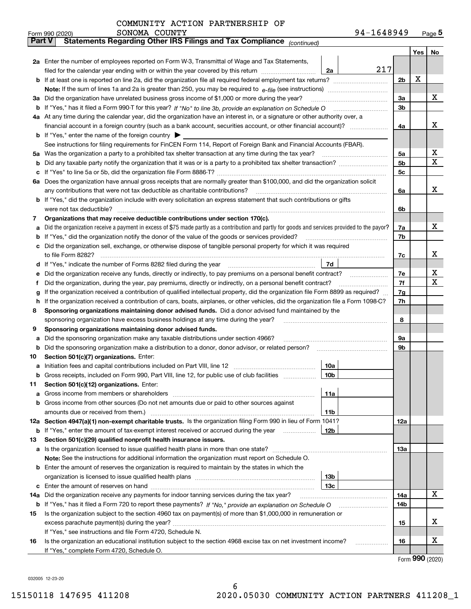| <b>Part V</b><br>Yes<br>2a Enter the number of employees reported on Form W-3, Transmittal of Wage and Tax Statements,<br>217<br>filed for the calendar year ending with or within the year covered by this return<br>2a<br>х<br>2b<br>х<br>3a<br>3a Did the organization have unrelated business gross income of \$1,000 or more during the year?<br>3b<br>4a At any time during the calendar year, did the organization have an interest in, or a signature or other authority over, a<br>4a<br><b>b</b> If "Yes," enter the name of the foreign country $\blacktriangleright$<br>See instructions for filing requirements for FinCEN Form 114, Report of Foreign Bank and Financial Accounts (FBAR).<br>5a Was the organization a party to a prohibited tax shelter transaction at any time during the tax year?<br>5a<br>5b<br>b<br>5c<br>c<br>6a Does the organization have annual gross receipts that are normally greater than \$100,000, and did the organization solicit<br>6a<br><b>b</b> If "Yes," did the organization include with every solicitation an express statement that such contributions or gifts<br>6b<br>were not tax deductible?<br>Organizations that may receive deductible contributions under section 170(c).<br>7<br>Did the organization receive a payment in excess of \$75 made partly as a contribution and partly for goods and services provided to the payor?<br>7a<br>а<br>If "Yes," did the organization notify the donor of the value of the goods or services provided?<br>7b<br>b<br>c Did the organization sell, exchange, or otherwise dispose of tangible personal property for which it was required<br>7c<br>7d  <br>d If "Yes," indicate the number of Forms 8282 filed during the year [11] [11] No. 2010 [12] Henry Manuscover, 1<br>Did the organization receive any funds, directly or indirectly, to pay premiums on a personal benefit contract?<br>7e<br>е<br>7f<br>Did the organization, during the year, pay premiums, directly or indirectly, on a personal benefit contract?<br>f<br>If the organization received a contribution of qualified intellectual property, did the organization file Form 8899 as required?<br>7g<br>g<br>If the organization received a contribution of cars, boats, airplanes, or other vehicles, did the organization file a Form 1098-C?<br>7h<br>h.<br>Sponsoring organizations maintaining donor advised funds. Did a donor advised fund maintained by the<br>8<br>8<br>sponsoring organization have excess business holdings at any time during the year?<br>Sponsoring organizations maintaining donor advised funds.<br>9<br>Did the sponsoring organization make any taxable distributions under section 4966?<br>9а<br>а<br>9b<br>Did the sponsoring organization make a distribution to a donor, donor advisor, or related person?<br>b<br>Section 501(c)(7) organizations. Enter:<br>10<br>10a<br> 10 <sub>b</sub>  <br>Gross receipts, included on Form 990, Part VIII, line 12, for public use of club facilities<br>Section 501(c)(12) organizations. Enter:<br>11<br>11a<br>a<br>b Gross income from other sources (Do not net amounts due or paid to other sources against<br><b>11b</b><br>12a Section 4947(a)(1) non-exempt charitable trusts. Is the organization filing Form 990 in lieu of Form 1041?<br>12a<br>12b<br><b>b</b> If "Yes," enter the amount of tax-exempt interest received or accrued during the year <i>manument</i><br>Section 501(c)(29) qualified nonprofit health insurance issuers.<br>13<br>13a<br>a Is the organization licensed to issue qualified health plans in more than one state?<br>Note: See the instructions for additional information the organization must report on Schedule O.<br><b>b</b> Enter the amount of reserves the organization is required to maintain by the states in which the<br>13b<br>13с<br>Did the organization receive any payments for indoor tanning services during the tax year?<br>14a<br>14a<br>14b<br><b>b</b> If "Yes," has it filed a Form 720 to report these payments? If "No," provide an explanation on Schedule O<br>Is the organization subject to the section 4960 tax on payment(s) of more than \$1,000,000 in remuneration or<br>15<br>15<br>If "Yes," see instructions and file Form 4720, Schedule N. |    | 94-1648949<br>SONOMA COUNTY<br>Form 990 (2020)                                                                  |    |  | $_{\text{Page}}$ 5 |  |  |  |  |  |  |  |
|---------------------------------------------------------------------------------------------------------------------------------------------------------------------------------------------------------------------------------------------------------------------------------------------------------------------------------------------------------------------------------------------------------------------------------------------------------------------------------------------------------------------------------------------------------------------------------------------------------------------------------------------------------------------------------------------------------------------------------------------------------------------------------------------------------------------------------------------------------------------------------------------------------------------------------------------------------------------------------------------------------------------------------------------------------------------------------------------------------------------------------------------------------------------------------------------------------------------------------------------------------------------------------------------------------------------------------------------------------------------------------------------------------------------------------------------------------------------------------------------------------------------------------------------------------------------------------------------------------------------------------------------------------------------------------------------------------------------------------------------------------------------------------------------------------------------------------------------------------------------------------------------------------------------------------------------------------------------------------------------------------------------------------------------------------------------------------------------------------------------------------------------------------------------------------------------------------------------------------------------------------------------------------------------------------------------------------------------------------------------------------------------------------------------------------------------------------------------------------------------------------------------------------------------------------------------------------------------------------------------------------------------------------------------------------------------------------------------------------------------------------------------------------------------------------------------------------------------------------------------------------------------------------------------------------------------------------------------------------------------------------------------------------------------------------------------------------------------------------------------------------------------------------------------------------------------------------------------------------------------------------------------------------------------------------------------------------------------------------------------------------------------------------------------------------------------------------------------------------------------------------------------------------------------------------------------------------------------------------------------------------------------------------------------------------------------------------------------------------------------------------------------------------------------------------------------------------------------------------------------------------------------------------------------------------------------------------------------------------------------------------------------------------------------------------------------------------------------------------------------------------------------------------------------------------------------------------------------------------------------------------------------------------------------------|----|-----------------------------------------------------------------------------------------------------------------|----|--|--------------------|--|--|--|--|--|--|--|
|                                                                                                                                                                                                                                                                                                                                                                                                                                                                                                                                                                                                                                                                                                                                                                                                                                                                                                                                                                                                                                                                                                                                                                                                                                                                                                                                                                                                                                                                                                                                                                                                                                                                                                                                                                                                                                                                                                                                                                                                                                                                                                                                                                                                                                                                                                                                                                                                                                                                                                                                                                                                                                                                                                                                                                                                                                                                                                                                                                                                                                                                                                                                                                                                                                                                                                                                                                                                                                                                                                                                                                                                                                                                                                                                                                                                                                                                                                                                                                                                                                                                                                                                                                                                                                                                                                   |    | Statements Regarding Other IRS Filings and Tax Compliance (continued)                                           |    |  |                    |  |  |  |  |  |  |  |
|                                                                                                                                                                                                                                                                                                                                                                                                                                                                                                                                                                                                                                                                                                                                                                                                                                                                                                                                                                                                                                                                                                                                                                                                                                                                                                                                                                                                                                                                                                                                                                                                                                                                                                                                                                                                                                                                                                                                                                                                                                                                                                                                                                                                                                                                                                                                                                                                                                                                                                                                                                                                                                                                                                                                                                                                                                                                                                                                                                                                                                                                                                                                                                                                                                                                                                                                                                                                                                                                                                                                                                                                                                                                                                                                                                                                                                                                                                                                                                                                                                                                                                                                                                                                                                                                                                   |    |                                                                                                                 |    |  | No                 |  |  |  |  |  |  |  |
|                                                                                                                                                                                                                                                                                                                                                                                                                                                                                                                                                                                                                                                                                                                                                                                                                                                                                                                                                                                                                                                                                                                                                                                                                                                                                                                                                                                                                                                                                                                                                                                                                                                                                                                                                                                                                                                                                                                                                                                                                                                                                                                                                                                                                                                                                                                                                                                                                                                                                                                                                                                                                                                                                                                                                                                                                                                                                                                                                                                                                                                                                                                                                                                                                                                                                                                                                                                                                                                                                                                                                                                                                                                                                                                                                                                                                                                                                                                                                                                                                                                                                                                                                                                                                                                                                                   |    |                                                                                                                 |    |  |                    |  |  |  |  |  |  |  |
|                                                                                                                                                                                                                                                                                                                                                                                                                                                                                                                                                                                                                                                                                                                                                                                                                                                                                                                                                                                                                                                                                                                                                                                                                                                                                                                                                                                                                                                                                                                                                                                                                                                                                                                                                                                                                                                                                                                                                                                                                                                                                                                                                                                                                                                                                                                                                                                                                                                                                                                                                                                                                                                                                                                                                                                                                                                                                                                                                                                                                                                                                                                                                                                                                                                                                                                                                                                                                                                                                                                                                                                                                                                                                                                                                                                                                                                                                                                                                                                                                                                                                                                                                                                                                                                                                                   |    |                                                                                                                 |    |  |                    |  |  |  |  |  |  |  |
|                                                                                                                                                                                                                                                                                                                                                                                                                                                                                                                                                                                                                                                                                                                                                                                                                                                                                                                                                                                                                                                                                                                                                                                                                                                                                                                                                                                                                                                                                                                                                                                                                                                                                                                                                                                                                                                                                                                                                                                                                                                                                                                                                                                                                                                                                                                                                                                                                                                                                                                                                                                                                                                                                                                                                                                                                                                                                                                                                                                                                                                                                                                                                                                                                                                                                                                                                                                                                                                                                                                                                                                                                                                                                                                                                                                                                                                                                                                                                                                                                                                                                                                                                                                                                                                                                                   |    |                                                                                                                 |    |  |                    |  |  |  |  |  |  |  |
|                                                                                                                                                                                                                                                                                                                                                                                                                                                                                                                                                                                                                                                                                                                                                                                                                                                                                                                                                                                                                                                                                                                                                                                                                                                                                                                                                                                                                                                                                                                                                                                                                                                                                                                                                                                                                                                                                                                                                                                                                                                                                                                                                                                                                                                                                                                                                                                                                                                                                                                                                                                                                                                                                                                                                                                                                                                                                                                                                                                                                                                                                                                                                                                                                                                                                                                                                                                                                                                                                                                                                                                                                                                                                                                                                                                                                                                                                                                                                                                                                                                                                                                                                                                                                                                                                                   |    |                                                                                                                 |    |  |                    |  |  |  |  |  |  |  |
|                                                                                                                                                                                                                                                                                                                                                                                                                                                                                                                                                                                                                                                                                                                                                                                                                                                                                                                                                                                                                                                                                                                                                                                                                                                                                                                                                                                                                                                                                                                                                                                                                                                                                                                                                                                                                                                                                                                                                                                                                                                                                                                                                                                                                                                                                                                                                                                                                                                                                                                                                                                                                                                                                                                                                                                                                                                                                                                                                                                                                                                                                                                                                                                                                                                                                                                                                                                                                                                                                                                                                                                                                                                                                                                                                                                                                                                                                                                                                                                                                                                                                                                                                                                                                                                                                                   |    |                                                                                                                 |    |  |                    |  |  |  |  |  |  |  |
|                                                                                                                                                                                                                                                                                                                                                                                                                                                                                                                                                                                                                                                                                                                                                                                                                                                                                                                                                                                                                                                                                                                                                                                                                                                                                                                                                                                                                                                                                                                                                                                                                                                                                                                                                                                                                                                                                                                                                                                                                                                                                                                                                                                                                                                                                                                                                                                                                                                                                                                                                                                                                                                                                                                                                                                                                                                                                                                                                                                                                                                                                                                                                                                                                                                                                                                                                                                                                                                                                                                                                                                                                                                                                                                                                                                                                                                                                                                                                                                                                                                                                                                                                                                                                                                                                                   |    |                                                                                                                 |    |  |                    |  |  |  |  |  |  |  |
|                                                                                                                                                                                                                                                                                                                                                                                                                                                                                                                                                                                                                                                                                                                                                                                                                                                                                                                                                                                                                                                                                                                                                                                                                                                                                                                                                                                                                                                                                                                                                                                                                                                                                                                                                                                                                                                                                                                                                                                                                                                                                                                                                                                                                                                                                                                                                                                                                                                                                                                                                                                                                                                                                                                                                                                                                                                                                                                                                                                                                                                                                                                                                                                                                                                                                                                                                                                                                                                                                                                                                                                                                                                                                                                                                                                                                                                                                                                                                                                                                                                                                                                                                                                                                                                                                                   |    |                                                                                                                 |    |  |                    |  |  |  |  |  |  |  |
|                                                                                                                                                                                                                                                                                                                                                                                                                                                                                                                                                                                                                                                                                                                                                                                                                                                                                                                                                                                                                                                                                                                                                                                                                                                                                                                                                                                                                                                                                                                                                                                                                                                                                                                                                                                                                                                                                                                                                                                                                                                                                                                                                                                                                                                                                                                                                                                                                                                                                                                                                                                                                                                                                                                                                                                                                                                                                                                                                                                                                                                                                                                                                                                                                                                                                                                                                                                                                                                                                                                                                                                                                                                                                                                                                                                                                                                                                                                                                                                                                                                                                                                                                                                                                                                                                                   |    |                                                                                                                 |    |  | х                  |  |  |  |  |  |  |  |
|                                                                                                                                                                                                                                                                                                                                                                                                                                                                                                                                                                                                                                                                                                                                                                                                                                                                                                                                                                                                                                                                                                                                                                                                                                                                                                                                                                                                                                                                                                                                                                                                                                                                                                                                                                                                                                                                                                                                                                                                                                                                                                                                                                                                                                                                                                                                                                                                                                                                                                                                                                                                                                                                                                                                                                                                                                                                                                                                                                                                                                                                                                                                                                                                                                                                                                                                                                                                                                                                                                                                                                                                                                                                                                                                                                                                                                                                                                                                                                                                                                                                                                                                                                                                                                                                                                   |    |                                                                                                                 |    |  |                    |  |  |  |  |  |  |  |
|                                                                                                                                                                                                                                                                                                                                                                                                                                                                                                                                                                                                                                                                                                                                                                                                                                                                                                                                                                                                                                                                                                                                                                                                                                                                                                                                                                                                                                                                                                                                                                                                                                                                                                                                                                                                                                                                                                                                                                                                                                                                                                                                                                                                                                                                                                                                                                                                                                                                                                                                                                                                                                                                                                                                                                                                                                                                                                                                                                                                                                                                                                                                                                                                                                                                                                                                                                                                                                                                                                                                                                                                                                                                                                                                                                                                                                                                                                                                                                                                                                                                                                                                                                                                                                                                                                   |    |                                                                                                                 |    |  |                    |  |  |  |  |  |  |  |
|                                                                                                                                                                                                                                                                                                                                                                                                                                                                                                                                                                                                                                                                                                                                                                                                                                                                                                                                                                                                                                                                                                                                                                                                                                                                                                                                                                                                                                                                                                                                                                                                                                                                                                                                                                                                                                                                                                                                                                                                                                                                                                                                                                                                                                                                                                                                                                                                                                                                                                                                                                                                                                                                                                                                                                                                                                                                                                                                                                                                                                                                                                                                                                                                                                                                                                                                                                                                                                                                                                                                                                                                                                                                                                                                                                                                                                                                                                                                                                                                                                                                                                                                                                                                                                                                                                   |    |                                                                                                                 |    |  | х                  |  |  |  |  |  |  |  |
|                                                                                                                                                                                                                                                                                                                                                                                                                                                                                                                                                                                                                                                                                                                                                                                                                                                                                                                                                                                                                                                                                                                                                                                                                                                                                                                                                                                                                                                                                                                                                                                                                                                                                                                                                                                                                                                                                                                                                                                                                                                                                                                                                                                                                                                                                                                                                                                                                                                                                                                                                                                                                                                                                                                                                                                                                                                                                                                                                                                                                                                                                                                                                                                                                                                                                                                                                                                                                                                                                                                                                                                                                                                                                                                                                                                                                                                                                                                                                                                                                                                                                                                                                                                                                                                                                                   |    |                                                                                                                 |    |  | X                  |  |  |  |  |  |  |  |
|                                                                                                                                                                                                                                                                                                                                                                                                                                                                                                                                                                                                                                                                                                                                                                                                                                                                                                                                                                                                                                                                                                                                                                                                                                                                                                                                                                                                                                                                                                                                                                                                                                                                                                                                                                                                                                                                                                                                                                                                                                                                                                                                                                                                                                                                                                                                                                                                                                                                                                                                                                                                                                                                                                                                                                                                                                                                                                                                                                                                                                                                                                                                                                                                                                                                                                                                                                                                                                                                                                                                                                                                                                                                                                                                                                                                                                                                                                                                                                                                                                                                                                                                                                                                                                                                                                   |    |                                                                                                                 |    |  |                    |  |  |  |  |  |  |  |
|                                                                                                                                                                                                                                                                                                                                                                                                                                                                                                                                                                                                                                                                                                                                                                                                                                                                                                                                                                                                                                                                                                                                                                                                                                                                                                                                                                                                                                                                                                                                                                                                                                                                                                                                                                                                                                                                                                                                                                                                                                                                                                                                                                                                                                                                                                                                                                                                                                                                                                                                                                                                                                                                                                                                                                                                                                                                                                                                                                                                                                                                                                                                                                                                                                                                                                                                                                                                                                                                                                                                                                                                                                                                                                                                                                                                                                                                                                                                                                                                                                                                                                                                                                                                                                                                                                   |    |                                                                                                                 |    |  |                    |  |  |  |  |  |  |  |
|                                                                                                                                                                                                                                                                                                                                                                                                                                                                                                                                                                                                                                                                                                                                                                                                                                                                                                                                                                                                                                                                                                                                                                                                                                                                                                                                                                                                                                                                                                                                                                                                                                                                                                                                                                                                                                                                                                                                                                                                                                                                                                                                                                                                                                                                                                                                                                                                                                                                                                                                                                                                                                                                                                                                                                                                                                                                                                                                                                                                                                                                                                                                                                                                                                                                                                                                                                                                                                                                                                                                                                                                                                                                                                                                                                                                                                                                                                                                                                                                                                                                                                                                                                                                                                                                                                   |    |                                                                                                                 |    |  | х                  |  |  |  |  |  |  |  |
|                                                                                                                                                                                                                                                                                                                                                                                                                                                                                                                                                                                                                                                                                                                                                                                                                                                                                                                                                                                                                                                                                                                                                                                                                                                                                                                                                                                                                                                                                                                                                                                                                                                                                                                                                                                                                                                                                                                                                                                                                                                                                                                                                                                                                                                                                                                                                                                                                                                                                                                                                                                                                                                                                                                                                                                                                                                                                                                                                                                                                                                                                                                                                                                                                                                                                                                                                                                                                                                                                                                                                                                                                                                                                                                                                                                                                                                                                                                                                                                                                                                                                                                                                                                                                                                                                                   |    |                                                                                                                 |    |  |                    |  |  |  |  |  |  |  |
|                                                                                                                                                                                                                                                                                                                                                                                                                                                                                                                                                                                                                                                                                                                                                                                                                                                                                                                                                                                                                                                                                                                                                                                                                                                                                                                                                                                                                                                                                                                                                                                                                                                                                                                                                                                                                                                                                                                                                                                                                                                                                                                                                                                                                                                                                                                                                                                                                                                                                                                                                                                                                                                                                                                                                                                                                                                                                                                                                                                                                                                                                                                                                                                                                                                                                                                                                                                                                                                                                                                                                                                                                                                                                                                                                                                                                                                                                                                                                                                                                                                                                                                                                                                                                                                                                                   |    |                                                                                                                 |    |  |                    |  |  |  |  |  |  |  |
|                                                                                                                                                                                                                                                                                                                                                                                                                                                                                                                                                                                                                                                                                                                                                                                                                                                                                                                                                                                                                                                                                                                                                                                                                                                                                                                                                                                                                                                                                                                                                                                                                                                                                                                                                                                                                                                                                                                                                                                                                                                                                                                                                                                                                                                                                                                                                                                                                                                                                                                                                                                                                                                                                                                                                                                                                                                                                                                                                                                                                                                                                                                                                                                                                                                                                                                                                                                                                                                                                                                                                                                                                                                                                                                                                                                                                                                                                                                                                                                                                                                                                                                                                                                                                                                                                                   |    |                                                                                                                 |    |  |                    |  |  |  |  |  |  |  |
|                                                                                                                                                                                                                                                                                                                                                                                                                                                                                                                                                                                                                                                                                                                                                                                                                                                                                                                                                                                                                                                                                                                                                                                                                                                                                                                                                                                                                                                                                                                                                                                                                                                                                                                                                                                                                                                                                                                                                                                                                                                                                                                                                                                                                                                                                                                                                                                                                                                                                                                                                                                                                                                                                                                                                                                                                                                                                                                                                                                                                                                                                                                                                                                                                                                                                                                                                                                                                                                                                                                                                                                                                                                                                                                                                                                                                                                                                                                                                                                                                                                                                                                                                                                                                                                                                                   |    |                                                                                                                 |    |  | х                  |  |  |  |  |  |  |  |
|                                                                                                                                                                                                                                                                                                                                                                                                                                                                                                                                                                                                                                                                                                                                                                                                                                                                                                                                                                                                                                                                                                                                                                                                                                                                                                                                                                                                                                                                                                                                                                                                                                                                                                                                                                                                                                                                                                                                                                                                                                                                                                                                                                                                                                                                                                                                                                                                                                                                                                                                                                                                                                                                                                                                                                                                                                                                                                                                                                                                                                                                                                                                                                                                                                                                                                                                                                                                                                                                                                                                                                                                                                                                                                                                                                                                                                                                                                                                                                                                                                                                                                                                                                                                                                                                                                   |    |                                                                                                                 |    |  |                    |  |  |  |  |  |  |  |
|                                                                                                                                                                                                                                                                                                                                                                                                                                                                                                                                                                                                                                                                                                                                                                                                                                                                                                                                                                                                                                                                                                                                                                                                                                                                                                                                                                                                                                                                                                                                                                                                                                                                                                                                                                                                                                                                                                                                                                                                                                                                                                                                                                                                                                                                                                                                                                                                                                                                                                                                                                                                                                                                                                                                                                                                                                                                                                                                                                                                                                                                                                                                                                                                                                                                                                                                                                                                                                                                                                                                                                                                                                                                                                                                                                                                                                                                                                                                                                                                                                                                                                                                                                                                                                                                                                   |    |                                                                                                                 |    |  |                    |  |  |  |  |  |  |  |
|                                                                                                                                                                                                                                                                                                                                                                                                                                                                                                                                                                                                                                                                                                                                                                                                                                                                                                                                                                                                                                                                                                                                                                                                                                                                                                                                                                                                                                                                                                                                                                                                                                                                                                                                                                                                                                                                                                                                                                                                                                                                                                                                                                                                                                                                                                                                                                                                                                                                                                                                                                                                                                                                                                                                                                                                                                                                                                                                                                                                                                                                                                                                                                                                                                                                                                                                                                                                                                                                                                                                                                                                                                                                                                                                                                                                                                                                                                                                                                                                                                                                                                                                                                                                                                                                                                   |    |                                                                                                                 |    |  | х                  |  |  |  |  |  |  |  |
|                                                                                                                                                                                                                                                                                                                                                                                                                                                                                                                                                                                                                                                                                                                                                                                                                                                                                                                                                                                                                                                                                                                                                                                                                                                                                                                                                                                                                                                                                                                                                                                                                                                                                                                                                                                                                                                                                                                                                                                                                                                                                                                                                                                                                                                                                                                                                                                                                                                                                                                                                                                                                                                                                                                                                                                                                                                                                                                                                                                                                                                                                                                                                                                                                                                                                                                                                                                                                                                                                                                                                                                                                                                                                                                                                                                                                                                                                                                                                                                                                                                                                                                                                                                                                                                                                                   |    |                                                                                                                 |    |  |                    |  |  |  |  |  |  |  |
|                                                                                                                                                                                                                                                                                                                                                                                                                                                                                                                                                                                                                                                                                                                                                                                                                                                                                                                                                                                                                                                                                                                                                                                                                                                                                                                                                                                                                                                                                                                                                                                                                                                                                                                                                                                                                                                                                                                                                                                                                                                                                                                                                                                                                                                                                                                                                                                                                                                                                                                                                                                                                                                                                                                                                                                                                                                                                                                                                                                                                                                                                                                                                                                                                                                                                                                                                                                                                                                                                                                                                                                                                                                                                                                                                                                                                                                                                                                                                                                                                                                                                                                                                                                                                                                                                                   |    |                                                                                                                 |    |  | х                  |  |  |  |  |  |  |  |
|                                                                                                                                                                                                                                                                                                                                                                                                                                                                                                                                                                                                                                                                                                                                                                                                                                                                                                                                                                                                                                                                                                                                                                                                                                                                                                                                                                                                                                                                                                                                                                                                                                                                                                                                                                                                                                                                                                                                                                                                                                                                                                                                                                                                                                                                                                                                                                                                                                                                                                                                                                                                                                                                                                                                                                                                                                                                                                                                                                                                                                                                                                                                                                                                                                                                                                                                                                                                                                                                                                                                                                                                                                                                                                                                                                                                                                                                                                                                                                                                                                                                                                                                                                                                                                                                                                   |    |                                                                                                                 |    |  | х                  |  |  |  |  |  |  |  |
|                                                                                                                                                                                                                                                                                                                                                                                                                                                                                                                                                                                                                                                                                                                                                                                                                                                                                                                                                                                                                                                                                                                                                                                                                                                                                                                                                                                                                                                                                                                                                                                                                                                                                                                                                                                                                                                                                                                                                                                                                                                                                                                                                                                                                                                                                                                                                                                                                                                                                                                                                                                                                                                                                                                                                                                                                                                                                                                                                                                                                                                                                                                                                                                                                                                                                                                                                                                                                                                                                                                                                                                                                                                                                                                                                                                                                                                                                                                                                                                                                                                                                                                                                                                                                                                                                                   |    |                                                                                                                 |    |  |                    |  |  |  |  |  |  |  |
|                                                                                                                                                                                                                                                                                                                                                                                                                                                                                                                                                                                                                                                                                                                                                                                                                                                                                                                                                                                                                                                                                                                                                                                                                                                                                                                                                                                                                                                                                                                                                                                                                                                                                                                                                                                                                                                                                                                                                                                                                                                                                                                                                                                                                                                                                                                                                                                                                                                                                                                                                                                                                                                                                                                                                                                                                                                                                                                                                                                                                                                                                                                                                                                                                                                                                                                                                                                                                                                                                                                                                                                                                                                                                                                                                                                                                                                                                                                                                                                                                                                                                                                                                                                                                                                                                                   |    |                                                                                                                 |    |  |                    |  |  |  |  |  |  |  |
|                                                                                                                                                                                                                                                                                                                                                                                                                                                                                                                                                                                                                                                                                                                                                                                                                                                                                                                                                                                                                                                                                                                                                                                                                                                                                                                                                                                                                                                                                                                                                                                                                                                                                                                                                                                                                                                                                                                                                                                                                                                                                                                                                                                                                                                                                                                                                                                                                                                                                                                                                                                                                                                                                                                                                                                                                                                                                                                                                                                                                                                                                                                                                                                                                                                                                                                                                                                                                                                                                                                                                                                                                                                                                                                                                                                                                                                                                                                                                                                                                                                                                                                                                                                                                                                                                                   |    |                                                                                                                 |    |  |                    |  |  |  |  |  |  |  |
|                                                                                                                                                                                                                                                                                                                                                                                                                                                                                                                                                                                                                                                                                                                                                                                                                                                                                                                                                                                                                                                                                                                                                                                                                                                                                                                                                                                                                                                                                                                                                                                                                                                                                                                                                                                                                                                                                                                                                                                                                                                                                                                                                                                                                                                                                                                                                                                                                                                                                                                                                                                                                                                                                                                                                                                                                                                                                                                                                                                                                                                                                                                                                                                                                                                                                                                                                                                                                                                                                                                                                                                                                                                                                                                                                                                                                                                                                                                                                                                                                                                                                                                                                                                                                                                                                                   |    |                                                                                                                 |    |  |                    |  |  |  |  |  |  |  |
|                                                                                                                                                                                                                                                                                                                                                                                                                                                                                                                                                                                                                                                                                                                                                                                                                                                                                                                                                                                                                                                                                                                                                                                                                                                                                                                                                                                                                                                                                                                                                                                                                                                                                                                                                                                                                                                                                                                                                                                                                                                                                                                                                                                                                                                                                                                                                                                                                                                                                                                                                                                                                                                                                                                                                                                                                                                                                                                                                                                                                                                                                                                                                                                                                                                                                                                                                                                                                                                                                                                                                                                                                                                                                                                                                                                                                                                                                                                                                                                                                                                                                                                                                                                                                                                                                                   |    |                                                                                                                 |    |  |                    |  |  |  |  |  |  |  |
|                                                                                                                                                                                                                                                                                                                                                                                                                                                                                                                                                                                                                                                                                                                                                                                                                                                                                                                                                                                                                                                                                                                                                                                                                                                                                                                                                                                                                                                                                                                                                                                                                                                                                                                                                                                                                                                                                                                                                                                                                                                                                                                                                                                                                                                                                                                                                                                                                                                                                                                                                                                                                                                                                                                                                                                                                                                                                                                                                                                                                                                                                                                                                                                                                                                                                                                                                                                                                                                                                                                                                                                                                                                                                                                                                                                                                                                                                                                                                                                                                                                                                                                                                                                                                                                                                                   |    |                                                                                                                 |    |  |                    |  |  |  |  |  |  |  |
|                                                                                                                                                                                                                                                                                                                                                                                                                                                                                                                                                                                                                                                                                                                                                                                                                                                                                                                                                                                                                                                                                                                                                                                                                                                                                                                                                                                                                                                                                                                                                                                                                                                                                                                                                                                                                                                                                                                                                                                                                                                                                                                                                                                                                                                                                                                                                                                                                                                                                                                                                                                                                                                                                                                                                                                                                                                                                                                                                                                                                                                                                                                                                                                                                                                                                                                                                                                                                                                                                                                                                                                                                                                                                                                                                                                                                                                                                                                                                                                                                                                                                                                                                                                                                                                                                                   |    |                                                                                                                 |    |  |                    |  |  |  |  |  |  |  |
|                                                                                                                                                                                                                                                                                                                                                                                                                                                                                                                                                                                                                                                                                                                                                                                                                                                                                                                                                                                                                                                                                                                                                                                                                                                                                                                                                                                                                                                                                                                                                                                                                                                                                                                                                                                                                                                                                                                                                                                                                                                                                                                                                                                                                                                                                                                                                                                                                                                                                                                                                                                                                                                                                                                                                                                                                                                                                                                                                                                                                                                                                                                                                                                                                                                                                                                                                                                                                                                                                                                                                                                                                                                                                                                                                                                                                                                                                                                                                                                                                                                                                                                                                                                                                                                                                                   |    |                                                                                                                 |    |  |                    |  |  |  |  |  |  |  |
|                                                                                                                                                                                                                                                                                                                                                                                                                                                                                                                                                                                                                                                                                                                                                                                                                                                                                                                                                                                                                                                                                                                                                                                                                                                                                                                                                                                                                                                                                                                                                                                                                                                                                                                                                                                                                                                                                                                                                                                                                                                                                                                                                                                                                                                                                                                                                                                                                                                                                                                                                                                                                                                                                                                                                                                                                                                                                                                                                                                                                                                                                                                                                                                                                                                                                                                                                                                                                                                                                                                                                                                                                                                                                                                                                                                                                                                                                                                                                                                                                                                                                                                                                                                                                                                                                                   |    |                                                                                                                 |    |  |                    |  |  |  |  |  |  |  |
|                                                                                                                                                                                                                                                                                                                                                                                                                                                                                                                                                                                                                                                                                                                                                                                                                                                                                                                                                                                                                                                                                                                                                                                                                                                                                                                                                                                                                                                                                                                                                                                                                                                                                                                                                                                                                                                                                                                                                                                                                                                                                                                                                                                                                                                                                                                                                                                                                                                                                                                                                                                                                                                                                                                                                                                                                                                                                                                                                                                                                                                                                                                                                                                                                                                                                                                                                                                                                                                                                                                                                                                                                                                                                                                                                                                                                                                                                                                                                                                                                                                                                                                                                                                                                                                                                                   |    |                                                                                                                 |    |  |                    |  |  |  |  |  |  |  |
|                                                                                                                                                                                                                                                                                                                                                                                                                                                                                                                                                                                                                                                                                                                                                                                                                                                                                                                                                                                                                                                                                                                                                                                                                                                                                                                                                                                                                                                                                                                                                                                                                                                                                                                                                                                                                                                                                                                                                                                                                                                                                                                                                                                                                                                                                                                                                                                                                                                                                                                                                                                                                                                                                                                                                                                                                                                                                                                                                                                                                                                                                                                                                                                                                                                                                                                                                                                                                                                                                                                                                                                                                                                                                                                                                                                                                                                                                                                                                                                                                                                                                                                                                                                                                                                                                                   |    |                                                                                                                 |    |  |                    |  |  |  |  |  |  |  |
|                                                                                                                                                                                                                                                                                                                                                                                                                                                                                                                                                                                                                                                                                                                                                                                                                                                                                                                                                                                                                                                                                                                                                                                                                                                                                                                                                                                                                                                                                                                                                                                                                                                                                                                                                                                                                                                                                                                                                                                                                                                                                                                                                                                                                                                                                                                                                                                                                                                                                                                                                                                                                                                                                                                                                                                                                                                                                                                                                                                                                                                                                                                                                                                                                                                                                                                                                                                                                                                                                                                                                                                                                                                                                                                                                                                                                                                                                                                                                                                                                                                                                                                                                                                                                                                                                                   |    |                                                                                                                 |    |  |                    |  |  |  |  |  |  |  |
|                                                                                                                                                                                                                                                                                                                                                                                                                                                                                                                                                                                                                                                                                                                                                                                                                                                                                                                                                                                                                                                                                                                                                                                                                                                                                                                                                                                                                                                                                                                                                                                                                                                                                                                                                                                                                                                                                                                                                                                                                                                                                                                                                                                                                                                                                                                                                                                                                                                                                                                                                                                                                                                                                                                                                                                                                                                                                                                                                                                                                                                                                                                                                                                                                                                                                                                                                                                                                                                                                                                                                                                                                                                                                                                                                                                                                                                                                                                                                                                                                                                                                                                                                                                                                                                                                                   |    |                                                                                                                 |    |  |                    |  |  |  |  |  |  |  |
|                                                                                                                                                                                                                                                                                                                                                                                                                                                                                                                                                                                                                                                                                                                                                                                                                                                                                                                                                                                                                                                                                                                                                                                                                                                                                                                                                                                                                                                                                                                                                                                                                                                                                                                                                                                                                                                                                                                                                                                                                                                                                                                                                                                                                                                                                                                                                                                                                                                                                                                                                                                                                                                                                                                                                                                                                                                                                                                                                                                                                                                                                                                                                                                                                                                                                                                                                                                                                                                                                                                                                                                                                                                                                                                                                                                                                                                                                                                                                                                                                                                                                                                                                                                                                                                                                                   |    |                                                                                                                 |    |  |                    |  |  |  |  |  |  |  |
|                                                                                                                                                                                                                                                                                                                                                                                                                                                                                                                                                                                                                                                                                                                                                                                                                                                                                                                                                                                                                                                                                                                                                                                                                                                                                                                                                                                                                                                                                                                                                                                                                                                                                                                                                                                                                                                                                                                                                                                                                                                                                                                                                                                                                                                                                                                                                                                                                                                                                                                                                                                                                                                                                                                                                                                                                                                                                                                                                                                                                                                                                                                                                                                                                                                                                                                                                                                                                                                                                                                                                                                                                                                                                                                                                                                                                                                                                                                                                                                                                                                                                                                                                                                                                                                                                                   |    |                                                                                                                 |    |  |                    |  |  |  |  |  |  |  |
|                                                                                                                                                                                                                                                                                                                                                                                                                                                                                                                                                                                                                                                                                                                                                                                                                                                                                                                                                                                                                                                                                                                                                                                                                                                                                                                                                                                                                                                                                                                                                                                                                                                                                                                                                                                                                                                                                                                                                                                                                                                                                                                                                                                                                                                                                                                                                                                                                                                                                                                                                                                                                                                                                                                                                                                                                                                                                                                                                                                                                                                                                                                                                                                                                                                                                                                                                                                                                                                                                                                                                                                                                                                                                                                                                                                                                                                                                                                                                                                                                                                                                                                                                                                                                                                                                                   |    |                                                                                                                 |    |  |                    |  |  |  |  |  |  |  |
|                                                                                                                                                                                                                                                                                                                                                                                                                                                                                                                                                                                                                                                                                                                                                                                                                                                                                                                                                                                                                                                                                                                                                                                                                                                                                                                                                                                                                                                                                                                                                                                                                                                                                                                                                                                                                                                                                                                                                                                                                                                                                                                                                                                                                                                                                                                                                                                                                                                                                                                                                                                                                                                                                                                                                                                                                                                                                                                                                                                                                                                                                                                                                                                                                                                                                                                                                                                                                                                                                                                                                                                                                                                                                                                                                                                                                                                                                                                                                                                                                                                                                                                                                                                                                                                                                                   |    |                                                                                                                 |    |  |                    |  |  |  |  |  |  |  |
|                                                                                                                                                                                                                                                                                                                                                                                                                                                                                                                                                                                                                                                                                                                                                                                                                                                                                                                                                                                                                                                                                                                                                                                                                                                                                                                                                                                                                                                                                                                                                                                                                                                                                                                                                                                                                                                                                                                                                                                                                                                                                                                                                                                                                                                                                                                                                                                                                                                                                                                                                                                                                                                                                                                                                                                                                                                                                                                                                                                                                                                                                                                                                                                                                                                                                                                                                                                                                                                                                                                                                                                                                                                                                                                                                                                                                                                                                                                                                                                                                                                                                                                                                                                                                                                                                                   |    |                                                                                                                 |    |  |                    |  |  |  |  |  |  |  |
|                                                                                                                                                                                                                                                                                                                                                                                                                                                                                                                                                                                                                                                                                                                                                                                                                                                                                                                                                                                                                                                                                                                                                                                                                                                                                                                                                                                                                                                                                                                                                                                                                                                                                                                                                                                                                                                                                                                                                                                                                                                                                                                                                                                                                                                                                                                                                                                                                                                                                                                                                                                                                                                                                                                                                                                                                                                                                                                                                                                                                                                                                                                                                                                                                                                                                                                                                                                                                                                                                                                                                                                                                                                                                                                                                                                                                                                                                                                                                                                                                                                                                                                                                                                                                                                                                                   |    |                                                                                                                 |    |  |                    |  |  |  |  |  |  |  |
|                                                                                                                                                                                                                                                                                                                                                                                                                                                                                                                                                                                                                                                                                                                                                                                                                                                                                                                                                                                                                                                                                                                                                                                                                                                                                                                                                                                                                                                                                                                                                                                                                                                                                                                                                                                                                                                                                                                                                                                                                                                                                                                                                                                                                                                                                                                                                                                                                                                                                                                                                                                                                                                                                                                                                                                                                                                                                                                                                                                                                                                                                                                                                                                                                                                                                                                                                                                                                                                                                                                                                                                                                                                                                                                                                                                                                                                                                                                                                                                                                                                                                                                                                                                                                                                                                                   |    |                                                                                                                 |    |  |                    |  |  |  |  |  |  |  |
|                                                                                                                                                                                                                                                                                                                                                                                                                                                                                                                                                                                                                                                                                                                                                                                                                                                                                                                                                                                                                                                                                                                                                                                                                                                                                                                                                                                                                                                                                                                                                                                                                                                                                                                                                                                                                                                                                                                                                                                                                                                                                                                                                                                                                                                                                                                                                                                                                                                                                                                                                                                                                                                                                                                                                                                                                                                                                                                                                                                                                                                                                                                                                                                                                                                                                                                                                                                                                                                                                                                                                                                                                                                                                                                                                                                                                                                                                                                                                                                                                                                                                                                                                                                                                                                                                                   |    |                                                                                                                 |    |  |                    |  |  |  |  |  |  |  |
|                                                                                                                                                                                                                                                                                                                                                                                                                                                                                                                                                                                                                                                                                                                                                                                                                                                                                                                                                                                                                                                                                                                                                                                                                                                                                                                                                                                                                                                                                                                                                                                                                                                                                                                                                                                                                                                                                                                                                                                                                                                                                                                                                                                                                                                                                                                                                                                                                                                                                                                                                                                                                                                                                                                                                                                                                                                                                                                                                                                                                                                                                                                                                                                                                                                                                                                                                                                                                                                                                                                                                                                                                                                                                                                                                                                                                                                                                                                                                                                                                                                                                                                                                                                                                                                                                                   |    |                                                                                                                 |    |  | х                  |  |  |  |  |  |  |  |
|                                                                                                                                                                                                                                                                                                                                                                                                                                                                                                                                                                                                                                                                                                                                                                                                                                                                                                                                                                                                                                                                                                                                                                                                                                                                                                                                                                                                                                                                                                                                                                                                                                                                                                                                                                                                                                                                                                                                                                                                                                                                                                                                                                                                                                                                                                                                                                                                                                                                                                                                                                                                                                                                                                                                                                                                                                                                                                                                                                                                                                                                                                                                                                                                                                                                                                                                                                                                                                                                                                                                                                                                                                                                                                                                                                                                                                                                                                                                                                                                                                                                                                                                                                                                                                                                                                   |    |                                                                                                                 |    |  |                    |  |  |  |  |  |  |  |
|                                                                                                                                                                                                                                                                                                                                                                                                                                                                                                                                                                                                                                                                                                                                                                                                                                                                                                                                                                                                                                                                                                                                                                                                                                                                                                                                                                                                                                                                                                                                                                                                                                                                                                                                                                                                                                                                                                                                                                                                                                                                                                                                                                                                                                                                                                                                                                                                                                                                                                                                                                                                                                                                                                                                                                                                                                                                                                                                                                                                                                                                                                                                                                                                                                                                                                                                                                                                                                                                                                                                                                                                                                                                                                                                                                                                                                                                                                                                                                                                                                                                                                                                                                                                                                                                                                   |    |                                                                                                                 |    |  |                    |  |  |  |  |  |  |  |
|                                                                                                                                                                                                                                                                                                                                                                                                                                                                                                                                                                                                                                                                                                                                                                                                                                                                                                                                                                                                                                                                                                                                                                                                                                                                                                                                                                                                                                                                                                                                                                                                                                                                                                                                                                                                                                                                                                                                                                                                                                                                                                                                                                                                                                                                                                                                                                                                                                                                                                                                                                                                                                                                                                                                                                                                                                                                                                                                                                                                                                                                                                                                                                                                                                                                                                                                                                                                                                                                                                                                                                                                                                                                                                                                                                                                                                                                                                                                                                                                                                                                                                                                                                                                                                                                                                   |    |                                                                                                                 |    |  | x                  |  |  |  |  |  |  |  |
|                                                                                                                                                                                                                                                                                                                                                                                                                                                                                                                                                                                                                                                                                                                                                                                                                                                                                                                                                                                                                                                                                                                                                                                                                                                                                                                                                                                                                                                                                                                                                                                                                                                                                                                                                                                                                                                                                                                                                                                                                                                                                                                                                                                                                                                                                                                                                                                                                                                                                                                                                                                                                                                                                                                                                                                                                                                                                                                                                                                                                                                                                                                                                                                                                                                                                                                                                                                                                                                                                                                                                                                                                                                                                                                                                                                                                                                                                                                                                                                                                                                                                                                                                                                                                                                                                                   |    |                                                                                                                 |    |  |                    |  |  |  |  |  |  |  |
|                                                                                                                                                                                                                                                                                                                                                                                                                                                                                                                                                                                                                                                                                                                                                                                                                                                                                                                                                                                                                                                                                                                                                                                                                                                                                                                                                                                                                                                                                                                                                                                                                                                                                                                                                                                                                                                                                                                                                                                                                                                                                                                                                                                                                                                                                                                                                                                                                                                                                                                                                                                                                                                                                                                                                                                                                                                                                                                                                                                                                                                                                                                                                                                                                                                                                                                                                                                                                                                                                                                                                                                                                                                                                                                                                                                                                                                                                                                                                                                                                                                                                                                                                                                                                                                                                                   | 16 | Is the organization an educational institution subject to the section 4968 excise tax on net investment income? | 16 |  | х                  |  |  |  |  |  |  |  |
| If "Yes," complete Form 4720, Schedule O.                                                                                                                                                                                                                                                                                                                                                                                                                                                                                                                                                                                                                                                                                                                                                                                                                                                                                                                                                                                                                                                                                                                                                                                                                                                                                                                                                                                                                                                                                                                                                                                                                                                                                                                                                                                                                                                                                                                                                                                                                                                                                                                                                                                                                                                                                                                                                                                                                                                                                                                                                                                                                                                                                                                                                                                                                                                                                                                                                                                                                                                                                                                                                                                                                                                                                                                                                                                                                                                                                                                                                                                                                                                                                                                                                                                                                                                                                                                                                                                                                                                                                                                                                                                                                                                         |    |                                                                                                                 |    |  |                    |  |  |  |  |  |  |  |

Form (2020) **990**

032005 12-23-20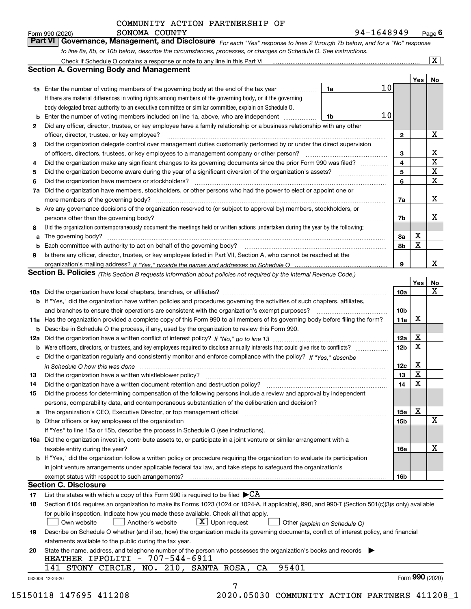*For each "Yes" response to lines 2 through 7b below, and for a "No" response to line 8a, 8b, or 10b below, describe the circumstances, processes, or changes on Schedule O. See instructions.* Form 990 (2020) **SONOMA COUNTY**<br>**Part VI Governance, Management, and Disclosure** For each "Yes" response to lines 2 through 7b below, and for a "No" response

|     | Check if Schedule O contains a response or note to any line in this Part VI                                                                                           |    |  |                 |             | $\overline{\mathbf{X}}$ |  |  |  |  |  |  |
|-----|-----------------------------------------------------------------------------------------------------------------------------------------------------------------------|----|--|-----------------|-------------|-------------------------|--|--|--|--|--|--|
|     | Section A. Governing Body and Management                                                                                                                              |    |  |                 |             |                         |  |  |  |  |  |  |
|     |                                                                                                                                                                       |    |  |                 | Yes         | No                      |  |  |  |  |  |  |
|     | <b>1a</b> Enter the number of voting members of the governing body at the end of the tax year<br>.                                                                    | 1a |  | 10              |             |                         |  |  |  |  |  |  |
|     | If there are material differences in voting rights among members of the governing body, or if the governing                                                           |    |  |                 |             |                         |  |  |  |  |  |  |
|     | body delegated broad authority to an executive committee or similar committee, explain on Schedule O.                                                                 |    |  |                 |             |                         |  |  |  |  |  |  |
| b   | Enter the number of voting members included on line 1a, above, who are independent                                                                                    | 1b |  | 10              |             |                         |  |  |  |  |  |  |
| 2   | Did any officer, director, trustee, or key employee have a family relationship or a business relationship with any other                                              |    |  |                 |             |                         |  |  |  |  |  |  |
|     | officer, director, trustee, or key employee?                                                                                                                          |    |  | $\mathbf{2}$    |             | х                       |  |  |  |  |  |  |
| 3   | Did the organization delegate control over management duties customarily performed by or under the direct supervision                                                 |    |  |                 |             |                         |  |  |  |  |  |  |
|     | of officers, directors, trustees, or key employees to a management company or other person?                                                                           |    |  |                 |             |                         |  |  |  |  |  |  |
| 4   | Did the organization make any significant changes to its governing documents since the prior Form 990 was filed?                                                      |    |  |                 |             |                         |  |  |  |  |  |  |
| 5   | Did the organization become aware during the year of a significant diversion of the organization's assets?                                                            |    |  |                 |             |                         |  |  |  |  |  |  |
| 6   | Did the organization have members or stockholders?                                                                                                                    |    |  |                 |             |                         |  |  |  |  |  |  |
| 7a  | Did the organization have members, stockholders, or other persons who had the power to elect or appoint one or                                                        |    |  |                 |             |                         |  |  |  |  |  |  |
|     | more members of the governing body?                                                                                                                                   |    |  | 7a              |             | x                       |  |  |  |  |  |  |
|     | <b>b</b> Are any governance decisions of the organization reserved to (or subject to approval by) members, stockholders, or                                           |    |  |                 |             |                         |  |  |  |  |  |  |
|     | persons other than the governing body?                                                                                                                                |    |  | 7b              |             | x.                      |  |  |  |  |  |  |
| 8   | Did the organization contemporaneously document the meetings held or written actions undertaken during the year by the following:                                     |    |  |                 |             |                         |  |  |  |  |  |  |
| a   |                                                                                                                                                                       |    |  | 8a              | х           |                         |  |  |  |  |  |  |
| b   | Each committee with authority to act on behalf of the governing body?                                                                                                 |    |  | 8b              | $\mathbf X$ |                         |  |  |  |  |  |  |
| 9   | Is there any officer, director, trustee, or key employee listed in Part VII, Section A, who cannot be reached at the                                                  |    |  |                 |             |                         |  |  |  |  |  |  |
|     |                                                                                                                                                                       |    |  | 9               |             | X.                      |  |  |  |  |  |  |
|     | Section B. Policies <sub>(This Section B requests information about policies not required by the Internal Revenue Code.)</sub>                                        |    |  |                 |             |                         |  |  |  |  |  |  |
|     |                                                                                                                                                                       |    |  | 10a             | Yes         | No<br>X                 |  |  |  |  |  |  |
|     | <b>b</b> If "Yes," did the organization have written policies and procedures governing the activities of such chapters, affiliates,                                   |    |  |                 |             |                         |  |  |  |  |  |  |
|     | and branches to ensure their operations are consistent with the organization's exempt purposes?                                                                       |    |  | 10 <sub>b</sub> |             |                         |  |  |  |  |  |  |
| 11a | Has the organization provided a complete copy of this Form 990 to all members of its governing body before filing the form?                                           |    |  | 11a             | $\mathbf X$ |                         |  |  |  |  |  |  |
| b   | Describe in Schedule O the process, if any, used by the organization to review this Form 990.                                                                         |    |  |                 |             |                         |  |  |  |  |  |  |
| 12a |                                                                                                                                                                       |    |  |                 |             |                         |  |  |  |  |  |  |
| b   | Were officers, directors, or trustees, and key employees required to disclose annually interests that could give rise to conflicts?                                   |    |  |                 |             |                         |  |  |  |  |  |  |
| с   | Did the organization regularly and consistently monitor and enforce compliance with the policy? If "Yes," describe                                                    |    |  |                 |             |                         |  |  |  |  |  |  |
|     | in Schedule O how this was done manufactured and the state of the state of the state of the state of the state                                                        |    |  | 12c             | X           |                         |  |  |  |  |  |  |
| 13  | Did the organization have a written whistleblower policy?                                                                                                             |    |  | 13              | X           |                         |  |  |  |  |  |  |
| 14  | Did the organization have a written document retention and destruction policy?                                                                                        |    |  | 14              | $\mathbf X$ |                         |  |  |  |  |  |  |
| 15  | Did the process for determining compensation of the following persons include a review and approval by independent                                                    |    |  |                 |             |                         |  |  |  |  |  |  |
|     | persons, comparability data, and contemporaneous substantiation of the deliberation and decision?                                                                     |    |  |                 |             |                         |  |  |  |  |  |  |
| a   | The organization's CEO, Executive Director, or top management official manufactured content of the organization's CEO, Executive Director, or top management official |    |  | 15a             | х           |                         |  |  |  |  |  |  |
| b   | Other officers or key employees of the organization                                                                                                                   |    |  | 15b             |             | Χ                       |  |  |  |  |  |  |
|     | If "Yes" to line 15a or 15b, describe the process in Schedule O (see instructions).                                                                                   |    |  |                 |             |                         |  |  |  |  |  |  |
|     | 16a Did the organization invest in, contribute assets to, or participate in a joint venture or similar arrangement with a                                             |    |  |                 |             |                         |  |  |  |  |  |  |
|     | taxable entity during the year?                                                                                                                                       |    |  | 16a             |             | х                       |  |  |  |  |  |  |
|     | <b>b</b> If "Yes," did the organization follow a written policy or procedure requiring the organization to evaluate its participation                                 |    |  |                 |             |                         |  |  |  |  |  |  |
|     | in joint venture arrangements under applicable federal tax law, and take steps to safeguard the organization's                                                        |    |  |                 |             |                         |  |  |  |  |  |  |
|     | exempt status with respect to such arrangements?<br><b>Section C. Disclosure</b>                                                                                      |    |  | <b>16b</b>      |             |                         |  |  |  |  |  |  |
|     | List the states with which a copy of this Form 990 is required to be filed $\blacktriangleright$ CA                                                                   |    |  |                 |             |                         |  |  |  |  |  |  |
| 17  | Section 6104 requires an organization to make its Forms 1023 (1024 or 1024-A, if applicable), 990, and 990-T (Section 501(c)(3)s only) available                      |    |  |                 |             |                         |  |  |  |  |  |  |
| 18  | for public inspection. Indicate how you made these available. Check all that apply.                                                                                   |    |  |                 |             |                         |  |  |  |  |  |  |
|     | $\lfloor x \rfloor$ Upon request<br>Own website<br>Another's website<br>Other (explain on Schedule O)                                                                 |    |  |                 |             |                         |  |  |  |  |  |  |
| 19  | Describe on Schedule O whether (and if so, how) the organization made its governing documents, conflict of interest policy, and financial                             |    |  |                 |             |                         |  |  |  |  |  |  |
|     | statements available to the public during the tax year.                                                                                                               |    |  |                 |             |                         |  |  |  |  |  |  |
| 20  | State the name, address, and telephone number of the person who possesses the organization's books and records                                                        |    |  |                 |             |                         |  |  |  |  |  |  |
|     | HEATHER IPPOLITI - 707-544-6911                                                                                                                                       |    |  |                 |             |                         |  |  |  |  |  |  |
|     | STONY CIRCLE, NO. 210, SANTA ROSA,<br>95401<br>141<br>CA                                                                                                              |    |  |                 |             |                         |  |  |  |  |  |  |
|     | 032006 12-23-20                                                                                                                                                       |    |  |                 |             | Form 990 (2020)         |  |  |  |  |  |  |
|     | 7                                                                                                                                                                     |    |  |                 |             |                         |  |  |  |  |  |  |

15150118 147695 411208 2020.05030 COMMUNITY ACTION PARTNERS 411208\_1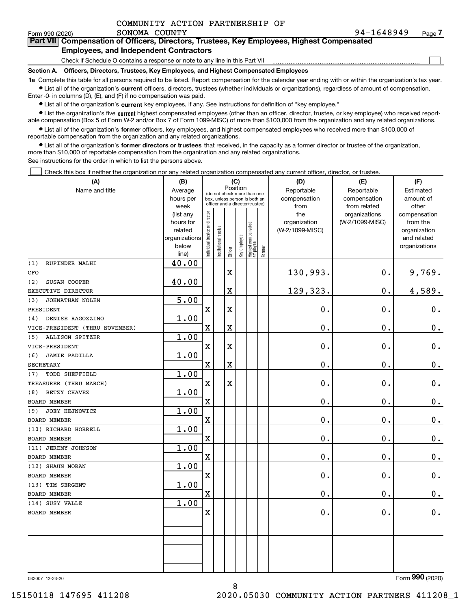|  |  | COMMUNITY ACTION PARTNERSHIP OF |  |
|--|--|---------------------------------|--|
|--|--|---------------------------------|--|

 $\mathcal{L}^{\text{max}}$ 

### Form 990 (2020) SONOMA COUNTY 9 4-1 6 4 8 9 4 9 <sub>Page</sub> **7Part VII Compensation of Officers, Directors, Trustees, Key Employees, Highest Compensated**

#### **Employees, and Independent Contractors**

Check if Schedule O contains a response or note to any line in this Part VII

**Section A. Officers, Directors, Trustees, Key Employees, and Highest Compensated Employees**

**1a**  Complete this table for all persons required to be listed. Report compensation for the calendar year ending with or within the organization's tax year. **•** List all of the organization's current officers, directors, trustees (whether individuals or organizations), regardless of amount of compensation.

 $\bullet$  List all of the organization's  $\,$ current key employees, if any. See instructions for definition of "key employee." Enter -0- in columns (D), (E), and (F) if no compensation was paid.

**•** List the organization's five current highest compensated employees (other than an officer, director, trustee, or key employee) who received reportable compensation (Box 5 of Form W-2 and/or Box 7 of Form 1099-MISC) of more than \$100,000 from the organization and any related organizations.

**•** List all of the organization's former officers, key employees, and highest compensated employees who received more than \$100,000 of reportable compensation from the organization and any related organizations.

**former directors or trustees**  ¥ List all of the organization's that received, in the capacity as a former director or trustee of the organization, more than \$10,000 of reportable compensation from the organization and any related organizations.

See instructions for the order in which to list the persons above.

Check this box if neither the organization nor any related organization compensated any current officer, director, or trustee.  $\mathcal{L}^{\text{max}}$ 

| (A)                            | (B)                    |                               |                                                                  |                         | (C)          |                                  |        | (D)             | (E)             | (F)                          |
|--------------------------------|------------------------|-------------------------------|------------------------------------------------------------------|-------------------------|--------------|----------------------------------|--------|-----------------|-----------------|------------------------------|
| Name and title                 | Average                |                               | (do not check more than one                                      |                         | Position     |                                  |        | Reportable      | Reportable      | Estimated                    |
|                                | hours per              |                               | box, unless person is both an<br>officer and a director/trustee) |                         |              |                                  |        | compensation    | compensation    | amount of                    |
|                                | week                   |                               |                                                                  |                         |              |                                  |        | from            | from related    | other                        |
|                                | (list any              |                               |                                                                  |                         |              |                                  |        | the             | organizations   | compensation                 |
|                                | hours for              |                               |                                                                  |                         |              |                                  |        | organization    | (W-2/1099-MISC) | from the                     |
|                                | related                |                               |                                                                  |                         |              |                                  |        | (W-2/1099-MISC) |                 | organization                 |
|                                | organizations<br>below |                               |                                                                  |                         |              |                                  |        |                 |                 | and related<br>organizations |
|                                | line)                  | ndividual trustee or director | nstitutional trustee                                             | Officer                 | Key employee | Highest compensated<br> employee | Former |                 |                 |                              |
| (1)<br>RUPINDER MALHI          | 40.00                  |                               |                                                                  |                         |              |                                  |        |                 |                 |                              |
| CFO                            |                        |                               |                                                                  | $\overline{\text{X}}$   |              |                                  |        | 130,993.        | 0.              | 9,769.                       |
| SUSAN COOPER<br>(2)            | 40.00                  |                               |                                                                  |                         |              |                                  |        |                 |                 |                              |
| EXECUTIVE DIRECTOR             |                        |                               |                                                                  | $\overline{\text{X}}$   |              |                                  |        | 129,323.        | $\mathbf 0$ .   | 4,589.                       |
| JOHNATHAN NOLEN<br>(3)         | 5.00                   |                               |                                                                  |                         |              |                                  |        |                 |                 |                              |
| PRESIDENT                      |                        | $\mathbf x$                   |                                                                  | $\bar{\mathbf{X}}$      |              |                                  |        | 0.              | $\mathbf 0$ .   | $0_{.}$                      |
| DENISE RAGOZZINO<br>(4)        | 1.00                   |                               |                                                                  |                         |              |                                  |        |                 |                 |                              |
| VICE-PRESIDENT (THRU NOVEMBER) |                        | $\mathbf X$                   |                                                                  | $\bar{\mathbf{X}}$      |              |                                  |        | 0.              | $\mathbf 0$ .   | $\mathbf 0$ .                |
| <b>ALLISON SPITZER</b><br>(5)  | 1.00                   |                               |                                                                  |                         |              |                                  |        |                 |                 |                              |
| VICE-PRESIDENT                 |                        | $\mathbf X$                   |                                                                  | $\overline{\textbf{X}}$ |              |                                  |        | 0.              | 0.              | $\mathbf 0$ .                |
| <b>JAMIE PADILLA</b><br>(6)    | 1.00                   |                               |                                                                  |                         |              |                                  |        |                 |                 |                              |
| SECRETARY                      |                        | $\mathbf X$                   |                                                                  | $\overline{\textbf{X}}$ |              |                                  |        | 0.              | $\mathbf 0$ .   | $\mathbf 0$ .                |
| TODD SHEFFIELD<br>(7)          | 1.00                   |                               |                                                                  |                         |              |                                  |        |                 |                 |                              |
| TREASURER (THRU MARCH)         |                        | $\mathbf X$                   |                                                                  | $\overline{\textbf{X}}$ |              |                                  |        | $\mathbf 0$ .   | $\mathbf 0$ .   | $0_{.}$                      |
| BETZY CHAVEZ<br>(8)            | 1.00                   |                               |                                                                  |                         |              |                                  |        |                 |                 |                              |
| <b>BOARD MEMBER</b>            |                        | $\rm X$                       |                                                                  |                         |              |                                  |        | $\mathbf 0$ .   | $\mathbf 0$ .   | $0_{.}$                      |
| JOEY HEJNOWICZ<br>(9)          | 1.00                   |                               |                                                                  |                         |              |                                  |        |                 |                 |                              |
| <b>BOARD MEMBER</b>            |                        | $\mathbf X$                   |                                                                  |                         |              |                                  |        | 0.              | $\mathbf 0$ .   | $\mathbf 0$ .                |
| (10) RICHARD HORRELL           | 1.00                   |                               |                                                                  |                         |              |                                  |        |                 |                 |                              |
| <b>BOARD MEMBER</b>            |                        | $\overline{\textbf{X}}$       |                                                                  |                         |              |                                  |        | $\mathbf 0$ .   | $\mathbf 0$ .   | $\mathbf 0$ .                |
| (11) JEREMY JOHNSON            | 1.00                   |                               |                                                                  |                         |              |                                  |        |                 |                 |                              |
| <b>BOARD MEMBER</b>            |                        | $\mathbf X$                   |                                                                  |                         |              |                                  |        | $\mathbf 0$ .   | $\mathbf 0$ .   | $\mathbf 0$ .                |
| (12) SHAUN MORAN               | 1.00                   |                               |                                                                  |                         |              |                                  |        |                 |                 |                              |
| <b>BOARD MEMBER</b>            |                        | X                             |                                                                  |                         |              |                                  |        | 0.              | 0.              | $\mathbf 0$ .                |
| (13) TIM SERGENT               | 1.00                   |                               |                                                                  |                         |              |                                  |        |                 |                 |                              |
| BOARD MEMBER                   |                        | $\mathbf X$                   |                                                                  |                         |              |                                  |        | 0.              | 0.              | $\mathbf 0$ .                |
| (14) SUSY VALLE                | 1.00                   |                               |                                                                  |                         |              |                                  |        |                 |                 |                              |
| <b>BOARD MEMBER</b>            |                        | $\mathbf X$                   |                                                                  |                         |              |                                  |        | 0.              | 0.              | 0.                           |
|                                |                        |                               |                                                                  |                         |              |                                  |        |                 |                 |                              |
|                                |                        |                               |                                                                  |                         |              |                                  |        |                 |                 |                              |
|                                |                        |                               |                                                                  |                         |              |                                  |        |                 |                 |                              |
|                                |                        |                               |                                                                  |                         |              |                                  |        |                 |                 |                              |
|                                |                        |                               |                                                                  |                         |              |                                  |        |                 |                 |                              |
|                                |                        |                               |                                                                  |                         |              |                                  |        |                 |                 |                              |

032007 12-23-20

Form (2020) **990**

8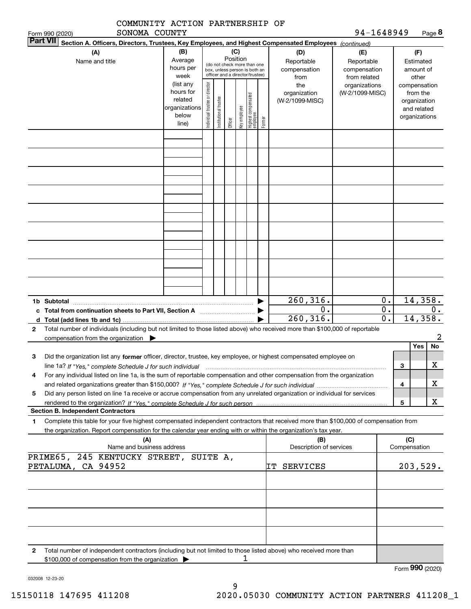| COMMUNITY ACTION PARTNERSHIP OF                                                                                                                                          |                                                                                                                                       |                                |                        |         |                 |                                                                                                 |        |                                                |                                                  |                                      |                               |                                                                                   |
|--------------------------------------------------------------------------------------------------------------------------------------------------------------------------|---------------------------------------------------------------------------------------------------------------------------------------|--------------------------------|------------------------|---------|-----------------|-------------------------------------------------------------------------------------------------|--------|------------------------------------------------|--------------------------------------------------|--------------------------------------|-------------------------------|-----------------------------------------------------------------------------------|
| SONOMA COUNTY<br>Form 990 (2020)<br><b>Part VII</b>                                                                                                                      |                                                                                                                                       |                                |                        |         |                 |                                                                                                 |        |                                                | 94-1648949                                       |                                      |                               | Page 8                                                                            |
| (A)<br>Name and title                                                                                                                                                    | Section A. Officers, Directors, Trustees, Key Employees, and Highest Compensated Employees (continued)<br>(B)<br>Average<br>hours per |                                |                        |         | (C)<br>Position | (do not check more than one<br>box, unless person is both an<br>officer and a director/trustee) |        | (D)<br>Reportable<br>compensation              | (E)<br>Reportable<br>compensation                |                                      | (F)<br>Estimated<br>amount of |                                                                                   |
|                                                                                                                                                                          | week<br>(list any<br>hours for<br>related<br>organizations<br>below<br>line)                                                          | Individual trustee or director | In stitutional trustee | Officer | Key employee    | Highest compensated<br>  employee                                                               | Former | from<br>the<br>organization<br>(W-2/1099-MISC) | from related<br>organizations<br>(W-2/1099-MISC) |                                      |                               | other<br>compensation<br>from the<br>organization<br>and related<br>organizations |
|                                                                                                                                                                          |                                                                                                                                       |                                |                        |         |                 |                                                                                                 |        |                                                |                                                  |                                      |                               |                                                                                   |
|                                                                                                                                                                          |                                                                                                                                       |                                |                        |         |                 |                                                                                                 |        |                                                |                                                  |                                      |                               |                                                                                   |
|                                                                                                                                                                          |                                                                                                                                       |                                |                        |         |                 |                                                                                                 |        |                                                |                                                  |                                      |                               |                                                                                   |
|                                                                                                                                                                          |                                                                                                                                       |                                |                        |         |                 |                                                                                                 |        |                                                |                                                  |                                      |                               |                                                                                   |
| 1b Subtotal                                                                                                                                                              |                                                                                                                                       |                                |                        |         |                 |                                                                                                 |        | 260, 316.<br>$\mathbf 0$ .                     |                                                  | $0$ .<br>$\overline{\mathfrak{0}}$ . |                               | 14,358.<br>0.                                                                     |
| d $Total (add lines 1b and 1c)$ .                                                                                                                                        |                                                                                                                                       |                                |                        |         |                 |                                                                                                 |        | 260, 316.                                      |                                                  | $\overline{\mathfrak{o}}$ .          |                               | 14,358.                                                                           |
| Total number of individuals (including but not limited to those listed above) who received more than \$100,000 of reportable<br>2<br>compensation from the organization  |                                                                                                                                       |                                |                        |         |                 |                                                                                                 |        |                                                |                                                  |                                      |                               | 2                                                                                 |
| Did the organization list any former officer, director, trustee, key employee, or highest compensated employee on<br>з                                                   |                                                                                                                                       |                                |                        |         |                 |                                                                                                 |        |                                                |                                                  |                                      | Yes                           | <b>No</b>                                                                         |
| line 1a? If "Yes," complete Schedule J for such individual manumental contents and the new manumental complete                                                           |                                                                                                                                       |                                |                        |         |                 |                                                                                                 |        |                                                |                                                  |                                      | з                             | $\mathbf X$                                                                       |
| For any individual listed on line 1a, is the sum of reportable compensation and other compensation from the organization<br>4                                            |                                                                                                                                       |                                |                        |         |                 |                                                                                                 |        |                                                |                                                  |                                      | 4                             | x                                                                                 |
| Did any person listed on line 1a receive or accrue compensation from any unrelated organization or individual for services<br>5                                          |                                                                                                                                       |                                |                        |         |                 |                                                                                                 |        |                                                |                                                  |                                      |                               |                                                                                   |
| <b>Section B. Independent Contractors</b>                                                                                                                                |                                                                                                                                       |                                |                        |         |                 |                                                                                                 |        |                                                |                                                  |                                      | 5                             | X                                                                                 |
| Complete this table for your five highest compensated independent contractors that received more than \$100,000 of compensation from<br>1                                |                                                                                                                                       |                                |                        |         |                 |                                                                                                 |        |                                                |                                                  |                                      |                               |                                                                                   |
| the organization. Report compensation for the calendar year ending with or within the organization's tax year.<br>(A)<br>Name and business address                       |                                                                                                                                       |                                |                        |         |                 |                                                                                                 |        | (B)<br>Description of services                 |                                                  |                                      | (C)<br>Compensation           |                                                                                   |
| PRIME65, 245 KENTUCKY STREET, SUITE A,<br>PETALUMA, CA 94952                                                                                                             |                                                                                                                                       |                                |                        |         |                 |                                                                                                 |        | IT SERVICES                                    |                                                  |                                      |                               | 203,529.                                                                          |
|                                                                                                                                                                          |                                                                                                                                       |                                |                        |         |                 |                                                                                                 |        |                                                |                                                  |                                      |                               |                                                                                   |
|                                                                                                                                                                          |                                                                                                                                       |                                |                        |         |                 |                                                                                                 |        |                                                |                                                  |                                      |                               |                                                                                   |
| Total number of independent contractors (including but not limited to those listed above) who received more than<br>2<br>\$100,000 of compensation from the organization |                                                                                                                                       |                                |                        |         | 1               |                                                                                                 |        |                                                |                                                  |                                      |                               |                                                                                   |
|                                                                                                                                                                          |                                                                                                                                       |                                |                        |         |                 |                                                                                                 |        |                                                |                                                  |                                      |                               | Form 990 (2020)                                                                   |

032008 12-23-20

9 15150118 147695 411208 2020.05030 COMMUNITY ACTION PARTNERS 411208\_1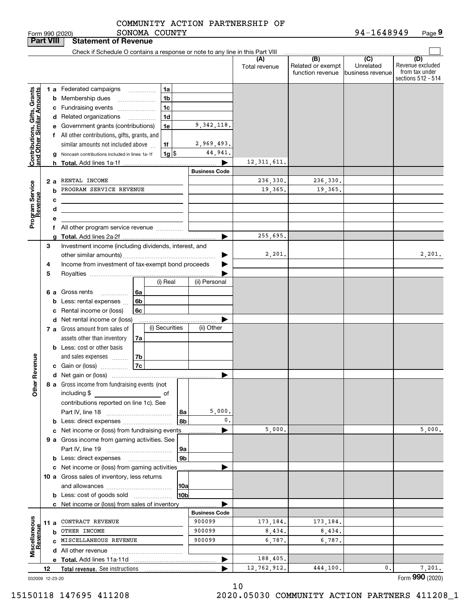|  | COMMUNITY ACTION PARTNERSHIP OF |  |
|--|---------------------------------|--|
|  |                                 |  |

|                                                           |    |           | SONOMA COUNTY<br>Form 990 (2020)                                                                                                                                                     |                      |                      |                                              | 94-1648949                                        | Page 9                                                          |
|-----------------------------------------------------------|----|-----------|--------------------------------------------------------------------------------------------------------------------------------------------------------------------------------------|----------------------|----------------------|----------------------------------------------|---------------------------------------------------|-----------------------------------------------------------------|
| <b>Part VIII</b>                                          |    |           | <b>Statement of Revenue</b>                                                                                                                                                          |                      |                      |                                              |                                                   |                                                                 |
|                                                           |    |           | Check if Schedule O contains a response or note to any line in this Part VIII                                                                                                        |                      |                      |                                              |                                                   |                                                                 |
|                                                           |    |           |                                                                                                                                                                                      |                      | (A)<br>Total revenue | (B)<br>Related or exempt<br>function revenue | $\overline{(C)}$<br>Unrelated<br>business revenue | (D)<br>Revenue excluded<br>from tax under<br>sections 512 - 514 |
|                                                           |    |           | 1a<br>1 a Federated campaigns                                                                                                                                                        |                      |                      |                                              |                                                   |                                                                 |
|                                                           |    |           | 1 <sub>b</sub><br><b>b</b> Membership dues<br>$\ldots \ldots \ldots \ldots \ldots$                                                                                                   |                      |                      |                                              |                                                   |                                                                 |
|                                                           |    |           | 1 <sub>c</sub><br>c Fundraising events                                                                                                                                               |                      |                      |                                              |                                                   |                                                                 |
|                                                           |    |           | 1 <sub>d</sub><br>d Related organizations<br>$\overline{\phantom{a}}$                                                                                                                |                      |                      |                                              |                                                   |                                                                 |
|                                                           |    |           | e Government grants (contributions)<br>1e                                                                                                                                            | 9, 342, 118.         |                      |                                              |                                                   |                                                                 |
|                                                           |    |           | f All other contributions, gifts, grants, and                                                                                                                                        |                      |                      |                                              |                                                   |                                                                 |
| Contributions, Gifts, Grants<br>and Other Similar Amounts |    |           | similar amounts not included above<br>1f                                                                                                                                             | 2,969,493.           |                      |                                              |                                                   |                                                                 |
|                                                           |    |           | $1g$ \$<br>g Noncash contributions included in lines 1a-1f                                                                                                                           | 44,941.              |                      |                                              |                                                   |                                                                 |
|                                                           |    |           |                                                                                                                                                                                      |                      | 12, 311, 611.        |                                              |                                                   |                                                                 |
|                                                           |    |           |                                                                                                                                                                                      | <b>Business Code</b> |                      |                                              |                                                   |                                                                 |
|                                                           |    | 2 a       | RENTAL INCOME                                                                                                                                                                        |                      | 236,330.             | 236,330.                                     |                                                   |                                                                 |
|                                                           |    |           | PROGRAM SERVICE REVENUE                                                                                                                                                              |                      | 19,365.              | 19,365.                                      |                                                   |                                                                 |
| Program Service<br>Revenue                                |    | с         |                                                                                                                                                                                      |                      |                      |                                              |                                                   |                                                                 |
|                                                           |    | d         |                                                                                                                                                                                      |                      |                      |                                              |                                                   |                                                                 |
|                                                           |    | е         |                                                                                                                                                                                      |                      |                      |                                              |                                                   |                                                                 |
|                                                           |    |           | f All other program service revenue                                                                                                                                                  |                      | 255,695.             |                                              |                                                   |                                                                 |
|                                                           | 3  |           | Investment income (including dividends, interest, and                                                                                                                                |                      |                      |                                              |                                                   |                                                                 |
|                                                           |    |           |                                                                                                                                                                                      |                      | 2,201.               |                                              |                                                   | 2,201.                                                          |
|                                                           | 4  |           | Income from investment of tax-exempt bond proceeds                                                                                                                                   |                      |                      |                                              |                                                   |                                                                 |
|                                                           | 5  |           |                                                                                                                                                                                      |                      |                      |                                              |                                                   |                                                                 |
|                                                           |    |           | (i) Real                                                                                                                                                                             | (ii) Personal        |                      |                                              |                                                   |                                                                 |
|                                                           |    | 6а        | Gross rents<br>6а                                                                                                                                                                    |                      |                      |                                              |                                                   |                                                                 |
|                                                           |    |           | 6b<br><b>b</b> Less: rental expenses                                                                                                                                                 |                      |                      |                                              |                                                   |                                                                 |
|                                                           |    |           | 6c<br>Rental income or (loss)                                                                                                                                                        |                      |                      |                                              |                                                   |                                                                 |
|                                                           |    |           | d Net rental income or (loss)                                                                                                                                                        |                      |                      |                                              |                                                   |                                                                 |
|                                                           |    |           | (i) Securities<br><b>7 a</b> Gross amount from sales of                                                                                                                              | (ii) Other           |                      |                                              |                                                   |                                                                 |
|                                                           |    |           | assets other than inventory<br>7a                                                                                                                                                    |                      |                      |                                              |                                                   |                                                                 |
|                                                           |    |           | <b>b</b> Less: cost or other basis                                                                                                                                                   |                      |                      |                                              |                                                   |                                                                 |
|                                                           |    |           | 7b<br>and sales expenses                                                                                                                                                             |                      |                      |                                              |                                                   |                                                                 |
| evenue                                                    |    |           | 7c<br>c Gain or (loss)                                                                                                                                                               |                      |                      |                                              |                                                   |                                                                 |
| č                                                         |    |           |                                                                                                                                                                                      |                      |                      |                                              |                                                   |                                                                 |
| Other                                                     |    |           | 8 a Gross income from fundraising events (not<br>including \$<br>and the contract of the contract of the contract of the contract of the contract of the contract of the contract of |                      |                      |                                              |                                                   |                                                                 |
|                                                           |    |           | contributions reported on line 1c). See                                                                                                                                              |                      |                      |                                              |                                                   |                                                                 |
|                                                           |    |           | 8a                                                                                                                                                                                   | 5,000.               |                      |                                              |                                                   |                                                                 |
|                                                           |    |           | 8b<br><b>b</b> Less: direct expenses                                                                                                                                                 | $\mathbf{0}$ .       |                      |                                              |                                                   |                                                                 |
|                                                           |    |           | c Net income or (loss) from fundraising events                                                                                                                                       |                      | 5,000.               |                                              |                                                   | 5,000.                                                          |
|                                                           |    |           | 9 a Gross income from gaming activities. See                                                                                                                                         |                      |                      |                                              |                                                   |                                                                 |
|                                                           |    |           | 9а                                                                                                                                                                                   |                      |                      |                                              |                                                   |                                                                 |
|                                                           |    |           | 9 <sub>b</sub><br><b>b</b> Less: direct expenses <b>manually</b>                                                                                                                     |                      |                      |                                              |                                                   |                                                                 |
|                                                           |    |           | c Net income or (loss) from gaming activities                                                                                                                                        |                      |                      |                                              |                                                   |                                                                 |
|                                                           |    |           | 10 a Gross sales of inventory, less returns                                                                                                                                          |                      |                      |                                              |                                                   |                                                                 |
|                                                           |    |           | 10a                                                                                                                                                                                  |                      |                      |                                              |                                                   |                                                                 |
|                                                           |    |           | 10b<br><b>b</b> Less: cost of goods sold                                                                                                                                             |                      |                      |                                              |                                                   |                                                                 |
|                                                           |    |           | c Net income or (loss) from sales of inventory                                                                                                                                       | <b>Business Code</b> |                      |                                              |                                                   |                                                                 |
|                                                           |    |           | CONTRACT REVENUE                                                                                                                                                                     | 900099               | 173,184.             | 173,184.                                     |                                                   |                                                                 |
|                                                           |    | 11 a<br>b | OTHER INCOME                                                                                                                                                                         | 900099               | 8,434.               | 8,434.                                       |                                                   |                                                                 |
|                                                           |    |           | C MISCELLANEOUS REVENUE                                                                                                                                                              | 900099               | 6,787.               | 6,787.                                       |                                                   |                                                                 |
| Miscellaneous<br>Revenue                                  |    |           |                                                                                                                                                                                      |                      |                      |                                              |                                                   |                                                                 |
|                                                           |    |           |                                                                                                                                                                                      |                      | 188,405.             |                                              |                                                   |                                                                 |
|                                                           | 12 |           | Total revenue. See instructions                                                                                                                                                      |                      | 12,762,912.          | 444,100.                                     | 0.                                                | 7,201.                                                          |
| 032009 12-23-20                                           |    |           |                                                                                                                                                                                      |                      |                      |                                              |                                                   | Form 990 (2020)                                                 |

10

032009 12-23-20

15150118 147695 411208 2020.05030 COMMUNITY ACTION PARTNERS 411208\_1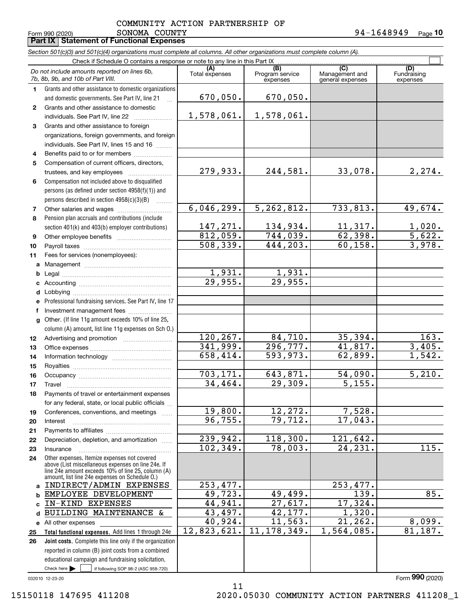#### Form 990 (2020) Page **Part IX Statement of Functional Expenses** SONOMA COUNTY 94-1648949 COMMUNITY ACTION PARTNERSHIP OF

**10**

|              | Section 501(c)(3) and 501(c)(4) organizations must complete all columns. All other organizations must complete column (A).                                 |                       |                                    |                                           |                                |
|--------------|------------------------------------------------------------------------------------------------------------------------------------------------------------|-----------------------|------------------------------------|-------------------------------------------|--------------------------------|
|              | Check if Schedule O contains a response or note to any line in this Part IX                                                                                |                       |                                    |                                           |                                |
|              | Do not include amounts reported on lines 6b,<br>7b, 8b, 9b, and 10b of Part VIII.                                                                          | (A)<br>Total expenses | (B)<br>Program service<br>expenses | (C)<br>Management and<br>general expenses | (D)<br>Fundraising<br>expenses |
| 1.           | Grants and other assistance to domestic organizations                                                                                                      |                       |                                    |                                           |                                |
|              | and domestic governments. See Part IV, line 21                                                                                                             | 670,050.              | 670,050.                           |                                           |                                |
| $\mathbf{2}$ | Grants and other assistance to domestic                                                                                                                    |                       |                                    |                                           |                                |
|              | individuals. See Part IV, line 22                                                                                                                          | 1,578,061.            | 1,578,061.                         |                                           |                                |
| 3            | Grants and other assistance to foreign                                                                                                                     |                       |                                    |                                           |                                |
|              | organizations, foreign governments, and foreign                                                                                                            |                       |                                    |                                           |                                |
|              | individuals. See Part IV, lines 15 and 16                                                                                                                  |                       |                                    |                                           |                                |
| 4            | Benefits paid to or for members                                                                                                                            |                       |                                    |                                           |                                |
| 5            | Compensation of current officers, directors,                                                                                                               |                       |                                    |                                           |                                |
|              | trustees, and key employees                                                                                                                                | 279,933.              | 244,581.                           | 33,078.                                   | 2, 274.                        |
| 6            | Compensation not included above to disqualified<br>persons (as defined under section 4958(f)(1)) and                                                       |                       |                                    |                                           |                                |
|              | persons described in section 4958(c)(3)(B)                                                                                                                 |                       |                                    |                                           |                                |
| 7            |                                                                                                                                                            | 6,046,299.            | 5, 262, 812.                       | 733,813.                                  | 49,674.                        |
| 8            | Pension plan accruals and contributions (include                                                                                                           |                       |                                    |                                           |                                |
|              | section 401(k) and 403(b) employer contributions)                                                                                                          | 147,271.              | 134,934.                           | 11,317.                                   |                                |
| 9            |                                                                                                                                                            | 812,059.              | 744,039.                           | 62,398.                                   | $\frac{1,020}{5,622}$          |
| 10           |                                                                                                                                                            | 508,339.              | 444,203.                           | 60, 158.                                  | 3,978.                         |
| 11           | Fees for services (nonemployees):                                                                                                                          |                       |                                    |                                           |                                |
| a            |                                                                                                                                                            |                       |                                    |                                           |                                |
| b            |                                                                                                                                                            | 1,931.                | 1,931.                             |                                           |                                |
| с            |                                                                                                                                                            | 29,955.               | 29,955.                            |                                           |                                |
| d            |                                                                                                                                                            |                       |                                    |                                           |                                |
| е            | Professional fundraising services. See Part IV, line 17                                                                                                    |                       |                                    |                                           |                                |
| f            | Investment management fees                                                                                                                                 |                       |                                    |                                           |                                |
| a            | Other. (If line 11g amount exceeds 10% of line 25,                                                                                                         |                       |                                    |                                           |                                |
|              | column (A) amount, list line 11g expenses on Sch O.)                                                                                                       | 120,267.              | 84,710.                            | 35,394.                                   | 163.                           |
| 12           |                                                                                                                                                            | 341,999.              | 296,777.                           | 41,817.                                   | 3,405.                         |
| 13<br>14     |                                                                                                                                                            | 658,414.              | 593,973.                           | 62,899.                                   | 1,542.                         |
| 15           |                                                                                                                                                            |                       |                                    |                                           |                                |
| 16           |                                                                                                                                                            | 703, 171.             | 643,871.                           | 54,090.                                   | $\overline{5,210}$ .           |
| 17           |                                                                                                                                                            | 34,464.               | 29,309.                            | 5,155.                                    |                                |
| 18           | Payments of travel or entertainment expenses                                                                                                               |                       |                                    |                                           |                                |
|              | for any federal, state, or local public officials                                                                                                          |                       |                                    |                                           |                                |
| 19           | Conferences, conventions, and meetings                                                                                                                     | 19,800.               | 12,272.                            | 7,528.                                    |                                |
| 20           | Interest                                                                                                                                                   | 96, 755.              | 79,712.                            | 17,043.                                   |                                |
| 21           |                                                                                                                                                            |                       |                                    |                                           |                                |
| 22           | Depreciation, depletion, and amortization                                                                                                                  | 239,942.<br>102, 349. | 118,300.<br>78,003.                | 121,642.<br>24,231.                       | 115.                           |
| 23<br>24     | Insurance<br>Other expenses. Itemize expenses not covered                                                                                                  |                       |                                    |                                           |                                |
|              | above (List miscellaneous expenses on line 24e. If<br>line 24e amount exceeds 10% of line 25, column (A)<br>amount, list line 24e expenses on Schedule O.) |                       |                                    |                                           |                                |
| a            | INDIRECT/ADMIN EXPENSES                                                                                                                                    | 253,477.              |                                    | 253,477.                                  |                                |
| b            | EMPLOYEE DEVELOPMENT                                                                                                                                       | 49,723.               | 49,499.                            | 139.                                      | 85.                            |
| c            | IN-KIND EXPENSES                                                                                                                                           | 44,941.               | 27,617.                            | 17,324.                                   |                                |
| d            | BUILDING MAINTENANCE &                                                                                                                                     | 43,497.               | 42,177.                            | 1,320.                                    |                                |
| е            | All other expenses                                                                                                                                         | 40,924.               | 11,563.                            | 21, 262.                                  | 8,099.                         |
| 25           | Total functional expenses. Add lines 1 through 24e                                                                                                         | 12,823,621.           | 11, 178, 349.                      | 1,564,085.                                | 81,187.                        |
| 26           | Joint costs. Complete this line only if the organization                                                                                                   |                       |                                    |                                           |                                |
|              | reported in column (B) joint costs from a combined                                                                                                         |                       |                                    |                                           |                                |
|              | educational campaign and fundraising solicitation.                                                                                                         |                       |                                    |                                           |                                |
|              | Check here<br>if following SOP 98-2 (ASC 958-720)                                                                                                          |                       |                                    |                                           |                                |

032010 12-23-20

11 15150118 147695 411208 2020.05030 COMMUNITY ACTION PARTNERS 411208\_1

Form (2020) **990**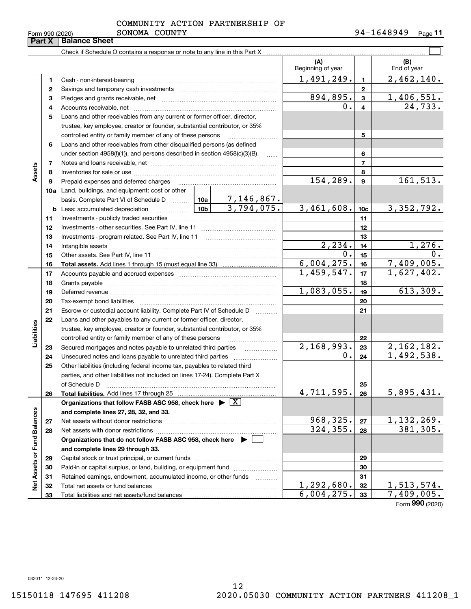Form 990 (2020) Page **11**

|                             | Part X       | <b>Balance Sheet</b>                                                                                                                                                                                                          |                          |                  |                                |
|-----------------------------|--------------|-------------------------------------------------------------------------------------------------------------------------------------------------------------------------------------------------------------------------------|--------------------------|------------------|--------------------------------|
|                             |              |                                                                                                                                                                                                                               |                          |                  |                                |
|                             |              |                                                                                                                                                                                                                               | (A)<br>Beginning of year |                  | (B)<br>End of year             |
|                             | 1            |                                                                                                                                                                                                                               | 1,491,249.               | $\mathbf{1}$     | 2,462,140.                     |
|                             | $\mathbf{2}$ |                                                                                                                                                                                                                               |                          | $\mathbf{2}$     |                                |
|                             | З            |                                                                                                                                                                                                                               | 894,895.                 | 3                | 1,406,551.                     |
|                             | 4            |                                                                                                                                                                                                                               | 0.                       | 4                | 24, 733.                       |
|                             | 5            | Loans and other receivables from any current or former officer, director,                                                                                                                                                     |                          |                  |                                |
|                             |              | trustee, key employee, creator or founder, substantial contributor, or 35%                                                                                                                                                    |                          |                  |                                |
|                             |              | controlled entity or family member of any of these persons                                                                                                                                                                    |                          | 5                |                                |
|                             | 6            | Loans and other receivables from other disqualified persons (as defined                                                                                                                                                       |                          |                  |                                |
|                             |              | under section $4958(f)(1)$ , and persons described in section $4958(c)(3)(B)$<br>$\ldots$                                                                                                                                     |                          | 6                |                                |
|                             | 7            |                                                                                                                                                                                                                               |                          | $\overline{7}$   |                                |
| Assets                      | 8            |                                                                                                                                                                                                                               |                          | 8                |                                |
|                             | 9            | Prepaid expenses and deferred charges                                                                                                                                                                                         | 154,289.                 | $\boldsymbol{9}$ | 161, 513.                      |
|                             |              | <b>10a</b> Land, buildings, and equipment: cost or other                                                                                                                                                                      |                          |                  |                                |
|                             |              | 7,146,867.<br>basis. Complete Part VI of Schedule D  10a                                                                                                                                                                      |                          |                  |                                |
|                             | b            | 3,794,075.<br><u>  1</u> 0b  <br>Less: accumulated depreciation                                                                                                                                                               | 3,461,608.               | 10 <sub>c</sub>  | 3, 352, 792.                   |
|                             | 11           |                                                                                                                                                                                                                               |                          | 11               |                                |
|                             | 12           |                                                                                                                                                                                                                               |                          | 12               |                                |
|                             | 13           |                                                                                                                                                                                                                               |                          | 13               |                                |
|                             | 14           |                                                                                                                                                                                                                               | 2, 234.                  | 14               | $\overline{1,276}$ .           |
|                             | 15           |                                                                                                                                                                                                                               | 0.                       | 15               | 0.                             |
|                             | 16           |                                                                                                                                                                                                                               | 6,004,275.               | 16               | 7,409,005.                     |
|                             | 17           |                                                                                                                                                                                                                               | 1,459,547.               | 17               | 1,627,402.                     |
|                             | 18           |                                                                                                                                                                                                                               |                          | 18               |                                |
|                             | 19           | Deferred revenue material contracts and contracts are all the material contracts and contracts are all the contracts of the contracts of the contracts of the contracts of the contracts of the contracts of the contracts of | 1,083,055.               | 19               | 613,309.                       |
|                             | 20           |                                                                                                                                                                                                                               |                          | 20               |                                |
|                             | 21           | Escrow or custodial account liability. Complete Part IV of Schedule D<br>1.1.1.1.1.1.1.1.1.1                                                                                                                                  |                          | 21               |                                |
|                             | 22           | Loans and other payables to any current or former officer, director,                                                                                                                                                          |                          |                  |                                |
| Liabilities                 |              | trustee, key employee, creator or founder, substantial contributor, or 35%                                                                                                                                                    |                          |                  |                                |
|                             |              | controlled entity or family member of any of these persons                                                                                                                                                                    |                          | 22               |                                |
|                             | 23           | Secured mortgages and notes payable to unrelated third parties                                                                                                                                                                | 2,168,993.               | 23               | 2, 162, 182.                   |
|                             | 24           | Unsecured notes and loans payable to unrelated third parties                                                                                                                                                                  | 0.                       | 24               | 1,492,538.                     |
|                             | 25           | Other liabilities (including federal income tax, payables to related third                                                                                                                                                    |                          |                  |                                |
|                             |              | parties, and other liabilities not included on lines 17-24). Complete Part X                                                                                                                                                  |                          |                  |                                |
|                             |              | of Schedule D                                                                                                                                                                                                                 |                          | 25               |                                |
|                             | 26           | Total liabilities. Add lines 17 through 25                                                                                                                                                                                    | 4,711,595.               | 26               | 5,895,431.                     |
|                             |              | Organizations that follow FASB ASC 958, check here $\blacktriangleright \boxed{X}$                                                                                                                                            |                          |                  |                                |
|                             |              | and complete lines 27, 28, 32, and 33.                                                                                                                                                                                        |                          |                  |                                |
|                             | 27           | Net assets without donor restrictions                                                                                                                                                                                         | 968,325.<br>324,355.     | 27               | <u>1,132,269.</u><br>381, 305. |
|                             | 28           | Net assets with donor restrictions                                                                                                                                                                                            |                          | 28               |                                |
|                             |              | Organizations that do not follow FASB ASC 958, check here $\blacktriangleright$                                                                                                                                               |                          |                  |                                |
| Net Assets or Fund Balances |              | and complete lines 29 through 33.                                                                                                                                                                                             |                          |                  |                                |
|                             | 29           |                                                                                                                                                                                                                               |                          | 29               |                                |
|                             | 30           | Paid-in or capital surplus, or land, building, or equipment fund                                                                                                                                                              |                          | 30               |                                |
|                             | 31           | Retained earnings, endowment, accumulated income, or other funds<br>.                                                                                                                                                         | 1,292,680.               | 31               | 1,513,574.                     |
|                             | 32           | Total net assets or fund balances                                                                                                                                                                                             | 6,004,275.               | 32<br>33         | 7,409,005.                     |
|                             | 33           |                                                                                                                                                                                                                               |                          |                  |                                |

Form (2020) **990**

032011 12-23-20

 $\overline{\phantom{0}}$ 

 $\overline{\phantom{0}}$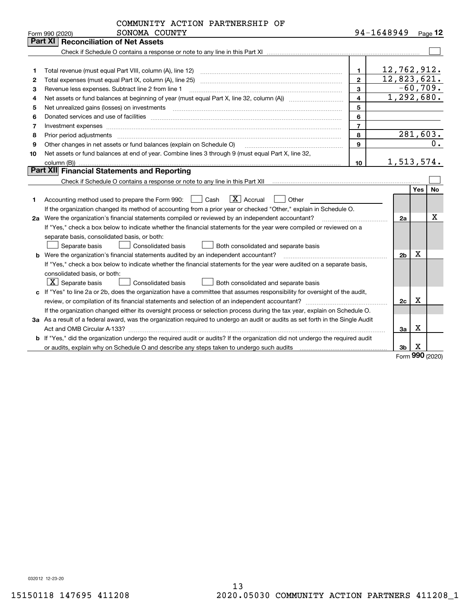|               |  | COMMUNITY ACTION PARTNERSHIP OF |  |
|---------------|--|---------------------------------|--|
| SONOMA COUNTY |  |                                 |  |

|    | SONOMA COUNTY<br>Form 990 (2020)                                                                                                |                  | 94-1648949     |          | Page $12$  |  |  |
|----|---------------------------------------------------------------------------------------------------------------------------------|------------------|----------------|----------|------------|--|--|
|    | <b>Part XI   Reconciliation of Net Assets</b>                                                                                   |                  |                |          |            |  |  |
|    |                                                                                                                                 |                  |                |          |            |  |  |
|    |                                                                                                                                 |                  |                |          |            |  |  |
| 1  |                                                                                                                                 | $\mathbf{1}$     | 12,762,912.    |          |            |  |  |
| 2  | Total expenses (must equal Part IX, column (A), line 25)                                                                        | $\overline{2}$   | 12,823,621.    |          | $-60,709.$ |  |  |
| з  | $\overline{\mathbf{3}}$<br>Revenue less expenses. Subtract line 2 from line 1                                                   |                  |                |          |            |  |  |
| 4  |                                                                                                                                 | $\overline{4}$   | 1,292,680.     |          |            |  |  |
| 5  | Net unrealized gains (losses) on investments                                                                                    | 5                |                |          |            |  |  |
| 6  |                                                                                                                                 | 6                |                |          |            |  |  |
| 7  | Investment expenses                                                                                                             | $\overline{7}$   |                |          |            |  |  |
| 8  |                                                                                                                                 | 8                |                | 281,603. |            |  |  |
| 9  | Other changes in net assets or fund balances (explain on Schedule O)                                                            | $\mathbf{9}$     |                |          | 0.         |  |  |
| 10 | Net assets or fund balances at end of year. Combine lines 3 through 9 (must equal Part X, line 32,                              |                  |                |          |            |  |  |
|    |                                                                                                                                 | 10 <sup>10</sup> | 1,513,574.     |          |            |  |  |
|    | Part XII Financial Statements and Reporting                                                                                     |                  |                |          |            |  |  |
|    |                                                                                                                                 |                  |                |          |            |  |  |
|    |                                                                                                                                 |                  |                | Yes      | No         |  |  |
| 1  | $\boxed{\text{X}}$ Accrual<br>Accounting method used to prepare the Form 990: <u>June</u> Cash<br>Other                         |                  |                |          |            |  |  |
|    | If the organization changed its method of accounting from a prior year or checked "Other," explain in Schedule O.               |                  |                |          |            |  |  |
|    | 2a Were the organization's financial statements compiled or reviewed by an independent accountant?                              |                  | 2a             |          | X          |  |  |
|    | If "Yes," check a box below to indicate whether the financial statements for the year were compiled or reviewed on a            |                  |                |          |            |  |  |
|    | separate basis, consolidated basis, or both:                                                                                    |                  |                |          |            |  |  |
|    | Separate basis<br>Both consolidated and separate basis<br>Consolidated basis                                                    |                  |                |          |            |  |  |
|    | <b>b</b> Were the organization's financial statements audited by an independent accountant?                                     |                  | 2 <sub>b</sub> | X        |            |  |  |
|    | If "Yes," check a box below to indicate whether the financial statements for the year were audited on a separate basis,         |                  |                |          |            |  |  |
|    | consolidated basis, or both:                                                                                                    |                  |                |          |            |  |  |
|    | $\boxed{\textbf{X}}$ Separate basis<br>Consolidated basis<br>Both consolidated and separate basis                               |                  |                |          |            |  |  |
|    | c If "Yes" to line 2a or 2b, does the organization have a committee that assumes responsibility for oversight of the audit,     |                  |                |          |            |  |  |
|    |                                                                                                                                 |                  | 2c             | X        |            |  |  |
|    | If the organization changed either its oversight process or selection process during the tax year, explain on Schedule O.       |                  |                |          |            |  |  |
|    | 3a As a result of a federal award, was the organization required to undergo an audit or audits as set forth in the Single Audit |                  |                |          |            |  |  |
|    |                                                                                                                                 |                  | За             | X        |            |  |  |
|    | b If "Yes," did the organization undergo the required audit or audits? If the organization did not undergo the required audit   |                  |                |          |            |  |  |
|    |                                                                                                                                 |                  | 3b             | x<br>000 |            |  |  |

Form (2020) **990**

032012 12-23-20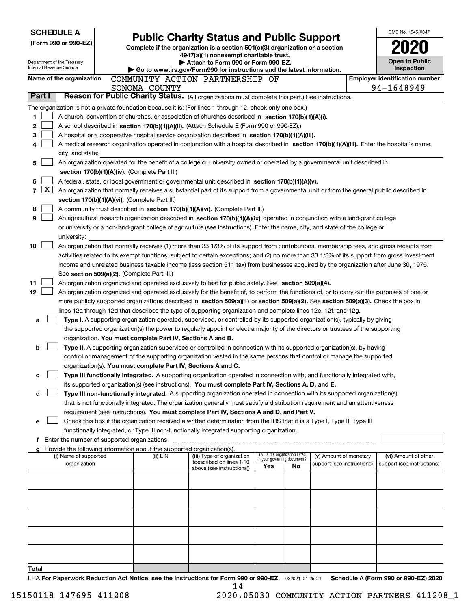|                              |                     | <b>SCHEDULE A</b><br>(Form 990 or 990-EZ)<br>Department of the Treasury<br>Internal Revenue Service                                                                                                                                                                            |  | <b>Public Charity Status and Public Support</b><br>Complete if the organization is a section 501(c)(3) organization or a section<br>4947(a)(1) nonexempt charitable trust.<br>Attach to Form 990 or Form 990-EZ.    |                                                                                                                                                                                                                                                                                                                                                                                                                                                                                                                                                                                                                                                                                                                                                                                                                                                                                                                                                                                                                                                                                                                                                                                                                                                                                                                                                                                                                                                                                                                                                                                                                                                                                                                                                                                                                                                                                                                                             |                                    |                                       |                                                      |  | OMB No. 1545-0047<br><b>Open to Public</b><br>Inspection |  |
|------------------------------|---------------------|--------------------------------------------------------------------------------------------------------------------------------------------------------------------------------------------------------------------------------------------------------------------------------|--|---------------------------------------------------------------------------------------------------------------------------------------------------------------------------------------------------------------------|---------------------------------------------------------------------------------------------------------------------------------------------------------------------------------------------------------------------------------------------------------------------------------------------------------------------------------------------------------------------------------------------------------------------------------------------------------------------------------------------------------------------------------------------------------------------------------------------------------------------------------------------------------------------------------------------------------------------------------------------------------------------------------------------------------------------------------------------------------------------------------------------------------------------------------------------------------------------------------------------------------------------------------------------------------------------------------------------------------------------------------------------------------------------------------------------------------------------------------------------------------------------------------------------------------------------------------------------------------------------------------------------------------------------------------------------------------------------------------------------------------------------------------------------------------------------------------------------------------------------------------------------------------------------------------------------------------------------------------------------------------------------------------------------------------------------------------------------------------------------------------------------------------------------------------------------|------------------------------------|---------------------------------------|------------------------------------------------------|--|----------------------------------------------------------|--|
|                              |                     | Name of the organization                                                                                                                                                                                                                                                       |  |                                                                                                                                                                                                                     | Go to www.irs.gov/Form990 for instructions and the latest information.<br>COMMUNITY ACTION PARTNERSHIP OF                                                                                                                                                                                                                                                                                                                                                                                                                                                                                                                                                                                                                                                                                                                                                                                                                                                                                                                                                                                                                                                                                                                                                                                                                                                                                                                                                                                                                                                                                                                                                                                                                                                                                                                                                                                                                                   |                                    |                                       |                                                      |  | <b>Employer identification number</b>                    |  |
|                              |                     |                                                                                                                                                                                                                                                                                |  | SONOMA COUNTY                                                                                                                                                                                                       |                                                                                                                                                                                                                                                                                                                                                                                                                                                                                                                                                                                                                                                                                                                                                                                                                                                                                                                                                                                                                                                                                                                                                                                                                                                                                                                                                                                                                                                                                                                                                                                                                                                                                                                                                                                                                                                                                                                                             |                                    |                                       |                                                      |  | 94-1648949                                               |  |
|                              | Part I              |                                                                                                                                                                                                                                                                                |  |                                                                                                                                                                                                                     | Reason for Public Charity Status. (All organizations must complete this part.) See instructions.                                                                                                                                                                                                                                                                                                                                                                                                                                                                                                                                                                                                                                                                                                                                                                                                                                                                                                                                                                                                                                                                                                                                                                                                                                                                                                                                                                                                                                                                                                                                                                                                                                                                                                                                                                                                                                            |                                    |                                       |                                                      |  |                                                          |  |
| 1<br>2<br>3<br>4             |                     | city, and state:                                                                                                                                                                                                                                                               |  |                                                                                                                                                                                                                     | The organization is not a private foundation because it is: (For lines 1 through 12, check only one box.)<br>A church, convention of churches, or association of churches described in section 170(b)(1)(A)(i).<br>A school described in section 170(b)(1)(A)(ii). (Attach Schedule E (Form 990 or 990-EZ).)<br>A hospital or a cooperative hospital service organization described in section 170(b)(1)(A)(iii).<br>A medical research organization operated in conjunction with a hospital described in section 170(b)(1)(A)(iii). Enter the hospital's name,                                                                                                                                                                                                                                                                                                                                                                                                                                                                                                                                                                                                                                                                                                                                                                                                                                                                                                                                                                                                                                                                                                                                                                                                                                                                                                                                                                             |                                    |                                       |                                                      |  |                                                          |  |
| 5                            |                     |                                                                                                                                                                                                                                                                                |  |                                                                                                                                                                                                                     | An organization operated for the benefit of a college or university owned or operated by a governmental unit described in                                                                                                                                                                                                                                                                                                                                                                                                                                                                                                                                                                                                                                                                                                                                                                                                                                                                                                                                                                                                                                                                                                                                                                                                                                                                                                                                                                                                                                                                                                                                                                                                                                                                                                                                                                                                                   |                                    |                                       |                                                      |  |                                                          |  |
| 6<br>7<br>8                  | $\lfloor x \rfloor$ |                                                                                                                                                                                                                                                                                |  | section 170(b)(1)(A)(iv). (Complete Part II.)<br>section 170(b)(1)(A)(vi). (Complete Part II.)                                                                                                                      | A federal, state, or local government or governmental unit described in section 170(b)(1)(A)(v).<br>An organization that normally receives a substantial part of its support from a governmental unit or from the general public described in<br>A community trust described in section 170(b)(1)(A)(vi). (Complete Part II.)                                                                                                                                                                                                                                                                                                                                                                                                                                                                                                                                                                                                                                                                                                                                                                                                                                                                                                                                                                                                                                                                                                                                                                                                                                                                                                                                                                                                                                                                                                                                                                                                               |                                    |                                       |                                                      |  |                                                          |  |
| 9                            |                     | An agricultural research organization described in section 170(b)(1)(A)(ix) operated in conjunction with a land-grant college<br>or university or a non-land-grant college of agriculture (see instructions). Enter the name, city, and state of the college or<br>university: |  |                                                                                                                                                                                                                     |                                                                                                                                                                                                                                                                                                                                                                                                                                                                                                                                                                                                                                                                                                                                                                                                                                                                                                                                                                                                                                                                                                                                                                                                                                                                                                                                                                                                                                                                                                                                                                                                                                                                                                                                                                                                                                                                                                                                             |                                    |                                       |                                                      |  |                                                          |  |
| 10                           |                     |                                                                                                                                                                                                                                                                                |  | See section 509(a)(2). (Complete Part III.)                                                                                                                                                                         | An organization that normally receives (1) more than 33 1/3% of its support from contributions, membership fees, and gross receipts from<br>activities related to its exempt functions, subject to certain exceptions; and (2) no more than 33 1/3% of its support from gross investment<br>income and unrelated business taxable income (less section 511 tax) from businesses acquired by the organization after June 30, 1975.                                                                                                                                                                                                                                                                                                                                                                                                                                                                                                                                                                                                                                                                                                                                                                                                                                                                                                                                                                                                                                                                                                                                                                                                                                                                                                                                                                                                                                                                                                           |                                    |                                       |                                                      |  |                                                          |  |
| 11<br>12<br>a<br>b<br>d<br>е |                     | Enter the number of supported organizations<br>(i) Name of supported<br>organization                                                                                                                                                                                           |  | organization. You must complete Part IV, Sections A and B.<br>organization(s). You must complete Part IV, Sections A and C.<br>g Provide the following information about the supported organization(s).<br>(ii) EIN | An organization organized and operated exclusively to test for public safety. See section 509(a)(4).<br>An organization organized and operated exclusively for the benefit of, to perform the functions of, or to carry out the purposes of one or<br>more publicly supported organizations described in section 509(a)(1) or section 509(a)(2). See section 509(a)(3). Check the box in<br>lines 12a through 12d that describes the type of supporting organization and complete lines 12e, 12f, and 12g.<br>Type I. A supporting organization operated, supervised, or controlled by its supported organization(s), typically by giving<br>the supported organization(s) the power to regularly appoint or elect a majority of the directors or trustees of the supporting<br>Type II. A supporting organization supervised or controlled in connection with its supported organization(s), by having<br>control or management of the supporting organization vested in the same persons that control or manage the supported<br>Type III functionally integrated. A supporting organization operated in connection with, and functionally integrated with,<br>its supported organization(s) (see instructions). You must complete Part IV, Sections A, D, and E.<br>Type III non-functionally integrated. A supporting organization operated in connection with its supported organization(s)<br>that is not functionally integrated. The organization generally must satisfy a distribution requirement and an attentiveness<br>requirement (see instructions). You must complete Part IV, Sections A and D, and Part V.<br>Check this box if the organization received a written determination from the IRS that it is a Type I, Type II, Type III<br>functionally integrated, or Type III non-functionally integrated supporting organization.<br>(iii) Type of organization<br>(described on lines 1-10<br>above (see instructions)) | in your governing document?<br>Yes | (iv) Is the organization listed<br>No | (v) Amount of monetary<br>support (see instructions) |  | (vi) Amount of other<br>support (see instructions)       |  |
| Total                        |                     |                                                                                                                                                                                                                                                                                |  |                                                                                                                                                                                                                     | U.H.A. For Dangrwork Reduction Act Notice, see the Instructions for Form 990 or 990-F7 022021 01:05:21 Schedule A (Form 990 or 990-F7) 2020                                                                                                                                                                                                                                                                                                                                                                                                                                                                                                                                                                                                                                                                                                                                                                                                                                                                                                                                                                                                                                                                                                                                                                                                                                                                                                                                                                                                                                                                                                                                                                                                                                                                                                                                                                                                 |                                    |                                       |                                                      |  |                                                          |  |

032021 01-25-21 **For Paperwork Reduction Act Notice, see the Instructions for Form 990 or 990-EZ. Schedule A (Form 990 or 990-EZ) 2020 LHA For Paperwork Reduction Act Notice, see the Instructions for I** orm 990<br>14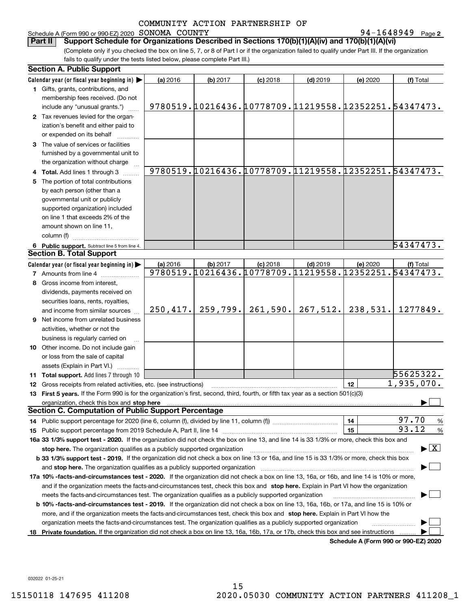|  | Schedule A (Form 990 or 990-EZ) 2020 SONOMA COUNTY |  |  | 94-1648949 $_{Page 2}$ |  |
|--|----------------------------------------------------|--|--|------------------------|--|
|--|----------------------------------------------------|--|--|------------------------|--|

(Complete only if you checked the box on line 5, 7, or 8 of Part I or if the organization failed to qualify under Part III. If the organization fails to qualify under the tests listed below, please complete Part III.) **Part II Support Schedule for Organizations Described in Sections 170(b)(1)(A)(iv) and 170(b)(1)(A)(vi)**

| Calendar year (or fiscal year beginning in) $\blacktriangleright$<br>(a) 2016<br>(b) 2017<br>$(c)$ 2018<br>$(d)$ 2019<br>(e) 2020<br>(f) Total<br><b>1</b> Gifts, grants, contributions, and<br>membership fees received. (Do not<br>9780519.10216436.10778709.11219558.12352251.54347473.<br>include any "unusual grants.")<br>2 Tax revenues levied for the organ-<br>ization's benefit and either paid to<br>or expended on its behalf<br>3 The value of services or facilities<br>furnished by a governmental unit to<br>the organization without charge<br>9780519.10216436.10778709.11219558.12352251.54347473.<br>4 Total. Add lines 1 through 3<br>5 The portion of total contributions<br>by each person (other than a<br>governmental unit or publicly<br>supported organization) included<br>on line 1 that exceeds 2% of the<br>amount shown on line 11,<br>column (f)<br>54347473.<br>6 Public support. Subtract line 5 from line 4.<br><b>Section B. Total Support</b><br>Calendar year (or fiscal year beginning in)<br>(a) 2016<br>(b) 2017<br>$(c)$ 2018<br>$(d)$ 2019<br>(e) 2020<br>(f) Total<br>9780519.10216436.10778709.11219558.12352251.54347473.<br><b>7</b> Amounts from line 4<br>8 Gross income from interest,<br>dividends, payments received on<br>securities loans, rents, royalties,<br>267,512.<br>238,531.<br>259,799.<br>261,590.<br>1277849.<br>250, 417.<br>and income from similar sources<br>9 Net income from unrelated business<br>activities, whether or not the<br>business is regularly carried on<br>10 Other income. Do not include gain<br>or loss from the sale of capital |
|----------------------------------------------------------------------------------------------------------------------------------------------------------------------------------------------------------------------------------------------------------------------------------------------------------------------------------------------------------------------------------------------------------------------------------------------------------------------------------------------------------------------------------------------------------------------------------------------------------------------------------------------------------------------------------------------------------------------------------------------------------------------------------------------------------------------------------------------------------------------------------------------------------------------------------------------------------------------------------------------------------------------------------------------------------------------------------------------------------------------------------------------------------------------------------------------------------------------------------------------------------------------------------------------------------------------------------------------------------------------------------------------------------------------------------------------------------------------------------------------------------------------------------------------------------------------------------------------------------------------------|
|                                                                                                                                                                                                                                                                                                                                                                                                                                                                                                                                                                                                                                                                                                                                                                                                                                                                                                                                                                                                                                                                                                                                                                                                                                                                                                                                                                                                                                                                                                                                                                                                                            |
|                                                                                                                                                                                                                                                                                                                                                                                                                                                                                                                                                                                                                                                                                                                                                                                                                                                                                                                                                                                                                                                                                                                                                                                                                                                                                                                                                                                                                                                                                                                                                                                                                            |
|                                                                                                                                                                                                                                                                                                                                                                                                                                                                                                                                                                                                                                                                                                                                                                                                                                                                                                                                                                                                                                                                                                                                                                                                                                                                                                                                                                                                                                                                                                                                                                                                                            |
|                                                                                                                                                                                                                                                                                                                                                                                                                                                                                                                                                                                                                                                                                                                                                                                                                                                                                                                                                                                                                                                                                                                                                                                                                                                                                                                                                                                                                                                                                                                                                                                                                            |
|                                                                                                                                                                                                                                                                                                                                                                                                                                                                                                                                                                                                                                                                                                                                                                                                                                                                                                                                                                                                                                                                                                                                                                                                                                                                                                                                                                                                                                                                                                                                                                                                                            |
|                                                                                                                                                                                                                                                                                                                                                                                                                                                                                                                                                                                                                                                                                                                                                                                                                                                                                                                                                                                                                                                                                                                                                                                                                                                                                                                                                                                                                                                                                                                                                                                                                            |
|                                                                                                                                                                                                                                                                                                                                                                                                                                                                                                                                                                                                                                                                                                                                                                                                                                                                                                                                                                                                                                                                                                                                                                                                                                                                                                                                                                                                                                                                                                                                                                                                                            |
|                                                                                                                                                                                                                                                                                                                                                                                                                                                                                                                                                                                                                                                                                                                                                                                                                                                                                                                                                                                                                                                                                                                                                                                                                                                                                                                                                                                                                                                                                                                                                                                                                            |
|                                                                                                                                                                                                                                                                                                                                                                                                                                                                                                                                                                                                                                                                                                                                                                                                                                                                                                                                                                                                                                                                                                                                                                                                                                                                                                                                                                                                                                                                                                                                                                                                                            |
|                                                                                                                                                                                                                                                                                                                                                                                                                                                                                                                                                                                                                                                                                                                                                                                                                                                                                                                                                                                                                                                                                                                                                                                                                                                                                                                                                                                                                                                                                                                                                                                                                            |
|                                                                                                                                                                                                                                                                                                                                                                                                                                                                                                                                                                                                                                                                                                                                                                                                                                                                                                                                                                                                                                                                                                                                                                                                                                                                                                                                                                                                                                                                                                                                                                                                                            |
|                                                                                                                                                                                                                                                                                                                                                                                                                                                                                                                                                                                                                                                                                                                                                                                                                                                                                                                                                                                                                                                                                                                                                                                                                                                                                                                                                                                                                                                                                                                                                                                                                            |
|                                                                                                                                                                                                                                                                                                                                                                                                                                                                                                                                                                                                                                                                                                                                                                                                                                                                                                                                                                                                                                                                                                                                                                                                                                                                                                                                                                                                                                                                                                                                                                                                                            |
|                                                                                                                                                                                                                                                                                                                                                                                                                                                                                                                                                                                                                                                                                                                                                                                                                                                                                                                                                                                                                                                                                                                                                                                                                                                                                                                                                                                                                                                                                                                                                                                                                            |
|                                                                                                                                                                                                                                                                                                                                                                                                                                                                                                                                                                                                                                                                                                                                                                                                                                                                                                                                                                                                                                                                                                                                                                                                                                                                                                                                                                                                                                                                                                                                                                                                                            |
|                                                                                                                                                                                                                                                                                                                                                                                                                                                                                                                                                                                                                                                                                                                                                                                                                                                                                                                                                                                                                                                                                                                                                                                                                                                                                                                                                                                                                                                                                                                                                                                                                            |
|                                                                                                                                                                                                                                                                                                                                                                                                                                                                                                                                                                                                                                                                                                                                                                                                                                                                                                                                                                                                                                                                                                                                                                                                                                                                                                                                                                                                                                                                                                                                                                                                                            |
|                                                                                                                                                                                                                                                                                                                                                                                                                                                                                                                                                                                                                                                                                                                                                                                                                                                                                                                                                                                                                                                                                                                                                                                                                                                                                                                                                                                                                                                                                                                                                                                                                            |
|                                                                                                                                                                                                                                                                                                                                                                                                                                                                                                                                                                                                                                                                                                                                                                                                                                                                                                                                                                                                                                                                                                                                                                                                                                                                                                                                                                                                                                                                                                                                                                                                                            |
|                                                                                                                                                                                                                                                                                                                                                                                                                                                                                                                                                                                                                                                                                                                                                                                                                                                                                                                                                                                                                                                                                                                                                                                                                                                                                                                                                                                                                                                                                                                                                                                                                            |
|                                                                                                                                                                                                                                                                                                                                                                                                                                                                                                                                                                                                                                                                                                                                                                                                                                                                                                                                                                                                                                                                                                                                                                                                                                                                                                                                                                                                                                                                                                                                                                                                                            |
|                                                                                                                                                                                                                                                                                                                                                                                                                                                                                                                                                                                                                                                                                                                                                                                                                                                                                                                                                                                                                                                                                                                                                                                                                                                                                                                                                                                                                                                                                                                                                                                                                            |
|                                                                                                                                                                                                                                                                                                                                                                                                                                                                                                                                                                                                                                                                                                                                                                                                                                                                                                                                                                                                                                                                                                                                                                                                                                                                                                                                                                                                                                                                                                                                                                                                                            |
|                                                                                                                                                                                                                                                                                                                                                                                                                                                                                                                                                                                                                                                                                                                                                                                                                                                                                                                                                                                                                                                                                                                                                                                                                                                                                                                                                                                                                                                                                                                                                                                                                            |
|                                                                                                                                                                                                                                                                                                                                                                                                                                                                                                                                                                                                                                                                                                                                                                                                                                                                                                                                                                                                                                                                                                                                                                                                                                                                                                                                                                                                                                                                                                                                                                                                                            |
|                                                                                                                                                                                                                                                                                                                                                                                                                                                                                                                                                                                                                                                                                                                                                                                                                                                                                                                                                                                                                                                                                                                                                                                                                                                                                                                                                                                                                                                                                                                                                                                                                            |
|                                                                                                                                                                                                                                                                                                                                                                                                                                                                                                                                                                                                                                                                                                                                                                                                                                                                                                                                                                                                                                                                                                                                                                                                                                                                                                                                                                                                                                                                                                                                                                                                                            |
|                                                                                                                                                                                                                                                                                                                                                                                                                                                                                                                                                                                                                                                                                                                                                                                                                                                                                                                                                                                                                                                                                                                                                                                                                                                                                                                                                                                                                                                                                                                                                                                                                            |
|                                                                                                                                                                                                                                                                                                                                                                                                                                                                                                                                                                                                                                                                                                                                                                                                                                                                                                                                                                                                                                                                                                                                                                                                                                                                                                                                                                                                                                                                                                                                                                                                                            |
|                                                                                                                                                                                                                                                                                                                                                                                                                                                                                                                                                                                                                                                                                                                                                                                                                                                                                                                                                                                                                                                                                                                                                                                                                                                                                                                                                                                                                                                                                                                                                                                                                            |
|                                                                                                                                                                                                                                                                                                                                                                                                                                                                                                                                                                                                                                                                                                                                                                                                                                                                                                                                                                                                                                                                                                                                                                                                                                                                                                                                                                                                                                                                                                                                                                                                                            |
| assets (Explain in Part VI.)                                                                                                                                                                                                                                                                                                                                                                                                                                                                                                                                                                                                                                                                                                                                                                                                                                                                                                                                                                                                                                                                                                                                                                                                                                                                                                                                                                                                                                                                                                                                                                                               |
| 55625322.<br>11 Total support. Add lines 7 through 10                                                                                                                                                                                                                                                                                                                                                                                                                                                                                                                                                                                                                                                                                                                                                                                                                                                                                                                                                                                                                                                                                                                                                                                                                                                                                                                                                                                                                                                                                                                                                                      |
| 1,935,070.<br>12                                                                                                                                                                                                                                                                                                                                                                                                                                                                                                                                                                                                                                                                                                                                                                                                                                                                                                                                                                                                                                                                                                                                                                                                                                                                                                                                                                                                                                                                                                                                                                                                           |
| <b>12</b> Gross receipts from related activities, etc. (see instructions)<br>13 First 5 years. If the Form 990 is for the organization's first, second, third, fourth, or fifth tax year as a section 501(c)(3)                                                                                                                                                                                                                                                                                                                                                                                                                                                                                                                                                                                                                                                                                                                                                                                                                                                                                                                                                                                                                                                                                                                                                                                                                                                                                                                                                                                                            |
|                                                                                                                                                                                                                                                                                                                                                                                                                                                                                                                                                                                                                                                                                                                                                                                                                                                                                                                                                                                                                                                                                                                                                                                                                                                                                                                                                                                                                                                                                                                                                                                                                            |
| organization, check this box and <b>stop here</b> www.communically.communications.communications.communications.communi<br><b>Section C. Computation of Public Support Percentage</b>                                                                                                                                                                                                                                                                                                                                                                                                                                                                                                                                                                                                                                                                                                                                                                                                                                                                                                                                                                                                                                                                                                                                                                                                                                                                                                                                                                                                                                      |
| 97.70<br>14<br>%                                                                                                                                                                                                                                                                                                                                                                                                                                                                                                                                                                                                                                                                                                                                                                                                                                                                                                                                                                                                                                                                                                                                                                                                                                                                                                                                                                                                                                                                                                                                                                                                           |
| 93.12<br>15<br>%                                                                                                                                                                                                                                                                                                                                                                                                                                                                                                                                                                                                                                                                                                                                                                                                                                                                                                                                                                                                                                                                                                                                                                                                                                                                                                                                                                                                                                                                                                                                                                                                           |
| 16a 33 1/3% support test - 2020. If the organization did not check the box on line 13, and line 14 is 33 1/3% or more, check this box and                                                                                                                                                                                                                                                                                                                                                                                                                                                                                                                                                                                                                                                                                                                                                                                                                                                                                                                                                                                                                                                                                                                                                                                                                                                                                                                                                                                                                                                                                  |
| $\blacktriangleright$ $\boxed{\text{X}}$                                                                                                                                                                                                                                                                                                                                                                                                                                                                                                                                                                                                                                                                                                                                                                                                                                                                                                                                                                                                                                                                                                                                                                                                                                                                                                                                                                                                                                                                                                                                                                                   |
| stop here. The organization qualifies as a publicly supported organization                                                                                                                                                                                                                                                                                                                                                                                                                                                                                                                                                                                                                                                                                                                                                                                                                                                                                                                                                                                                                                                                                                                                                                                                                                                                                                                                                                                                                                                                                                                                                 |
| b 33 1/3% support test - 2019. If the organization did not check a box on line 13 or 16a, and line 15 is 33 1/3% or more, check this box                                                                                                                                                                                                                                                                                                                                                                                                                                                                                                                                                                                                                                                                                                                                                                                                                                                                                                                                                                                                                                                                                                                                                                                                                                                                                                                                                                                                                                                                                   |
| and stop here. The organization qualifies as a publicly supported organization                                                                                                                                                                                                                                                                                                                                                                                                                                                                                                                                                                                                                                                                                                                                                                                                                                                                                                                                                                                                                                                                                                                                                                                                                                                                                                                                                                                                                                                                                                                                             |
| 17a 10% -facts-and-circumstances test - 2020. If the organization did not check a box on line 13, 16a, or 16b, and line 14 is 10% or more,                                                                                                                                                                                                                                                                                                                                                                                                                                                                                                                                                                                                                                                                                                                                                                                                                                                                                                                                                                                                                                                                                                                                                                                                                                                                                                                                                                                                                                                                                 |
| and if the organization meets the facts-and-circumstances test, check this box and stop here. Explain in Part VI how the organization                                                                                                                                                                                                                                                                                                                                                                                                                                                                                                                                                                                                                                                                                                                                                                                                                                                                                                                                                                                                                                                                                                                                                                                                                                                                                                                                                                                                                                                                                      |
| meets the facts-and-circumstances test. The organization qualifies as a publicly supported organization                                                                                                                                                                                                                                                                                                                                                                                                                                                                                                                                                                                                                                                                                                                                                                                                                                                                                                                                                                                                                                                                                                                                                                                                                                                                                                                                                                                                                                                                                                                    |
| <b>b 10% -facts-and-circumstances test - 2019.</b> If the organization did not check a box on line 13, 16a, 16b, or 17a, and line 15 is 10% or                                                                                                                                                                                                                                                                                                                                                                                                                                                                                                                                                                                                                                                                                                                                                                                                                                                                                                                                                                                                                                                                                                                                                                                                                                                                                                                                                                                                                                                                             |
| more, and if the organization meets the facts-and-circumstances test, check this box and stop here. Explain in Part VI how the                                                                                                                                                                                                                                                                                                                                                                                                                                                                                                                                                                                                                                                                                                                                                                                                                                                                                                                                                                                                                                                                                                                                                                                                                                                                                                                                                                                                                                                                                             |
|                                                                                                                                                                                                                                                                                                                                                                                                                                                                                                                                                                                                                                                                                                                                                                                                                                                                                                                                                                                                                                                                                                                                                                                                                                                                                                                                                                                                                                                                                                                                                                                                                            |
| organization meets the facts-and-circumstances test. The organization qualifies as a publicly supported organization<br>18 Private foundation. If the organization did not check a box on line 13, 16a, 16b, 17a, or 17b, check this box and see instructions                                                                                                                                                                                                                                                                                                                                                                                                                                                                                                                                                                                                                                                                                                                                                                                                                                                                                                                                                                                                                                                                                                                                                                                                                                                                                                                                                              |

**Schedule A (Form 990 or 990-EZ) 2020**

032022 01-25-21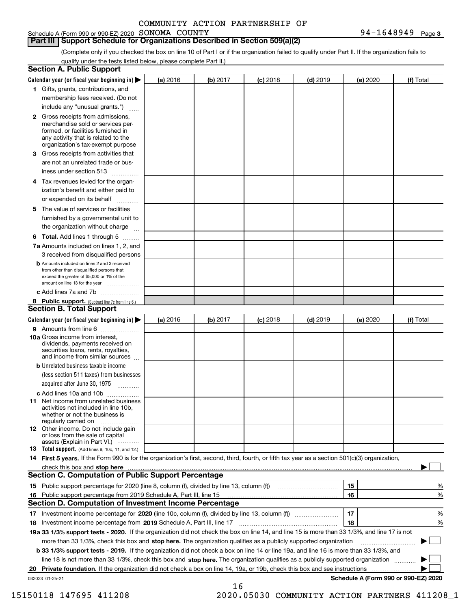#### **Part III Support Schedule for Organizations Described in Section 509(a)(2)**

(Complete only if you checked the box on line 10 of Part I or if the organization failed to qualify under Part II. If the organization fails to qualify under the tests listed below, please complete Part II.)

|    | <b>Section A. Public Support</b>                                                                                                                                                         |          |          |            |            |          |                                      |  |  |
|----|------------------------------------------------------------------------------------------------------------------------------------------------------------------------------------------|----------|----------|------------|------------|----------|--------------------------------------|--|--|
|    | Calendar year (or fiscal year beginning in) $\blacktriangleright$                                                                                                                        | (a) 2016 | (b) 2017 | $(c)$ 2018 | $(d)$ 2019 | (e) 2020 | (f) Total                            |  |  |
|    | 1 Gifts, grants, contributions, and                                                                                                                                                      |          |          |            |            |          |                                      |  |  |
|    | membership fees received. (Do not                                                                                                                                                        |          |          |            |            |          |                                      |  |  |
|    | include any "unusual grants.")                                                                                                                                                           |          |          |            |            |          |                                      |  |  |
|    | 2 Gross receipts from admissions,<br>merchandise sold or services per-<br>formed, or facilities furnished in<br>any activity that is related to the<br>organization's tax-exempt purpose |          |          |            |            |          |                                      |  |  |
|    | 3 Gross receipts from activities that<br>are not an unrelated trade or bus-<br>iness under section 513                                                                                   |          |          |            |            |          |                                      |  |  |
|    | 4 Tax revenues levied for the organ-<br>ization's benefit and either paid to                                                                                                             |          |          |            |            |          |                                      |  |  |
|    | or expended on its behalf<br>.                                                                                                                                                           |          |          |            |            |          |                                      |  |  |
|    | 5 The value of services or facilities<br>furnished by a governmental unit to<br>the organization without charge                                                                          |          |          |            |            |          |                                      |  |  |
|    | <b>6 Total.</b> Add lines 1 through 5                                                                                                                                                    |          |          |            |            |          |                                      |  |  |
|    | 7a Amounts included on lines 1, 2, and<br>3 received from disqualified persons                                                                                                           |          |          |            |            |          |                                      |  |  |
|    | <b>b</b> Amounts included on lines 2 and 3 received                                                                                                                                      |          |          |            |            |          |                                      |  |  |
|    | from other than disqualified persons that<br>exceed the greater of \$5,000 or 1% of the<br>amount on line 13 for the year                                                                |          |          |            |            |          |                                      |  |  |
|    | c Add lines 7a and 7b                                                                                                                                                                    |          |          |            |            |          |                                      |  |  |
|    | 8 Public support. (Subtract line 7c from line 6.)                                                                                                                                        |          |          |            |            |          |                                      |  |  |
|    | <b>Section B. Total Support</b>                                                                                                                                                          |          |          |            |            |          |                                      |  |  |
|    | Calendar year (or fiscal year beginning in) $\blacktriangleright$                                                                                                                        | (a) 2016 | (b) 2017 | $(c)$ 2018 | $(d)$ 2019 | (e) 2020 | (f) Total                            |  |  |
|    | 9 Amounts from line 6                                                                                                                                                                    |          |          |            |            |          |                                      |  |  |
|    | 10a Gross income from interest,<br>dividends, payments received on<br>securities loans, rents, royalties,<br>and income from similar sources                                             |          |          |            |            |          |                                      |  |  |
|    | <b>b</b> Unrelated business taxable income                                                                                                                                               |          |          |            |            |          |                                      |  |  |
|    | (less section 511 taxes) from businesses<br>acquired after June 30, 1975<br>1.1.1.1.1.1.1.1.1.1                                                                                          |          |          |            |            |          |                                      |  |  |
|    | c Add lines 10a and 10b                                                                                                                                                                  |          |          |            |            |          |                                      |  |  |
|    | <b>11</b> Net income from unrelated business<br>activities not included in line 10b.<br>whether or not the business is<br>regularly carried on                                           |          |          |            |            |          |                                      |  |  |
|    | <b>12</b> Other income. Do not include gain<br>or loss from the sale of capital<br>assets (Explain in Part VI.)                                                                          |          |          |            |            |          |                                      |  |  |
|    | <b>13 Total support.</b> (Add lines 9, 10c, 11, and 12.)                                                                                                                                 |          |          |            |            |          |                                      |  |  |
|    | 14 First 5 years. If the Form 990 is for the organization's first, second, third, fourth, or fifth tax year as a section 501(c)(3) organization,                                         |          |          |            |            |          |                                      |  |  |
|    |                                                                                                                                                                                          |          |          |            |            |          |                                      |  |  |
|    | <b>Section C. Computation of Public Support Percentage</b>                                                                                                                               |          |          |            |            |          |                                      |  |  |
|    |                                                                                                                                                                                          |          |          |            |            | 15       | %                                    |  |  |
|    | 16 Public support percentage from 2019 Schedule A, Part III, line 15                                                                                                                     |          |          |            |            | 16       | %                                    |  |  |
|    | <b>Section D. Computation of Investment Income Percentage</b>                                                                                                                            |          |          |            |            |          |                                      |  |  |
|    | 17 Investment income percentage for 2020 (line 10c, column (f), divided by line 13, column (f))                                                                                          |          |          |            |            | 17       | %                                    |  |  |
|    | 18 Investment income percentage from 2019 Schedule A, Part III, line 17                                                                                                                  |          |          |            |            | 18       | %                                    |  |  |
|    | 19a 33 1/3% support tests - 2020. If the organization did not check the box on line 14, and line 15 is more than 33 1/3%, and line 17 is not                                             |          |          |            |            |          |                                      |  |  |
|    | more than 33 1/3%, check this box and stop here. The organization qualifies as a publicly supported organization                                                                         |          |          |            |            |          |                                      |  |  |
|    | b 33 1/3% support tests - 2019. If the organization did not check a box on line 14 or line 19a, and line 16 is more than 33 1/3%, and                                                    |          |          |            |            |          |                                      |  |  |
|    | line 18 is not more than 33 1/3%, check this box and stop here. The organization qualifies as a publicly supported organization                                                          |          |          |            |            |          |                                      |  |  |
| 20 | Private foundation. If the organization did not check a box on line 14, 19a, or 19b, check this box and see instructions<br>032023 01-25-21                                              |          |          |            |            |          | Schedule A (Form 990 or 990-EZ) 2020 |  |  |
|    |                                                                                                                                                                                          |          |          |            |            |          |                                      |  |  |

16

15150118 147695 411208 2020.05030 COMMUNITY ACTION PARTNERS 411208\_1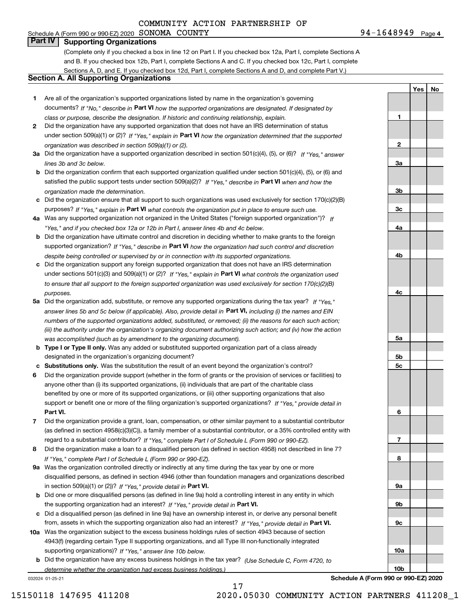#### Schedule A (Form 990 or 990-EZ) 2020 Page SONOMA COUNTY 94-1648949 **Part IV Supporting Organizations**

(Complete only if you checked a box in line 12 on Part I. If you checked box 12a, Part I, complete Sections A and B. If you checked box 12b, Part I, complete Sections A and C. If you checked box 12c, Part I, complete Sections A, D, and E. If you checked box 12d, Part I, complete Sections A and D, and complete Part V.)

#### **Section A. All Supporting Organizations**

- **1** Are all of the organization's supported organizations listed by name in the organization's governing documents? If "No," describe in **Part VI** how the supported organizations are designated. If designated by *class or purpose, describe the designation. If historic and continuing relationship, explain.*
- **2** Did the organization have any supported organization that does not have an IRS determination of status under section 509(a)(1) or (2)? If "Yes," explain in Part VI how the organization determined that the supported *organization was described in section 509(a)(1) or (2).*
- **3a** Did the organization have a supported organization described in section 501(c)(4), (5), or (6)? If "Yes," answer *lines 3b and 3c below.*
- **b** Did the organization confirm that each supported organization qualified under section 501(c)(4), (5), or (6) and satisfied the public support tests under section 509(a)(2)? If "Yes," describe in **Part VI** when and how the *organization made the determination.*
- **c**Did the organization ensure that all support to such organizations was used exclusively for section 170(c)(2)(B) purposes? If "Yes," explain in **Part VI** what controls the organization put in place to ensure such use.
- **4a***If* Was any supported organization not organized in the United States ("foreign supported organization")? *"Yes," and if you checked box 12a or 12b in Part I, answer lines 4b and 4c below.*
- **b** Did the organization have ultimate control and discretion in deciding whether to make grants to the foreign supported organization? If "Yes," describe in **Part VI** how the organization had such control and discretion *despite being controlled or supervised by or in connection with its supported organizations.*
- **c** Did the organization support any foreign supported organization that does not have an IRS determination under sections 501(c)(3) and 509(a)(1) or (2)? If "Yes," explain in **Part VI** what controls the organization used *to ensure that all support to the foreign supported organization was used exclusively for section 170(c)(2)(B) purposes.*
- **5a** Did the organization add, substitute, or remove any supported organizations during the tax year? If "Yes," answer lines 5b and 5c below (if applicable). Also, provide detail in **Part VI,** including (i) the names and EIN *numbers of the supported organizations added, substituted, or removed; (ii) the reasons for each such action; (iii) the authority under the organization's organizing document authorizing such action; and (iv) how the action was accomplished (such as by amendment to the organizing document).*
- **b** Type I or Type II only. Was any added or substituted supported organization part of a class already designated in the organization's organizing document?
- **cSubstitutions only.**  Was the substitution the result of an event beyond the organization's control?
- **6** Did the organization provide support (whether in the form of grants or the provision of services or facilities) to **Part VI.** *If "Yes," provide detail in* support or benefit one or more of the filing organization's supported organizations? anyone other than (i) its supported organizations, (ii) individuals that are part of the charitable class benefited by one or more of its supported organizations, or (iii) other supporting organizations that also
- **7**Did the organization provide a grant, loan, compensation, or other similar payment to a substantial contributor *If "Yes," complete Part I of Schedule L (Form 990 or 990-EZ).* regard to a substantial contributor? (as defined in section 4958(c)(3)(C)), a family member of a substantial contributor, or a 35% controlled entity with
- **8** Did the organization make a loan to a disqualified person (as defined in section 4958) not described in line 7? *If "Yes," complete Part I of Schedule L (Form 990 or 990-EZ).*
- **9a** Was the organization controlled directly or indirectly at any time during the tax year by one or more in section 509(a)(1) or (2))? If "Yes," *provide detail in* <code>Part VI.</code> disqualified persons, as defined in section 4946 (other than foundation managers and organizations described
- **b** Did one or more disqualified persons (as defined in line 9a) hold a controlling interest in any entity in which the supporting organization had an interest? If "Yes," provide detail in P**art VI**.
- **c**Did a disqualified person (as defined in line 9a) have an ownership interest in, or derive any personal benefit from, assets in which the supporting organization also had an interest? If "Yes," provide detail in P**art VI.**
- **10a** Was the organization subject to the excess business holdings rules of section 4943 because of section supporting organizations)? If "Yes," answer line 10b below. 4943(f) (regarding certain Type II supporting organizations, and all Type III non-functionally integrated
- **b** Did the organization have any excess business holdings in the tax year? (Use Schedule C, Form 4720, to *determine whether the organization had excess business holdings.)*

032024 01-25-21

**3a3b3c4a4b4c5a 5b5c6789a 9b9c10a10b**

**YesNo**

**1**

**2**

15150118 147695 411208 2020.05030 COMMUNITY ACTION PARTNERS 411208\_1

17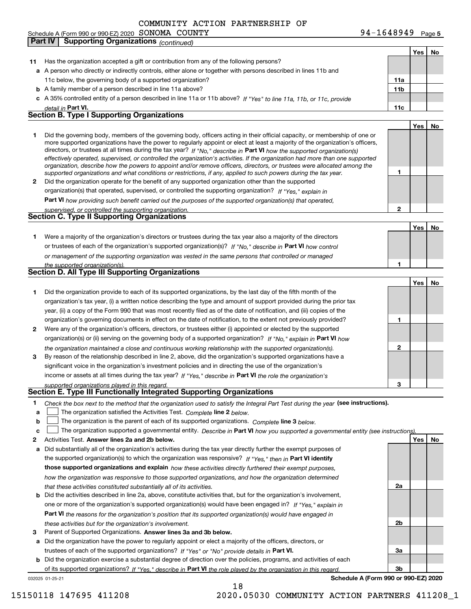|              | Schedule A (Form 990 or 990-EZ) 2020 SONOMA COUNTY                                                                                                                                                                                                                                                                                                                                                                                                                                                                                                                                                                                                   | 94-1648949      |            | Page 5    |
|--------------|------------------------------------------------------------------------------------------------------------------------------------------------------------------------------------------------------------------------------------------------------------------------------------------------------------------------------------------------------------------------------------------------------------------------------------------------------------------------------------------------------------------------------------------------------------------------------------------------------------------------------------------------------|-----------------|------------|-----------|
|              | <b>Supporting Organizations (continued)</b><br>Part IV                                                                                                                                                                                                                                                                                                                                                                                                                                                                                                                                                                                               |                 |            |           |
|              |                                                                                                                                                                                                                                                                                                                                                                                                                                                                                                                                                                                                                                                      |                 | Yes        | <b>No</b> |
| 11           | Has the organization accepted a gift or contribution from any of the following persons?                                                                                                                                                                                                                                                                                                                                                                                                                                                                                                                                                              |                 |            |           |
|              | a A person who directly or indirectly controls, either alone or together with persons described in lines 11b and                                                                                                                                                                                                                                                                                                                                                                                                                                                                                                                                     |                 |            |           |
|              | 11c below, the governing body of a supported organization?                                                                                                                                                                                                                                                                                                                                                                                                                                                                                                                                                                                           | 11a             |            |           |
|              | <b>b</b> A family member of a person described in line 11a above?                                                                                                                                                                                                                                                                                                                                                                                                                                                                                                                                                                                    | 11 <sub>b</sub> |            |           |
|              | c A 35% controlled entity of a person described in line 11a or 11b above? If "Yes" to line 11a, 11b, or 11c, provide                                                                                                                                                                                                                                                                                                                                                                                                                                                                                                                                 |                 |            |           |
|              | detail in Part VI.                                                                                                                                                                                                                                                                                                                                                                                                                                                                                                                                                                                                                                   | 11c             |            |           |
|              | <b>Section B. Type I Supporting Organizations</b>                                                                                                                                                                                                                                                                                                                                                                                                                                                                                                                                                                                                    |                 |            |           |
|              |                                                                                                                                                                                                                                                                                                                                                                                                                                                                                                                                                                                                                                                      |                 | <b>Yes</b> | <b>No</b> |
| 1            | Did the governing body, members of the governing body, officers acting in their official capacity, or membership of one or<br>more supported organizations have the power to regularly appoint or elect at least a majority of the organization's officers,<br>directors, or trustees at all times during the tax year? If "No," describe in Part VI how the supported organization(s)<br>effectively operated, supervised, or controlled the organization's activities. If the organization had more than one supported<br>organization, describe how the powers to appoint and/or remove officers, directors, or trustees were allocated among the |                 |            |           |
| $\mathbf{2}$ | supported organizations and what conditions or restrictions, if any, applied to such powers during the tax year.<br>Did the organization operate for the benefit of any supported organization other than the supported                                                                                                                                                                                                                                                                                                                                                                                                                              | 1               |            |           |
|              | organization(s) that operated, supervised, or controlled the supporting organization? If "Yes," explain in                                                                                                                                                                                                                                                                                                                                                                                                                                                                                                                                           |                 |            |           |
|              | Part VI how providing such benefit carried out the purposes of the supported organization(s) that operated,                                                                                                                                                                                                                                                                                                                                                                                                                                                                                                                                          |                 |            |           |
|              | supervised, or controlled the supporting organization.                                                                                                                                                                                                                                                                                                                                                                                                                                                                                                                                                                                               | $\mathbf{2}$    |            |           |
|              | <b>Section C. Type II Supporting Organizations</b>                                                                                                                                                                                                                                                                                                                                                                                                                                                                                                                                                                                                   |                 |            |           |
|              |                                                                                                                                                                                                                                                                                                                                                                                                                                                                                                                                                                                                                                                      |                 | Yes        | <b>No</b> |
| 1            | Were a majority of the organization's directors or trustees during the tax year also a majority of the directors                                                                                                                                                                                                                                                                                                                                                                                                                                                                                                                                     |                 |            |           |
|              | or trustees of each of the organization's supported organization(s)? If "No." describe in Part VI how control                                                                                                                                                                                                                                                                                                                                                                                                                                                                                                                                        |                 |            |           |
|              | or management of the supporting organization was vested in the same persons that controlled or managed                                                                                                                                                                                                                                                                                                                                                                                                                                                                                                                                               |                 |            |           |
|              | the supported organization(s).                                                                                                                                                                                                                                                                                                                                                                                                                                                                                                                                                                                                                       | 1               |            |           |
|              | <b>Section D. All Type III Supporting Organizations</b>                                                                                                                                                                                                                                                                                                                                                                                                                                                                                                                                                                                              |                 |            |           |
|              |                                                                                                                                                                                                                                                                                                                                                                                                                                                                                                                                                                                                                                                      |                 | Yes        | No        |
| 1            | Did the organization provide to each of its supported organizations, by the last day of the fifth month of the                                                                                                                                                                                                                                                                                                                                                                                                                                                                                                                                       |                 |            |           |
|              | organization's tax year, (i) a written notice describing the type and amount of support provided during the prior tax                                                                                                                                                                                                                                                                                                                                                                                                                                                                                                                                |                 |            |           |

|              | Did the organization provide to each of its supported organizations, by the last day of the fifth month of the         |   |  |
|--------------|------------------------------------------------------------------------------------------------------------------------|---|--|
|              | organization's tax year, (i) a written notice describing the type and amount of support provided during the prior tax  |   |  |
|              | year, (ii) a copy of the Form 990 that was most recently filed as of the date of notification, and (iii) copies of the |   |  |
|              | organization's governing documents in effect on the date of notification, to the extent not previously provided?       |   |  |
| $\mathbf{2}$ | Were any of the organization's officers, directors, or trustees either (i) appointed or elected by the supported       |   |  |
|              | organization(s) or (ii) serving on the governing body of a supported organization? If "No," explain in Part VI how     |   |  |
|              | the organization maintained a close and continuous working relationship with the supported organization(s).            | 2 |  |
| 3            | By reason of the relationship described in line 2, above, did the organization's supported organizations have a        |   |  |
|              | significant voice in the organization's investment policies and in directing the use of the organization's             |   |  |
|              | income or assets at all times during the tax year? If "Yes," describe in Part VI the role the organization's           |   |  |
|              | supported organizations played in this regard                                                                          |   |  |

## *supported organizations played in this regard.* **Section E. Type III Functionally Integrated Supporting Organizations**

| Check the box next to the method that the organization used to satisfy the Integral Part Test during the year (see instructions). |  |
|-----------------------------------------------------------------------------------------------------------------------------------|--|
|                                                                                                                                   |  |

**alinupy** The organization satisfied the Activities Test. Complete line 2 below.

|  |  |  |  |  |  | <b>b</b> $\Box$ The organization is the parent of each of its supported organizations. Complete line 3 below. |  |
|--|--|--|--|--|--|---------------------------------------------------------------------------------------------------------------|--|
|--|--|--|--|--|--|---------------------------------------------------------------------------------------------------------------|--|

|  |  |  | The organization supported a governmental entity. Describe in Part VI how you supported a governmental entity (see instructions) |  |  |  |  |  |  |
|--|--|--|----------------------------------------------------------------------------------------------------------------------------------|--|--|--|--|--|--|
|--|--|--|----------------------------------------------------------------------------------------------------------------------------------|--|--|--|--|--|--|

18

| 2 Activities Test. Answer lines 2a and 2b below. | Yes | No |
|--------------------------------------------------|-----|----|
|                                                  |     |    |

| a Did substantially all of the organization's activities during the tax year directly further the exempt purposes of         |
|------------------------------------------------------------------------------------------------------------------------------|
| the supported organization(s) to which the organization was responsive? If "Yes," then in Part VI identify                   |
| those supported organizations and explain how these activities directly furthered their exempt purposes,                     |
| how the organization was responsive to those supported organizations, and how the organization determined                    |
| that these activities constituted substantially all of its activities.                                                       |
| <b>b</b> Did the activities described in line 2a, above, constitute activities that, but for the organization's involvement, |

| these activities but for the organization's involvement.                                                             |
|----------------------------------------------------------------------------------------------------------------------|
| <b>Part VI</b> the reasons for the organization's position that its supported organization(s) would have engaged in  |
| one or more of the organization's supported organization(s) would have been engaged in? If "Yes," explain in         |
| . Did the activities described in line 2a, above, constitute activities that, but for the organization's involvement |

**3** Parent of Supported Organizations. Answer lines 3a and 3b below.

**a** Did the organization have the power to regularly appoint or elect a majority of the officers, directors, or trustees of each of the supported organizations? If "Yes" or "No" provide details in P**art VI.** 

**b** Did the organization exercise a substantial degree of direction over the policies, programs, and activities of each of its supported organizations? If "Yes," describe in Part VI the role played by the organization in this regard.

032025 01-25-21

**Schedule A (Form 990 or 990-EZ) 2020**

**2a**

**2b**

**3a**

**3b**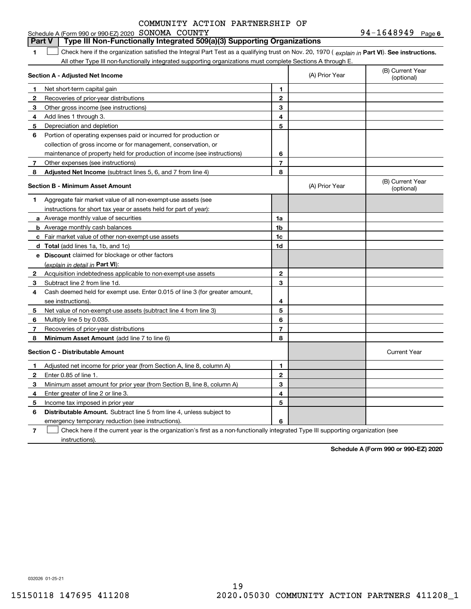#### **1Part VI** Check here if the organization satisfied the Integral Part Test as a qualifying trust on Nov. 20, 1970 ( *explain in* Part **VI**). See instructions. **Section A - Adjusted Net Income 123** Other gross income (see instructions) **456** Portion of operating expenses paid or incurred for production or **7** Other expenses (see instructions) **8** Adjusted Net Income (subtract lines 5, 6, and 7 from line 4) **8 8 1234567Section B - Minimum Asset Amount 1**Aggregate fair market value of all non-exempt-use assets (see **2**Acquisition indebtedness applicable to non-exempt-use assets **3** Subtract line 2 from line 1d. **4**Cash deemed held for exempt use. Enter 0.015 of line 3 (for greater amount, **5** Net value of non-exempt-use assets (subtract line 4 from line 3) **678a** Average monthly value of securities **b** Average monthly cash balances **c**Fair market value of other non-exempt-use assets **dTotal**  (add lines 1a, 1b, and 1c) **eDiscount** claimed for blockage or other factors **1a1b1c1d2345678**(explain in detail in Part VI): **Minimum Asset Amount**  (add line 7 to line 6) **Section C - Distributable Amount 12**Enter 0.85 of line 1. **3456123456Distributable Amount.** Subtract line 5 from line 4, unless subject to Schedule A (Form 990 or 990-EZ) 2020 Page SONOMA COUNTY 94-1648949 All other Type III non-functionally integrated supporting organizations must complete Sections A through E. (B) Current Year (optional)(A) Prior Year Net short-term capital gain Recoveries of prior-year distributions Add lines 1 through 3. Depreciation and depletion collection of gross income or for management, conservation, or maintenance of property held for production of income (see instructions) (B) Current Year (optional)(A) Prior Year instructions for short tax year or assets held for part of year): see instructions). Multiply line 5 by 0.035. Recoveries of prior-year distributions Current Year Adjusted net income for prior year (from Section A, line 8, column A) Minimum asset amount for prior year (from Section B, line 8, column A) Enter greater of line 2 or line 3. Income tax imposed in prior year emergency temporary reduction (see instructions). **Part V Type III Non-Functionally Integrated 509(a)(3) Supporting Organizations**   $\mathcal{L}^{\text{max}}$

**7**Check here if the current year is the organization's first as a non-functionally integrated Type III supporting organization (see instructions). $\mathcal{L}^{\text{max}}$ 

**Schedule A (Form 990 or 990-EZ) 2020**

032026 01-25-21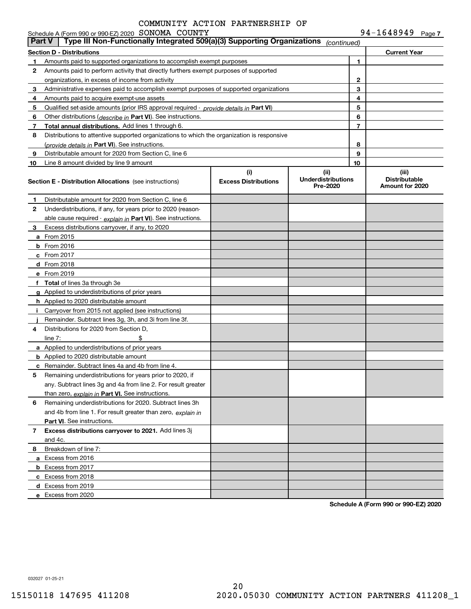|                          | connioniti notton thulluphill of |                       |  |
|--------------------------|----------------------------------|-----------------------|--|
| 90-EZ)2020 SONOMA COUNTY |                                  | $94 - 1648949$ Page 7 |  |

|                   | Schedule A (Form 990 or 990-EZ) 2020 SONOMA COUNTY<br>Type III Non-Functionally Integrated 509(a)(3) Supporting Organizations<br><b>Part V</b>                |                             |                                       |    | 94-1648949<br>Page 7                    |
|-------------------|---------------------------------------------------------------------------------------------------------------------------------------------------------------|-----------------------------|---------------------------------------|----|-----------------------------------------|
|                   |                                                                                                                                                               |                             | (continued)                           |    |                                         |
|                   | <b>Section D - Distributions</b>                                                                                                                              |                             |                                       |    | <b>Current Year</b>                     |
| 1<br>$\mathbf{2}$ | Amounts paid to supported organizations to accomplish exempt purposes<br>Amounts paid to perform activity that directly furthers exempt purposes of supported |                             |                                       | 1  |                                         |
|                   |                                                                                                                                                               |                             |                                       | 2  |                                         |
| 3                 | organizations, in excess of income from activity<br>Administrative expenses paid to accomplish exempt purposes of supported organizations                     |                             |                                       | 3  |                                         |
| 4                 | Amounts paid to acquire exempt-use assets                                                                                                                     |                             | 4                                     |    |                                         |
| 5                 | Qualified set-aside amounts (prior IRS approval required - provide details in Part VI)                                                                        |                             |                                       | 5  |                                         |
| 6                 | Other distributions ( <i>describe in</i> Part VI). See instructions.                                                                                          |                             |                                       | 6  |                                         |
| 7                 | Total annual distributions. Add lines 1 through 6.                                                                                                            |                             |                                       | 7  |                                         |
| 8                 | Distributions to attentive supported organizations to which the organization is responsive                                                                    |                             |                                       |    |                                         |
|                   | (provide details in Part VI). See instructions.                                                                                                               |                             |                                       | 8  |                                         |
| 9                 | Distributable amount for 2020 from Section C, line 6                                                                                                          |                             |                                       | 9  |                                         |
| 10                | Line 8 amount divided by line 9 amount                                                                                                                        |                             |                                       | 10 |                                         |
|                   |                                                                                                                                                               | (i)                         | (ii)                                  |    | (iii)                                   |
|                   | <b>Section E - Distribution Allocations</b> (see instructions)                                                                                                | <b>Excess Distributions</b> | <b>Underdistributions</b><br>Pre-2020 |    | <b>Distributable</b><br>Amount for 2020 |
| 1                 | Distributable amount for 2020 from Section C, line 6                                                                                                          |                             |                                       |    |                                         |
| 2                 | Underdistributions, if any, for years prior to 2020 (reason-                                                                                                  |                             |                                       |    |                                         |
|                   | able cause required - explain in Part VI). See instructions.                                                                                                  |                             |                                       |    |                                         |
| 3                 | Excess distributions carryover, if any, to 2020                                                                                                               |                             |                                       |    |                                         |
|                   | a From 2015                                                                                                                                                   |                             |                                       |    |                                         |
|                   | <b>b</b> From $2016$                                                                                                                                          |                             |                                       |    |                                         |
|                   | $c$ From 2017                                                                                                                                                 |                             |                                       |    |                                         |
|                   | <b>d</b> From 2018                                                                                                                                            |                             |                                       |    |                                         |
|                   | e From 2019                                                                                                                                                   |                             |                                       |    |                                         |
|                   | f Total of lines 3a through 3e                                                                                                                                |                             |                                       |    |                                         |
|                   | g Applied to underdistributions of prior years                                                                                                                |                             |                                       |    |                                         |
|                   | h Applied to 2020 distributable amount                                                                                                                        |                             |                                       |    |                                         |
|                   | Carryover from 2015 not applied (see instructions)                                                                                                            |                             |                                       |    |                                         |
|                   | Remainder. Subtract lines 3g, 3h, and 3i from line 3f.                                                                                                        |                             |                                       |    |                                         |
| 4                 | Distributions for 2020 from Section D,                                                                                                                        |                             |                                       |    |                                         |
|                   | \$<br>line $7:$                                                                                                                                               |                             |                                       |    |                                         |
|                   | a Applied to underdistributions of prior years                                                                                                                |                             |                                       |    |                                         |
|                   | <b>b</b> Applied to 2020 distributable amount                                                                                                                 |                             |                                       |    |                                         |
|                   | <b>c</b> Remainder. Subtract lines 4a and 4b from line 4.                                                                                                     |                             |                                       |    |                                         |
| 5                 | Remaining underdistributions for years prior to 2020, if                                                                                                      |                             |                                       |    |                                         |
|                   | any. Subtract lines 3g and 4a from line 2. For result greater                                                                                                 |                             |                                       |    |                                         |
|                   | than zero, explain in Part VI. See instructions.                                                                                                              |                             |                                       |    |                                         |
| 6                 | Remaining underdistributions for 2020. Subtract lines 3h                                                                                                      |                             |                                       |    |                                         |
|                   | and 4b from line 1. For result greater than zero, explain in                                                                                                  |                             |                                       |    |                                         |
|                   | Part VI. See instructions.                                                                                                                                    |                             |                                       |    |                                         |
| 7                 | Excess distributions carryover to 2021. Add lines 3j<br>and 4c.                                                                                               |                             |                                       |    |                                         |
| 8                 | Breakdown of line 7:                                                                                                                                          |                             |                                       |    |                                         |
|                   | a Excess from 2016                                                                                                                                            |                             |                                       |    |                                         |
|                   | <b>b</b> Excess from 2017                                                                                                                                     |                             |                                       |    |                                         |
|                   | c Excess from 2018                                                                                                                                            |                             |                                       |    |                                         |
|                   | d Excess from 2019                                                                                                                                            |                             |                                       |    |                                         |
|                   | e Excess from 2020                                                                                                                                            |                             |                                       |    |                                         |
|                   |                                                                                                                                                               |                             |                                       |    |                                         |

**Schedule A (Form 990 or 990-EZ) 2020**

032027 01-25-21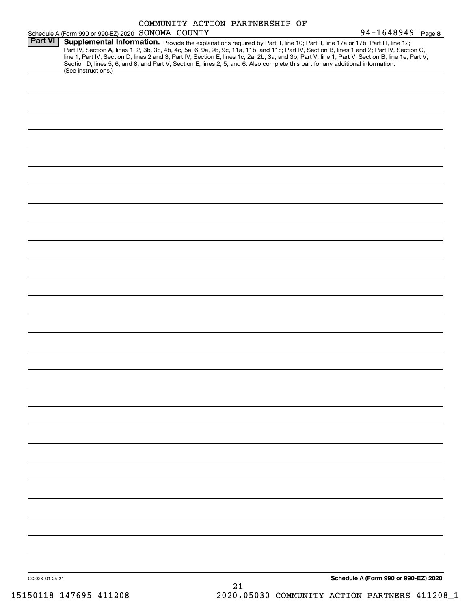|                 |                                                    | COMMUNITY ACTION PARTNERSHIP OF |    |                                                                                                                                                                                                                                                                                                                                                                                                                                                                                                                                                                      |  |
|-----------------|----------------------------------------------------|---------------------------------|----|----------------------------------------------------------------------------------------------------------------------------------------------------------------------------------------------------------------------------------------------------------------------------------------------------------------------------------------------------------------------------------------------------------------------------------------------------------------------------------------------------------------------------------------------------------------------|--|
|                 | Schedule A (Form 990 or 990-EZ) 2020 SONOMA COUNTY |                                 |    | 94-1648949 Page 8                                                                                                                                                                                                                                                                                                                                                                                                                                                                                                                                                    |  |
| <b>Part VI</b>  | (See instructions.)                                |                                 |    | Supplemental Information. Provide the explanations required by Part II, line 10; Part II, line 17a or 17b; Part III, line 12;<br>Part IV, Section A, lines 1, 2, 3b, 3c, 4b, 4c, 5a, 6, 9a, 9b, 9c, 11a, 11b, and 11c; Part IV, Section B, lines 1 and 2; Part IV, Section C,<br>line 1; Part IV, Section D, lines 2 and 3; Part IV, Section E, lines 1c, 2a, 2b, 3a, and 3b; Part V, line 1; Part V, Section B, line 1e; Part V,<br>Section D, lines 5, 6, and 8; and Part V, Section E, lines 2, 5, and 6. Also complete this part for any additional information. |  |
|                 |                                                    |                                 |    |                                                                                                                                                                                                                                                                                                                                                                                                                                                                                                                                                                      |  |
|                 |                                                    |                                 |    |                                                                                                                                                                                                                                                                                                                                                                                                                                                                                                                                                                      |  |
|                 |                                                    |                                 |    |                                                                                                                                                                                                                                                                                                                                                                                                                                                                                                                                                                      |  |
|                 |                                                    |                                 |    |                                                                                                                                                                                                                                                                                                                                                                                                                                                                                                                                                                      |  |
|                 |                                                    |                                 |    |                                                                                                                                                                                                                                                                                                                                                                                                                                                                                                                                                                      |  |
|                 |                                                    |                                 |    |                                                                                                                                                                                                                                                                                                                                                                                                                                                                                                                                                                      |  |
|                 |                                                    |                                 |    |                                                                                                                                                                                                                                                                                                                                                                                                                                                                                                                                                                      |  |
|                 |                                                    |                                 |    |                                                                                                                                                                                                                                                                                                                                                                                                                                                                                                                                                                      |  |
|                 |                                                    |                                 |    |                                                                                                                                                                                                                                                                                                                                                                                                                                                                                                                                                                      |  |
|                 |                                                    |                                 |    |                                                                                                                                                                                                                                                                                                                                                                                                                                                                                                                                                                      |  |
|                 |                                                    |                                 |    |                                                                                                                                                                                                                                                                                                                                                                                                                                                                                                                                                                      |  |
|                 |                                                    |                                 |    |                                                                                                                                                                                                                                                                                                                                                                                                                                                                                                                                                                      |  |
|                 |                                                    |                                 |    |                                                                                                                                                                                                                                                                                                                                                                                                                                                                                                                                                                      |  |
|                 |                                                    |                                 |    |                                                                                                                                                                                                                                                                                                                                                                                                                                                                                                                                                                      |  |
|                 |                                                    |                                 |    |                                                                                                                                                                                                                                                                                                                                                                                                                                                                                                                                                                      |  |
|                 |                                                    |                                 |    |                                                                                                                                                                                                                                                                                                                                                                                                                                                                                                                                                                      |  |
|                 |                                                    |                                 |    |                                                                                                                                                                                                                                                                                                                                                                                                                                                                                                                                                                      |  |
|                 |                                                    |                                 |    |                                                                                                                                                                                                                                                                                                                                                                                                                                                                                                                                                                      |  |
|                 |                                                    |                                 |    |                                                                                                                                                                                                                                                                                                                                                                                                                                                                                                                                                                      |  |
|                 |                                                    |                                 |    |                                                                                                                                                                                                                                                                                                                                                                                                                                                                                                                                                                      |  |
|                 |                                                    |                                 |    |                                                                                                                                                                                                                                                                                                                                                                                                                                                                                                                                                                      |  |
|                 |                                                    |                                 |    |                                                                                                                                                                                                                                                                                                                                                                                                                                                                                                                                                                      |  |
|                 |                                                    |                                 |    |                                                                                                                                                                                                                                                                                                                                                                                                                                                                                                                                                                      |  |
|                 |                                                    |                                 |    |                                                                                                                                                                                                                                                                                                                                                                                                                                                                                                                                                                      |  |
|                 |                                                    |                                 |    |                                                                                                                                                                                                                                                                                                                                                                                                                                                                                                                                                                      |  |
|                 |                                                    |                                 |    |                                                                                                                                                                                                                                                                                                                                                                                                                                                                                                                                                                      |  |
|                 |                                                    |                                 |    |                                                                                                                                                                                                                                                                                                                                                                                                                                                                                                                                                                      |  |
|                 |                                                    |                                 |    |                                                                                                                                                                                                                                                                                                                                                                                                                                                                                                                                                                      |  |
|                 |                                                    |                                 |    |                                                                                                                                                                                                                                                                                                                                                                                                                                                                                                                                                                      |  |
| 032028 01-25-21 |                                                    |                                 | 21 | Schedule A (Form 990 or 990-EZ) 2020                                                                                                                                                                                                                                                                                                                                                                                                                                                                                                                                 |  |
|                 |                                                    |                                 |    |                                                                                                                                                                                                                                                                                                                                                                                                                                                                                                                                                                      |  |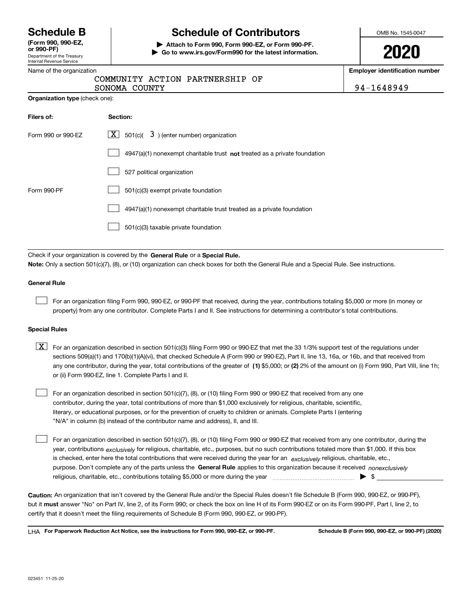Department of the Treasury Internal Revenue Service **(Form 990, 990-EZ, or 990-PF)**

### **Schedule B Schedule of Contributors**

**| Attach to Form 990, Form 990-EZ, or Form 990-PF. | Go to www.irs.gov/Form990 for the latest information.** OMB No. 1545-0047

# **2020**

**Employer identification number**

| Name of the organization |        |  |
|--------------------------|--------|--|
|                          | $\sim$ |  |

| <b>Natile Of the Organization</b>     | COMMUNITY ACTION PARTNERSHIP OF                                                                                                           | Employer luentification nun |
|---------------------------------------|-------------------------------------------------------------------------------------------------------------------------------------------|-----------------------------|
|                                       | SONOMA COUNTY                                                                                                                             | 94-1648949                  |
| <b>Organization type (check one):</b> |                                                                                                                                           |                             |
| Filers of:                            | Section:                                                                                                                                  |                             |
| Form 990 or 990-EZ                    | $\boxed{\text{X}}$ 501(c)( 3) (enter number) organization                                                                                 |                             |
|                                       | 4947(a)(1) nonexempt charitable trust not treated as a private foundation                                                                 |                             |
|                                       | 527 political organization                                                                                                                |                             |
| Form 990-PF                           | 501(c)(3) exempt private foundation                                                                                                       |                             |
|                                       | 4947(a)(1) nonexempt charitable trust treated as a private foundation                                                                     |                             |
|                                       | 501(c)(3) taxable private foundation                                                                                                      |                             |
|                                       |                                                                                                                                           |                             |
|                                       | Check if your organization is covered by the General Rule or a Special Rule.                                                              |                             |
|                                       | Note: Only a section 501(c)(7), (8), or (10) organization can check boxes for both the General Rule and a Special Rule. See instructions. |                             |

#### **General Rule**

 $\mathcal{L}^{\text{max}}$ 

For an organization filing Form 990, 990-EZ, or 990-PF that received, during the year, contributions totaling \$5,000 or more (in money or property) from any one contributor. Complete Parts I and II. See instructions for determining a contributor's total contributions.

#### **Special Rules**

| $\boxed{X}$ For an organization described in section 501(c)(3) filing Form 990 or 990-EZ that met the 33 1/3% support test of the regulations under   |
|-------------------------------------------------------------------------------------------------------------------------------------------------------|
| sections 509(a)(1) and 170(b)(1)(A)(vi), that checked Schedule A (Form 990 or 990-EZ), Part II, line 13, 16a, or 16b, and that received from          |
| any one contributor, during the year, total contributions of the greater of (1) \$5,000; or (2) 2% of the amount on (i) Form 990, Part VIII, line 1h; |
| or (ii) Form 990-EZ, line 1. Complete Parts I and II.                                                                                                 |

For an organization described in section 501(c)(7), (8), or (10) filing Form 990 or 990-EZ that received from any one contributor, during the year, total contributions of more than \$1,000 exclusively for religious, charitable, scientific, literary, or educational purposes, or for the prevention of cruelty to children or animals. Complete Parts I (entering "N/A" in column (b) instead of the contributor name and address), II, and III.  $\mathcal{L}^{\text{max}}$ 

purpose. Don't complete any of the parts unless the **General Rule** applies to this organization because it received *nonexclusively* year, contributions <sub>exclusively</sub> for religious, charitable, etc., purposes, but no such contributions totaled more than \$1,000. If this box is checked, enter here the total contributions that were received during the year for an  $\;$ exclusively religious, charitable, etc., For an organization described in section 501(c)(7), (8), or (10) filing Form 990 or 990-EZ that received from any one contributor, during the religious, charitable, etc., contributions totaling \$5,000 or more during the year  $\Box$ — $\Box$   $\Box$  $\mathcal{L}^{\text{max}}$ 

**Caution:**  An organization that isn't covered by the General Rule and/or the Special Rules doesn't file Schedule B (Form 990, 990-EZ, or 990-PF),  **must** but it answer "No" on Part IV, line 2, of its Form 990; or check the box on line H of its Form 990-EZ or on its Form 990-PF, Part I, line 2, to certify that it doesn't meet the filing requirements of Schedule B (Form 990, 990-EZ, or 990-PF).

**For Paperwork Reduction Act Notice, see the instructions for Form 990, 990-EZ, or 990-PF. Schedule B (Form 990, 990-EZ, or 990-PF) (2020)** LHA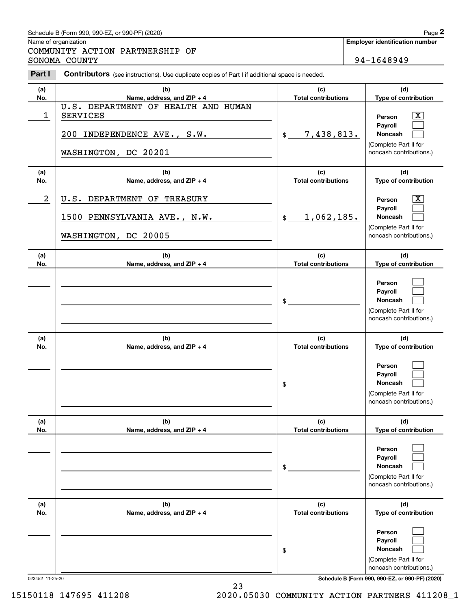#### Schedule B (Form 990, 990-EZ, or 990-PF) (2020) **Page 2** Page 2

|                | Schedule B (Form 990, 990-EZ, or 990-PF) (2020)                                                                      |                                   | Page 2                                                                                                                   |
|----------------|----------------------------------------------------------------------------------------------------------------------|-----------------------------------|--------------------------------------------------------------------------------------------------------------------------|
|                | Name of organization                                                                                                 |                                   | <b>Employer identification number</b>                                                                                    |
|                | COMMUNITY ACTION PARTNERSHIP OF<br>SONOMA COUNTY                                                                     |                                   | 94-1648949                                                                                                               |
| Part I         | Contributors (see instructions). Use duplicate copies of Part I if additional space is needed.                       |                                   |                                                                                                                          |
| (a)<br>No.     | (b)<br>Name, address, and ZIP + 4                                                                                    | (c)<br><b>Total contributions</b> | (d)<br>Type of contribution                                                                                              |
| 1              | U.S. DEPARTMENT OF HEALTH AND HUMAN<br><b>SERVICES</b><br>200 INDEPENDENCE AVE., S.W.<br>WASHINGTON, DC 20201        | 7,438,813.<br>\$                  | $\mathbf{X}$<br>Person<br>Payroll<br>Noncash<br>(Complete Part II for<br>noncash contributions.)                         |
| (a)<br>No.     | (b)                                                                                                                  | (c)<br><b>Total contributions</b> | (d)                                                                                                                      |
| $\overline{a}$ | Name, address, and ZIP + 4<br>DEPARTMENT OF TREASURY<br>U.S.<br>1500 PENNSYLVANIA AVE., N.W.<br>WASHINGTON, DC 20005 | 1,062,185.<br>$$\mathbb{S}$$      | Type of contribution<br>$\mathbf{X}$<br>Person<br>Payroll<br>Noncash<br>(Complete Part II for<br>noncash contributions.) |
| (a)<br>No.     | (b)<br>Name, address, and ZIP + 4                                                                                    | (c)<br><b>Total contributions</b> | (d)<br>Type of contribution                                                                                              |
|                |                                                                                                                      | \$                                | Person<br>Payroll<br>Noncash<br>(Complete Part II for<br>noncash contributions.)                                         |
| (a)<br>No.     | (b)<br>Name, address, and ZIP + 4                                                                                    | (c)<br><b>Total contributions</b> | (d)<br>Type of contribution                                                                                              |
|                |                                                                                                                      | \$                                | Person<br>Payroll<br>Noncash<br>(Complete Part II for<br>noncash contributions.)                                         |
| (a)<br>No.     | (b)<br>Name, address, and ZIP + 4                                                                                    | (c)<br><b>Total contributions</b> | (d)<br>Type of contribution                                                                                              |
|                |                                                                                                                      | \$                                | Person<br>Payroll<br>Noncash<br>(Complete Part II for<br>noncash contributions.)                                         |
| (a)<br>No.     | (b)<br>Name, address, and ZIP + 4                                                                                    | (c)<br><b>Total contributions</b> | (d)<br>Type of contribution                                                                                              |
|                |                                                                                                                      | \$                                | Person<br>Payroll<br>Noncash<br>(Complete Part II for<br>noncash contributions.)                                         |

023452 11-25-20 **Schedule B (Form 990, 990-EZ, or 990-PF) (2020)**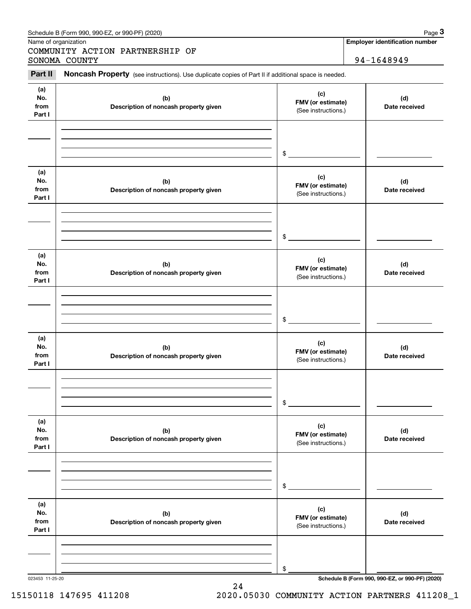|                              | COMMUNITY ACTION PARTNERSHIP OF<br>SONOMA COUNTY                                                    |                                                 | 94-1648949           |
|------------------------------|-----------------------------------------------------------------------------------------------------|-------------------------------------------------|----------------------|
| Part II                      | Noncash Property (see instructions). Use duplicate copies of Part II if additional space is needed. |                                                 |                      |
| (a)<br>No.<br>from<br>Part I | (b)<br>Description of noncash property given                                                        | (c)<br>FMV (or estimate)<br>(See instructions.) | (d)<br>Date received |
|                              |                                                                                                     | \$                                              |                      |
| (a)<br>No.<br>from<br>Part I | (b)<br>Description of noncash property given                                                        | (c)<br>FMV (or estimate)<br>(See instructions.) | (d)<br>Date received |
|                              |                                                                                                     | \$                                              |                      |
| (a)<br>No.<br>from<br>Part I | (b)<br>Description of noncash property given                                                        | (c)<br>FMV (or estimate)<br>(See instructions.) | (d)<br>Date received |
|                              |                                                                                                     | \$                                              |                      |
| (a)<br>No.<br>from<br>Part I | (b)<br>Description of noncash property given                                                        | (c)<br>FMV (or estimate)<br>(See instructions.) | (d)<br>Date received |
|                              |                                                                                                     | \$                                              |                      |
| (a)<br>No.<br>from<br>Part I | (b)<br>Description of noncash property given                                                        | (c)<br>FMV (or estimate)<br>(See instructions.) | (d)<br>Date received |
|                              |                                                                                                     | \$                                              |                      |
| (a)<br>No.<br>from<br>Part I | (b)<br>Description of noncash property given                                                        | (c)<br>FMV (or estimate)<br>(See instructions.) | (d)<br>Date received |
|                              |                                                                                                     |                                                 |                      |

24

15150118 147695 411208 2020.05030 COMMUNITY ACTION PARTNERS 411208\_1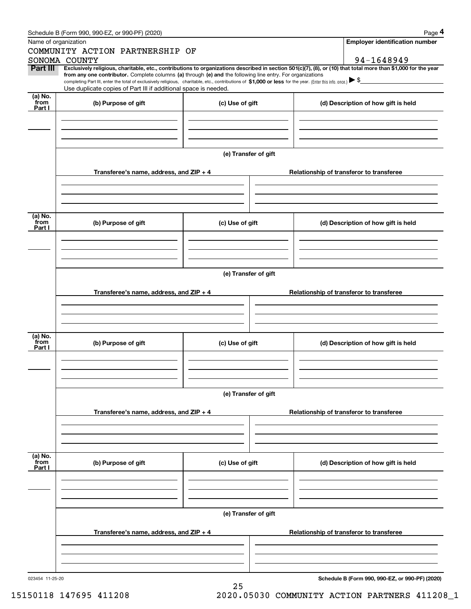|                           | Schedule B (Form 990, 990-EZ, or 990-PF) (2020)                                                            |                      | Page 4                                                                                                                                                                        |  |  |  |  |
|---------------------------|------------------------------------------------------------------------------------------------------------|----------------------|-------------------------------------------------------------------------------------------------------------------------------------------------------------------------------|--|--|--|--|
|                           | Name of organization                                                                                       |                      | <b>Employer identification number</b>                                                                                                                                         |  |  |  |  |
|                           | COMMUNITY ACTION PARTNERSHIP OF                                                                            |                      |                                                                                                                                                                               |  |  |  |  |
| Part III                  | SONOMA COUNTY                                                                                              |                      | 94-1648949<br>Exclusively religious, charitable, etc., contributions to organizations described in section 501(c)(7), (8), or (10) that total more than \$1,000 for the year  |  |  |  |  |
|                           | from any one contributor. Complete columns (a) through (e) and the following line entry. For organizations |                      | completing Part III, enter the total of exclusively religious, charitable, etc., contributions of $$1,000$ or less for the year. (Enter this info. once.) $\triangleright$ \$ |  |  |  |  |
| (a) No.                   | Use duplicate copies of Part III if additional space is needed.                                            |                      |                                                                                                                                                                               |  |  |  |  |
| from<br>Part I            | (b) Purpose of gift                                                                                        | (c) Use of gift      | (d) Description of how gift is held                                                                                                                                           |  |  |  |  |
|                           |                                                                                                            |                      |                                                                                                                                                                               |  |  |  |  |
|                           |                                                                                                            |                      |                                                                                                                                                                               |  |  |  |  |
|                           |                                                                                                            |                      |                                                                                                                                                                               |  |  |  |  |
|                           |                                                                                                            | (e) Transfer of gift |                                                                                                                                                                               |  |  |  |  |
|                           | Transferee's name, address, and $ZIP + 4$                                                                  |                      | Relationship of transferor to transferee                                                                                                                                      |  |  |  |  |
|                           |                                                                                                            |                      |                                                                                                                                                                               |  |  |  |  |
|                           |                                                                                                            |                      |                                                                                                                                                                               |  |  |  |  |
|                           |                                                                                                            |                      |                                                                                                                                                                               |  |  |  |  |
| (a) No.<br>from           | (b) Purpose of gift                                                                                        | (c) Use of gift      | (d) Description of how gift is held                                                                                                                                           |  |  |  |  |
| Part I                    |                                                                                                            |                      |                                                                                                                                                                               |  |  |  |  |
|                           |                                                                                                            |                      |                                                                                                                                                                               |  |  |  |  |
|                           |                                                                                                            |                      |                                                                                                                                                                               |  |  |  |  |
|                           |                                                                                                            |                      |                                                                                                                                                                               |  |  |  |  |
|                           | (e) Transfer of gift                                                                                       |                      |                                                                                                                                                                               |  |  |  |  |
|                           | Transferee's name, address, and $ZIP + 4$                                                                  |                      | Relationship of transferor to transferee                                                                                                                                      |  |  |  |  |
|                           |                                                                                                            |                      |                                                                                                                                                                               |  |  |  |  |
|                           |                                                                                                            |                      |                                                                                                                                                                               |  |  |  |  |
|                           |                                                                                                            |                      |                                                                                                                                                                               |  |  |  |  |
| (a) No.<br>from<br>Part I | (b) Purpose of gift                                                                                        | (c) Use of gift      | (d) Description of how gift is held                                                                                                                                           |  |  |  |  |
|                           |                                                                                                            |                      |                                                                                                                                                                               |  |  |  |  |
|                           |                                                                                                            |                      |                                                                                                                                                                               |  |  |  |  |
|                           |                                                                                                            |                      |                                                                                                                                                                               |  |  |  |  |
|                           |                                                                                                            | (e) Transfer of gift |                                                                                                                                                                               |  |  |  |  |
|                           |                                                                                                            |                      |                                                                                                                                                                               |  |  |  |  |
|                           | Transferee's name, address, and ZIP + 4                                                                    |                      | Relationship of transferor to transferee                                                                                                                                      |  |  |  |  |
|                           |                                                                                                            |                      |                                                                                                                                                                               |  |  |  |  |
|                           |                                                                                                            |                      |                                                                                                                                                                               |  |  |  |  |
|                           |                                                                                                            |                      |                                                                                                                                                                               |  |  |  |  |
| (a) No.<br>from<br>Part I | (b) Purpose of gift                                                                                        | (c) Use of gift      | (d) Description of how gift is held                                                                                                                                           |  |  |  |  |
|                           |                                                                                                            |                      |                                                                                                                                                                               |  |  |  |  |
|                           |                                                                                                            |                      |                                                                                                                                                                               |  |  |  |  |
|                           |                                                                                                            |                      |                                                                                                                                                                               |  |  |  |  |
|                           | (e) Transfer of gift                                                                                       |                      |                                                                                                                                                                               |  |  |  |  |
|                           |                                                                                                            |                      |                                                                                                                                                                               |  |  |  |  |
|                           | Transferee's name, address, and ZIP + 4                                                                    |                      | Relationship of transferor to transferee                                                                                                                                      |  |  |  |  |
|                           |                                                                                                            |                      |                                                                                                                                                                               |  |  |  |  |
|                           |                                                                                                            |                      |                                                                                                                                                                               |  |  |  |  |
|                           |                                                                                                            |                      |                                                                                                                                                                               |  |  |  |  |

25

**Schedule B (Form 990, 990-EZ, or 990-PF) (2020)**

15150118 147695 411208 2020.05030 COMMUNITY ACTION PARTNERS 411208\_1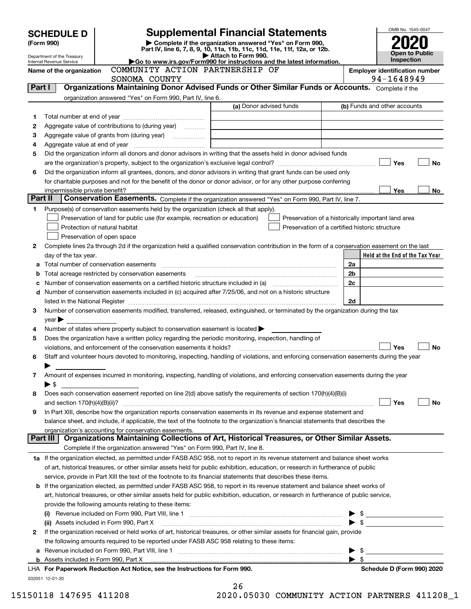|         | <b>SCHEDULE D</b>                                      |                                                                                                        | <b>Supplemental Financial Statements</b>                                                                                                                                                                                                            |                          | OMB No. 1545-0047                          |
|---------|--------------------------------------------------------|--------------------------------------------------------------------------------------------------------|-----------------------------------------------------------------------------------------------------------------------------------------------------------------------------------------------------------------------------------------------------|--------------------------|--------------------------------------------|
|         | (Form 990)                                             |                                                                                                        | Complete if the organization answered "Yes" on Form 990,<br>Part IV, line 6, 7, 8, 9, 10, 11a, 11b, 11c, 11d, 11e, 11f, 12a, or 12b.                                                                                                                |                          |                                            |
|         | Department of the Treasury<br>Internal Revenue Service |                                                                                                        | Attach to Form 990.<br>Go to www.irs.gov/Form990 for instructions and the latest information.                                                                                                                                                       |                          | <b>Open to Public</b><br><b>Inspection</b> |
|         | Name of the organization                               | <b>Employer identification number</b>                                                                  |                                                                                                                                                                                                                                                     |                          |                                            |
|         |                                                        | SONOMA COUNTY                                                                                          |                                                                                                                                                                                                                                                     |                          | 94-1648949                                 |
| Part I  |                                                        |                                                                                                        | Organizations Maintaining Donor Advised Funds or Other Similar Funds or Accounts. Complete if the                                                                                                                                                   |                          |                                            |
|         |                                                        | organization answered "Yes" on Form 990, Part IV, line 6.                                              |                                                                                                                                                                                                                                                     |                          |                                            |
|         |                                                        |                                                                                                        | (a) Donor advised funds                                                                                                                                                                                                                             |                          | (b) Funds and other accounts               |
| 1       |                                                        |                                                                                                        |                                                                                                                                                                                                                                                     |                          |                                            |
| 2<br>З  |                                                        | Aggregate value of contributions to (during year)                                                      |                                                                                                                                                                                                                                                     |                          |                                            |
| 4       |                                                        |                                                                                                        |                                                                                                                                                                                                                                                     |                          |                                            |
| 5       |                                                        |                                                                                                        | Did the organization inform all donors and donor advisors in writing that the assets held in donor advised funds                                                                                                                                    |                          |                                            |
|         |                                                        |                                                                                                        |                                                                                                                                                                                                                                                     |                          | Yes<br>No                                  |
| 6       |                                                        |                                                                                                        | Did the organization inform all grantees, donors, and donor advisors in writing that grant funds can be used only                                                                                                                                   |                          |                                            |
|         |                                                        |                                                                                                        | for charitable purposes and not for the benefit of the donor or donor advisor, or for any other purpose conferring                                                                                                                                  |                          |                                            |
|         |                                                        |                                                                                                        |                                                                                                                                                                                                                                                     |                          | Yes<br>No                                  |
| Part II |                                                        |                                                                                                        | Conservation Easements. Complete if the organization answered "Yes" on Form 990, Part IV, line 7.                                                                                                                                                   |                          |                                            |
| 1       |                                                        | Purpose(s) of conservation easements held by the organization (check all that apply).                  |                                                                                                                                                                                                                                                     |                          |                                            |
|         |                                                        | Preservation of land for public use (for example, recreation or education)                             | Preservation of a historically important land area                                                                                                                                                                                                  |                          |                                            |
|         |                                                        | Protection of natural habitat                                                                          | Preservation of a certified historic structure                                                                                                                                                                                                      |                          |                                            |
| 2       |                                                        | Preservation of open space                                                                             | Complete lines 2a through 2d if the organization held a qualified conservation contribution in the form of a conservation easement on the last                                                                                                      |                          |                                            |
|         | day of the tax year.                                   |                                                                                                        |                                                                                                                                                                                                                                                     |                          | Held at the End of the Tax Year            |
| а       |                                                        |                                                                                                        |                                                                                                                                                                                                                                                     | 2a                       |                                            |
| b       |                                                        | Total acreage restricted by conservation easements                                                     |                                                                                                                                                                                                                                                     | 2b                       |                                            |
| с       |                                                        |                                                                                                        |                                                                                                                                                                                                                                                     | 2c                       |                                            |
|         |                                                        |                                                                                                        | d Number of conservation easements included in (c) acquired after 7/25/06, and not on a historic structure                                                                                                                                          |                          |                                            |
|         |                                                        |                                                                                                        |                                                                                                                                                                                                                                                     | 2d                       |                                            |
| 3       |                                                        |                                                                                                        | Number of conservation easements modified, transferred, released, extinguished, or terminated by the organization during the tax                                                                                                                    |                          |                                            |
|         | $\gamma$ ear $\blacktriangleright$                     |                                                                                                        |                                                                                                                                                                                                                                                     |                          |                                            |
| 4       |                                                        | Number of states where property subject to conservation easement is located $\blacktriangleright$      |                                                                                                                                                                                                                                                     |                          |                                            |
| 5       |                                                        | Does the organization have a written policy regarding the periodic monitoring, inspection, handling of |                                                                                                                                                                                                                                                     |                          |                                            |
|         |                                                        | violations, and enforcement of the conservation easements it holds?                                    |                                                                                                                                                                                                                                                     |                          | <b>Yes</b><br>No                           |
| 6       |                                                        |                                                                                                        | Staff and volunteer hours devoted to monitoring, inspecting, handling of violations, and enforcing conservation easements during the year                                                                                                           |                          |                                            |
| 7       | ▶                                                      |                                                                                                        | Amount of expenses incurred in monitoring, inspecting, handling of violations, and enforcing conservation easements during the year                                                                                                                 |                          |                                            |
|         | $\blacktriangleright$ \$                               |                                                                                                        |                                                                                                                                                                                                                                                     |                          |                                            |
| 8       |                                                        |                                                                                                        | Does each conservation easement reported on line 2(d) above satisfy the requirements of section 170(h)(4)(B)(i)                                                                                                                                     |                          |                                            |
|         |                                                        |                                                                                                        |                                                                                                                                                                                                                                                     |                          | Yes<br>No                                  |
| 9       |                                                        |                                                                                                        | In Part XIII, describe how the organization reports conservation easements in its revenue and expense statement and                                                                                                                                 |                          |                                            |
|         |                                                        |                                                                                                        | balance sheet, and include, if applicable, the text of the footnote to the organization's financial statements that describes the                                                                                                                   |                          |                                            |
|         |                                                        | organization's accounting for conservation easements.                                                  |                                                                                                                                                                                                                                                     |                          |                                            |
|         | Part III                                               |                                                                                                        | Organizations Maintaining Collections of Art, Historical Treasures, or Other Similar Assets.                                                                                                                                                        |                          |                                            |
|         |                                                        | Complete if the organization answered "Yes" on Form 990, Part IV, line 8.                              |                                                                                                                                                                                                                                                     |                          |                                            |
|         |                                                        |                                                                                                        | 1a If the organization elected, as permitted under FASB ASC 958, not to report in its revenue statement and balance sheet works                                                                                                                     |                          |                                            |
|         |                                                        |                                                                                                        | of art, historical treasures, or other similar assets held for public exhibition, education, or research in furtherance of public<br>service, provide in Part XIII the text of the footnote to its financial statements that describes these items. |                          |                                            |
|         |                                                        |                                                                                                        | <b>b</b> If the organization elected, as permitted under FASB ASC 958, to report in its revenue statement and balance sheet works of                                                                                                                |                          |                                            |
|         |                                                        |                                                                                                        | art, historical treasures, or other similar assets held for public exhibition, education, or research in furtherance of public service,                                                                                                             |                          |                                            |
|         |                                                        | provide the following amounts relating to these items:                                                 |                                                                                                                                                                                                                                                     |                          |                                            |
|         |                                                        |                                                                                                        |                                                                                                                                                                                                                                                     | - \$                     |                                            |
|         |                                                        | (ii) Assets included in Form 990, Part X                                                               |                                                                                                                                                                                                                                                     | $\blacktriangleright$ \$ |                                            |
| 2       |                                                        |                                                                                                        | If the organization received or held works of art, historical treasures, or other similar assets for financial gain, provide                                                                                                                        |                          |                                            |
|         |                                                        | the following amounts required to be reported under FASB ASC 958 relating to these items:              |                                                                                                                                                                                                                                                     |                          |                                            |
| а       |                                                        |                                                                                                        |                                                                                                                                                                                                                                                     | - \$                     |                                            |
|         |                                                        |                                                                                                        |                                                                                                                                                                                                                                                     | $\blacktriangleright$ s  |                                            |
|         |                                                        | LHA For Paperwork Reduction Act Notice, see the Instructions for Form 990.                             |                                                                                                                                                                                                                                                     |                          | Schedule D (Form 990) 2020                 |
|         | 032051 12-01-20                                        |                                                                                                        | つよ                                                                                                                                                                                                                                                  |                          |                                            |

| 26 |                  |
|----|------------------|
|    | A AEACA GOMMATIN |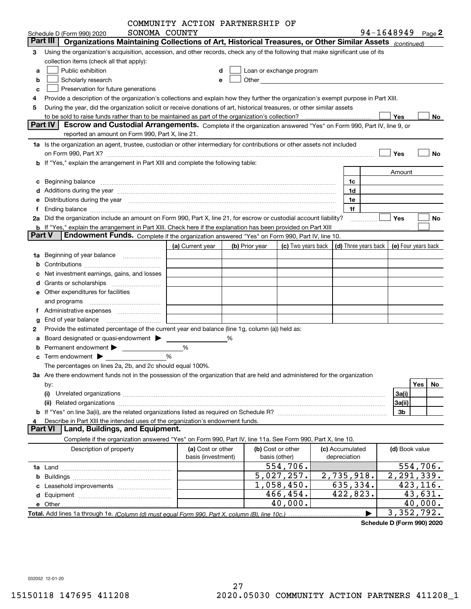| 94-1648949 Page 2<br>SONOMA COUNTY<br>Schedule D (Form 990) 2020<br>Part III<br>Organizations Maintaining Collections of Art, Historical Treasures, or Other Similar Assets (continued)<br>Using the organization's acquisition, accession, and other records, check any of the following that make significant use of its<br>З<br>collection items (check all that apply):<br>Public exhibition<br>Loan or exchange program<br>a<br>d<br>Other and the control of the control of the control of the control of the control of the control of the control of the control of the control of the control of the control of the control of the control of the control of th<br>Scholarly research<br>b<br>е<br>Preservation for future generations<br>c<br>Provide a description of the organization's collections and explain how they further the organization's exempt purpose in Part XIII.<br>During the year, did the organization solicit or receive donations of art, historical treasures, or other similar assets<br>5<br>Yes<br>No<br>Part IV<br>Escrow and Custodial Arrangements. Complete if the organization answered "Yes" on Form 990, Part IV, line 9, or<br>reported an amount on Form 990, Part X, line 21.<br>1a Is the organization an agent, trustee, custodian or other intermediary for contributions or other assets not included<br>Yes<br>No<br>b If "Yes," explain the arrangement in Part XIII and complete the following table:<br>Amount<br>1c<br>c<br>1d<br>Distributions during the year measurement contains and all the state of the state of the state of the state of<br>1e<br>1f<br>2a Did the organization include an amount on Form 990, Part X, line 21, for escrow or custodial account liability?<br>Yes<br>No<br><b>b</b> If "Yes," explain the arrangement in Part XIII. Check here if the explanation has been provided on Part XIII<br><b>Part V</b><br>Endowment Funds. Complete if the organization answered "Yes" on Form 990, Part IV, line 10.<br>(d) Three years back   (e) Four years back<br>(a) Current year<br>(b) Prior year<br>(c) Two years back<br>Beginning of year balance<br>1a<br>Net investment earnings, gains, and losses<br>Grants or scholarships<br>e Other expenditures for facilities<br>End of year balance<br>Provide the estimated percentage of the current year end balance (line 1g, column (a)) held as:<br>2<br>Board designated or quasi-endowment ><br>℅<br>%<br>%<br>The percentages on lines 2a, 2b, and 2c should equal 100%.<br>3a Are there endowment funds not in the possession of the organization that are held and administered for the organization<br>Yes<br>No<br>by:<br>3a(i)<br>(i)<br>3a(ii)<br>(ii)<br>3b<br>Describe in Part XIII the intended uses of the organization's endowment funds.<br>Land, Buildings, and Equipment.<br><b>Part VI</b><br>Complete if the organization answered "Yes" on Form 990, Part IV, line 11a. See Form 990, Part X, line 10.<br>Description of property<br>(a) Cost or other<br>(b) Cost or other<br>(c) Accumulated<br>(d) Book value<br>basis (investment)<br>basis (other)<br>depreciation<br>554,706.<br>554,706.<br>$\overline{5,027,257}$ .<br>2,735,918.<br>2, 291, 339.<br>$\overline{1,058}$ , 450.<br>635,334.<br>423,116.<br>422,823.<br>466,454.<br>43,631.<br>40,000.<br>40,000.<br>$\overline{3}$ , 352, 792. |  | COMMUNITY ACTION PARTNERSHIP OF |  |  |  |  |
|-----------------------------------------------------------------------------------------------------------------------------------------------------------------------------------------------------------------------------------------------------------------------------------------------------------------------------------------------------------------------------------------------------------------------------------------------------------------------------------------------------------------------------------------------------------------------------------------------------------------------------------------------------------------------------------------------------------------------------------------------------------------------------------------------------------------------------------------------------------------------------------------------------------------------------------------------------------------------------------------------------------------------------------------------------------------------------------------------------------------------------------------------------------------------------------------------------------------------------------------------------------------------------------------------------------------------------------------------------------------------------------------------------------------------------------------------------------------------------------------------------------------------------------------------------------------------------------------------------------------------------------------------------------------------------------------------------------------------------------------------------------------------------------------------------------------------------------------------------------------------------------------------------------------------------------------------------------------------------------------------------------------------------------------------------------------------------------------------------------------------------------------------------------------------------------------------------------------------------------------------------------------------------------------------------------------------------------------------------------------------------------------------------------------------------------------------------------------------------------------------------------------------------------------------------------------------------------------------------------------------------------------------------------------------------------------------------------------------------------------------------------------------------------------------------------------------------------------------------------------------------------------------------------------------------------------------------------------------------------------------------------------------------------------------------------------------------------------------------------------------------------------------------------------------------------------------------------------------------------------------------------------------------------------------------------------------------------------------------------------|--|---------------------------------|--|--|--|--|
|                                                                                                                                                                                                                                                                                                                                                                                                                                                                                                                                                                                                                                                                                                                                                                                                                                                                                                                                                                                                                                                                                                                                                                                                                                                                                                                                                                                                                                                                                                                                                                                                                                                                                                                                                                                                                                                                                                                                                                                                                                                                                                                                                                                                                                                                                                                                                                                                                                                                                                                                                                                                                                                                                                                                                                                                                                                                                                                                                                                                                                                                                                                                                                                                                                                                                                                                                                 |  |                                 |  |  |  |  |
|                                                                                                                                                                                                                                                                                                                                                                                                                                                                                                                                                                                                                                                                                                                                                                                                                                                                                                                                                                                                                                                                                                                                                                                                                                                                                                                                                                                                                                                                                                                                                                                                                                                                                                                                                                                                                                                                                                                                                                                                                                                                                                                                                                                                                                                                                                                                                                                                                                                                                                                                                                                                                                                                                                                                                                                                                                                                                                                                                                                                                                                                                                                                                                                                                                                                                                                                                                 |  |                                 |  |  |  |  |
|                                                                                                                                                                                                                                                                                                                                                                                                                                                                                                                                                                                                                                                                                                                                                                                                                                                                                                                                                                                                                                                                                                                                                                                                                                                                                                                                                                                                                                                                                                                                                                                                                                                                                                                                                                                                                                                                                                                                                                                                                                                                                                                                                                                                                                                                                                                                                                                                                                                                                                                                                                                                                                                                                                                                                                                                                                                                                                                                                                                                                                                                                                                                                                                                                                                                                                                                                                 |  |                                 |  |  |  |  |
|                                                                                                                                                                                                                                                                                                                                                                                                                                                                                                                                                                                                                                                                                                                                                                                                                                                                                                                                                                                                                                                                                                                                                                                                                                                                                                                                                                                                                                                                                                                                                                                                                                                                                                                                                                                                                                                                                                                                                                                                                                                                                                                                                                                                                                                                                                                                                                                                                                                                                                                                                                                                                                                                                                                                                                                                                                                                                                                                                                                                                                                                                                                                                                                                                                                                                                                                                                 |  |                                 |  |  |  |  |
|                                                                                                                                                                                                                                                                                                                                                                                                                                                                                                                                                                                                                                                                                                                                                                                                                                                                                                                                                                                                                                                                                                                                                                                                                                                                                                                                                                                                                                                                                                                                                                                                                                                                                                                                                                                                                                                                                                                                                                                                                                                                                                                                                                                                                                                                                                                                                                                                                                                                                                                                                                                                                                                                                                                                                                                                                                                                                                                                                                                                                                                                                                                                                                                                                                                                                                                                                                 |  |                                 |  |  |  |  |
|                                                                                                                                                                                                                                                                                                                                                                                                                                                                                                                                                                                                                                                                                                                                                                                                                                                                                                                                                                                                                                                                                                                                                                                                                                                                                                                                                                                                                                                                                                                                                                                                                                                                                                                                                                                                                                                                                                                                                                                                                                                                                                                                                                                                                                                                                                                                                                                                                                                                                                                                                                                                                                                                                                                                                                                                                                                                                                                                                                                                                                                                                                                                                                                                                                                                                                                                                                 |  |                                 |  |  |  |  |
|                                                                                                                                                                                                                                                                                                                                                                                                                                                                                                                                                                                                                                                                                                                                                                                                                                                                                                                                                                                                                                                                                                                                                                                                                                                                                                                                                                                                                                                                                                                                                                                                                                                                                                                                                                                                                                                                                                                                                                                                                                                                                                                                                                                                                                                                                                                                                                                                                                                                                                                                                                                                                                                                                                                                                                                                                                                                                                                                                                                                                                                                                                                                                                                                                                                                                                                                                                 |  |                                 |  |  |  |  |
|                                                                                                                                                                                                                                                                                                                                                                                                                                                                                                                                                                                                                                                                                                                                                                                                                                                                                                                                                                                                                                                                                                                                                                                                                                                                                                                                                                                                                                                                                                                                                                                                                                                                                                                                                                                                                                                                                                                                                                                                                                                                                                                                                                                                                                                                                                                                                                                                                                                                                                                                                                                                                                                                                                                                                                                                                                                                                                                                                                                                                                                                                                                                                                                                                                                                                                                                                                 |  |                                 |  |  |  |  |
|                                                                                                                                                                                                                                                                                                                                                                                                                                                                                                                                                                                                                                                                                                                                                                                                                                                                                                                                                                                                                                                                                                                                                                                                                                                                                                                                                                                                                                                                                                                                                                                                                                                                                                                                                                                                                                                                                                                                                                                                                                                                                                                                                                                                                                                                                                                                                                                                                                                                                                                                                                                                                                                                                                                                                                                                                                                                                                                                                                                                                                                                                                                                                                                                                                                                                                                                                                 |  |                                 |  |  |  |  |
|                                                                                                                                                                                                                                                                                                                                                                                                                                                                                                                                                                                                                                                                                                                                                                                                                                                                                                                                                                                                                                                                                                                                                                                                                                                                                                                                                                                                                                                                                                                                                                                                                                                                                                                                                                                                                                                                                                                                                                                                                                                                                                                                                                                                                                                                                                                                                                                                                                                                                                                                                                                                                                                                                                                                                                                                                                                                                                                                                                                                                                                                                                                                                                                                                                                                                                                                                                 |  |                                 |  |  |  |  |
|                                                                                                                                                                                                                                                                                                                                                                                                                                                                                                                                                                                                                                                                                                                                                                                                                                                                                                                                                                                                                                                                                                                                                                                                                                                                                                                                                                                                                                                                                                                                                                                                                                                                                                                                                                                                                                                                                                                                                                                                                                                                                                                                                                                                                                                                                                                                                                                                                                                                                                                                                                                                                                                                                                                                                                                                                                                                                                                                                                                                                                                                                                                                                                                                                                                                                                                                                                 |  |                                 |  |  |  |  |
|                                                                                                                                                                                                                                                                                                                                                                                                                                                                                                                                                                                                                                                                                                                                                                                                                                                                                                                                                                                                                                                                                                                                                                                                                                                                                                                                                                                                                                                                                                                                                                                                                                                                                                                                                                                                                                                                                                                                                                                                                                                                                                                                                                                                                                                                                                                                                                                                                                                                                                                                                                                                                                                                                                                                                                                                                                                                                                                                                                                                                                                                                                                                                                                                                                                                                                                                                                 |  |                                 |  |  |  |  |
|                                                                                                                                                                                                                                                                                                                                                                                                                                                                                                                                                                                                                                                                                                                                                                                                                                                                                                                                                                                                                                                                                                                                                                                                                                                                                                                                                                                                                                                                                                                                                                                                                                                                                                                                                                                                                                                                                                                                                                                                                                                                                                                                                                                                                                                                                                                                                                                                                                                                                                                                                                                                                                                                                                                                                                                                                                                                                                                                                                                                                                                                                                                                                                                                                                                                                                                                                                 |  |                                 |  |  |  |  |
|                                                                                                                                                                                                                                                                                                                                                                                                                                                                                                                                                                                                                                                                                                                                                                                                                                                                                                                                                                                                                                                                                                                                                                                                                                                                                                                                                                                                                                                                                                                                                                                                                                                                                                                                                                                                                                                                                                                                                                                                                                                                                                                                                                                                                                                                                                                                                                                                                                                                                                                                                                                                                                                                                                                                                                                                                                                                                                                                                                                                                                                                                                                                                                                                                                                                                                                                                                 |  |                                 |  |  |  |  |
|                                                                                                                                                                                                                                                                                                                                                                                                                                                                                                                                                                                                                                                                                                                                                                                                                                                                                                                                                                                                                                                                                                                                                                                                                                                                                                                                                                                                                                                                                                                                                                                                                                                                                                                                                                                                                                                                                                                                                                                                                                                                                                                                                                                                                                                                                                                                                                                                                                                                                                                                                                                                                                                                                                                                                                                                                                                                                                                                                                                                                                                                                                                                                                                                                                                                                                                                                                 |  |                                 |  |  |  |  |
|                                                                                                                                                                                                                                                                                                                                                                                                                                                                                                                                                                                                                                                                                                                                                                                                                                                                                                                                                                                                                                                                                                                                                                                                                                                                                                                                                                                                                                                                                                                                                                                                                                                                                                                                                                                                                                                                                                                                                                                                                                                                                                                                                                                                                                                                                                                                                                                                                                                                                                                                                                                                                                                                                                                                                                                                                                                                                                                                                                                                                                                                                                                                                                                                                                                                                                                                                                 |  |                                 |  |  |  |  |
|                                                                                                                                                                                                                                                                                                                                                                                                                                                                                                                                                                                                                                                                                                                                                                                                                                                                                                                                                                                                                                                                                                                                                                                                                                                                                                                                                                                                                                                                                                                                                                                                                                                                                                                                                                                                                                                                                                                                                                                                                                                                                                                                                                                                                                                                                                                                                                                                                                                                                                                                                                                                                                                                                                                                                                                                                                                                                                                                                                                                                                                                                                                                                                                                                                                                                                                                                                 |  |                                 |  |  |  |  |
|                                                                                                                                                                                                                                                                                                                                                                                                                                                                                                                                                                                                                                                                                                                                                                                                                                                                                                                                                                                                                                                                                                                                                                                                                                                                                                                                                                                                                                                                                                                                                                                                                                                                                                                                                                                                                                                                                                                                                                                                                                                                                                                                                                                                                                                                                                                                                                                                                                                                                                                                                                                                                                                                                                                                                                                                                                                                                                                                                                                                                                                                                                                                                                                                                                                                                                                                                                 |  |                                 |  |  |  |  |
|                                                                                                                                                                                                                                                                                                                                                                                                                                                                                                                                                                                                                                                                                                                                                                                                                                                                                                                                                                                                                                                                                                                                                                                                                                                                                                                                                                                                                                                                                                                                                                                                                                                                                                                                                                                                                                                                                                                                                                                                                                                                                                                                                                                                                                                                                                                                                                                                                                                                                                                                                                                                                                                                                                                                                                                                                                                                                                                                                                                                                                                                                                                                                                                                                                                                                                                                                                 |  |                                 |  |  |  |  |
|                                                                                                                                                                                                                                                                                                                                                                                                                                                                                                                                                                                                                                                                                                                                                                                                                                                                                                                                                                                                                                                                                                                                                                                                                                                                                                                                                                                                                                                                                                                                                                                                                                                                                                                                                                                                                                                                                                                                                                                                                                                                                                                                                                                                                                                                                                                                                                                                                                                                                                                                                                                                                                                                                                                                                                                                                                                                                                                                                                                                                                                                                                                                                                                                                                                                                                                                                                 |  |                                 |  |  |  |  |
|                                                                                                                                                                                                                                                                                                                                                                                                                                                                                                                                                                                                                                                                                                                                                                                                                                                                                                                                                                                                                                                                                                                                                                                                                                                                                                                                                                                                                                                                                                                                                                                                                                                                                                                                                                                                                                                                                                                                                                                                                                                                                                                                                                                                                                                                                                                                                                                                                                                                                                                                                                                                                                                                                                                                                                                                                                                                                                                                                                                                                                                                                                                                                                                                                                                                                                                                                                 |  |                                 |  |  |  |  |
|                                                                                                                                                                                                                                                                                                                                                                                                                                                                                                                                                                                                                                                                                                                                                                                                                                                                                                                                                                                                                                                                                                                                                                                                                                                                                                                                                                                                                                                                                                                                                                                                                                                                                                                                                                                                                                                                                                                                                                                                                                                                                                                                                                                                                                                                                                                                                                                                                                                                                                                                                                                                                                                                                                                                                                                                                                                                                                                                                                                                                                                                                                                                                                                                                                                                                                                                                                 |  |                                 |  |  |  |  |
|                                                                                                                                                                                                                                                                                                                                                                                                                                                                                                                                                                                                                                                                                                                                                                                                                                                                                                                                                                                                                                                                                                                                                                                                                                                                                                                                                                                                                                                                                                                                                                                                                                                                                                                                                                                                                                                                                                                                                                                                                                                                                                                                                                                                                                                                                                                                                                                                                                                                                                                                                                                                                                                                                                                                                                                                                                                                                                                                                                                                                                                                                                                                                                                                                                                                                                                                                                 |  |                                 |  |  |  |  |
|                                                                                                                                                                                                                                                                                                                                                                                                                                                                                                                                                                                                                                                                                                                                                                                                                                                                                                                                                                                                                                                                                                                                                                                                                                                                                                                                                                                                                                                                                                                                                                                                                                                                                                                                                                                                                                                                                                                                                                                                                                                                                                                                                                                                                                                                                                                                                                                                                                                                                                                                                                                                                                                                                                                                                                                                                                                                                                                                                                                                                                                                                                                                                                                                                                                                                                                                                                 |  |                                 |  |  |  |  |
|                                                                                                                                                                                                                                                                                                                                                                                                                                                                                                                                                                                                                                                                                                                                                                                                                                                                                                                                                                                                                                                                                                                                                                                                                                                                                                                                                                                                                                                                                                                                                                                                                                                                                                                                                                                                                                                                                                                                                                                                                                                                                                                                                                                                                                                                                                                                                                                                                                                                                                                                                                                                                                                                                                                                                                                                                                                                                                                                                                                                                                                                                                                                                                                                                                                                                                                                                                 |  |                                 |  |  |  |  |
|                                                                                                                                                                                                                                                                                                                                                                                                                                                                                                                                                                                                                                                                                                                                                                                                                                                                                                                                                                                                                                                                                                                                                                                                                                                                                                                                                                                                                                                                                                                                                                                                                                                                                                                                                                                                                                                                                                                                                                                                                                                                                                                                                                                                                                                                                                                                                                                                                                                                                                                                                                                                                                                                                                                                                                                                                                                                                                                                                                                                                                                                                                                                                                                                                                                                                                                                                                 |  |                                 |  |  |  |  |
|                                                                                                                                                                                                                                                                                                                                                                                                                                                                                                                                                                                                                                                                                                                                                                                                                                                                                                                                                                                                                                                                                                                                                                                                                                                                                                                                                                                                                                                                                                                                                                                                                                                                                                                                                                                                                                                                                                                                                                                                                                                                                                                                                                                                                                                                                                                                                                                                                                                                                                                                                                                                                                                                                                                                                                                                                                                                                                                                                                                                                                                                                                                                                                                                                                                                                                                                                                 |  |                                 |  |  |  |  |
|                                                                                                                                                                                                                                                                                                                                                                                                                                                                                                                                                                                                                                                                                                                                                                                                                                                                                                                                                                                                                                                                                                                                                                                                                                                                                                                                                                                                                                                                                                                                                                                                                                                                                                                                                                                                                                                                                                                                                                                                                                                                                                                                                                                                                                                                                                                                                                                                                                                                                                                                                                                                                                                                                                                                                                                                                                                                                                                                                                                                                                                                                                                                                                                                                                                                                                                                                                 |  |                                 |  |  |  |  |
|                                                                                                                                                                                                                                                                                                                                                                                                                                                                                                                                                                                                                                                                                                                                                                                                                                                                                                                                                                                                                                                                                                                                                                                                                                                                                                                                                                                                                                                                                                                                                                                                                                                                                                                                                                                                                                                                                                                                                                                                                                                                                                                                                                                                                                                                                                                                                                                                                                                                                                                                                                                                                                                                                                                                                                                                                                                                                                                                                                                                                                                                                                                                                                                                                                                                                                                                                                 |  |                                 |  |  |  |  |
|                                                                                                                                                                                                                                                                                                                                                                                                                                                                                                                                                                                                                                                                                                                                                                                                                                                                                                                                                                                                                                                                                                                                                                                                                                                                                                                                                                                                                                                                                                                                                                                                                                                                                                                                                                                                                                                                                                                                                                                                                                                                                                                                                                                                                                                                                                                                                                                                                                                                                                                                                                                                                                                                                                                                                                                                                                                                                                                                                                                                                                                                                                                                                                                                                                                                                                                                                                 |  |                                 |  |  |  |  |
|                                                                                                                                                                                                                                                                                                                                                                                                                                                                                                                                                                                                                                                                                                                                                                                                                                                                                                                                                                                                                                                                                                                                                                                                                                                                                                                                                                                                                                                                                                                                                                                                                                                                                                                                                                                                                                                                                                                                                                                                                                                                                                                                                                                                                                                                                                                                                                                                                                                                                                                                                                                                                                                                                                                                                                                                                                                                                                                                                                                                                                                                                                                                                                                                                                                                                                                                                                 |  |                                 |  |  |  |  |
|                                                                                                                                                                                                                                                                                                                                                                                                                                                                                                                                                                                                                                                                                                                                                                                                                                                                                                                                                                                                                                                                                                                                                                                                                                                                                                                                                                                                                                                                                                                                                                                                                                                                                                                                                                                                                                                                                                                                                                                                                                                                                                                                                                                                                                                                                                                                                                                                                                                                                                                                                                                                                                                                                                                                                                                                                                                                                                                                                                                                                                                                                                                                                                                                                                                                                                                                                                 |  |                                 |  |  |  |  |
|                                                                                                                                                                                                                                                                                                                                                                                                                                                                                                                                                                                                                                                                                                                                                                                                                                                                                                                                                                                                                                                                                                                                                                                                                                                                                                                                                                                                                                                                                                                                                                                                                                                                                                                                                                                                                                                                                                                                                                                                                                                                                                                                                                                                                                                                                                                                                                                                                                                                                                                                                                                                                                                                                                                                                                                                                                                                                                                                                                                                                                                                                                                                                                                                                                                                                                                                                                 |  |                                 |  |  |  |  |
|                                                                                                                                                                                                                                                                                                                                                                                                                                                                                                                                                                                                                                                                                                                                                                                                                                                                                                                                                                                                                                                                                                                                                                                                                                                                                                                                                                                                                                                                                                                                                                                                                                                                                                                                                                                                                                                                                                                                                                                                                                                                                                                                                                                                                                                                                                                                                                                                                                                                                                                                                                                                                                                                                                                                                                                                                                                                                                                                                                                                                                                                                                                                                                                                                                                                                                                                                                 |  |                                 |  |  |  |  |
|                                                                                                                                                                                                                                                                                                                                                                                                                                                                                                                                                                                                                                                                                                                                                                                                                                                                                                                                                                                                                                                                                                                                                                                                                                                                                                                                                                                                                                                                                                                                                                                                                                                                                                                                                                                                                                                                                                                                                                                                                                                                                                                                                                                                                                                                                                                                                                                                                                                                                                                                                                                                                                                                                                                                                                                                                                                                                                                                                                                                                                                                                                                                                                                                                                                                                                                                                                 |  |                                 |  |  |  |  |
|                                                                                                                                                                                                                                                                                                                                                                                                                                                                                                                                                                                                                                                                                                                                                                                                                                                                                                                                                                                                                                                                                                                                                                                                                                                                                                                                                                                                                                                                                                                                                                                                                                                                                                                                                                                                                                                                                                                                                                                                                                                                                                                                                                                                                                                                                                                                                                                                                                                                                                                                                                                                                                                                                                                                                                                                                                                                                                                                                                                                                                                                                                                                                                                                                                                                                                                                                                 |  |                                 |  |  |  |  |
|                                                                                                                                                                                                                                                                                                                                                                                                                                                                                                                                                                                                                                                                                                                                                                                                                                                                                                                                                                                                                                                                                                                                                                                                                                                                                                                                                                                                                                                                                                                                                                                                                                                                                                                                                                                                                                                                                                                                                                                                                                                                                                                                                                                                                                                                                                                                                                                                                                                                                                                                                                                                                                                                                                                                                                                                                                                                                                                                                                                                                                                                                                                                                                                                                                                                                                                                                                 |  |                                 |  |  |  |  |
|                                                                                                                                                                                                                                                                                                                                                                                                                                                                                                                                                                                                                                                                                                                                                                                                                                                                                                                                                                                                                                                                                                                                                                                                                                                                                                                                                                                                                                                                                                                                                                                                                                                                                                                                                                                                                                                                                                                                                                                                                                                                                                                                                                                                                                                                                                                                                                                                                                                                                                                                                                                                                                                                                                                                                                                                                                                                                                                                                                                                                                                                                                                                                                                                                                                                                                                                                                 |  |                                 |  |  |  |  |
|                                                                                                                                                                                                                                                                                                                                                                                                                                                                                                                                                                                                                                                                                                                                                                                                                                                                                                                                                                                                                                                                                                                                                                                                                                                                                                                                                                                                                                                                                                                                                                                                                                                                                                                                                                                                                                                                                                                                                                                                                                                                                                                                                                                                                                                                                                                                                                                                                                                                                                                                                                                                                                                                                                                                                                                                                                                                                                                                                                                                                                                                                                                                                                                                                                                                                                                                                                 |  |                                 |  |  |  |  |
|                                                                                                                                                                                                                                                                                                                                                                                                                                                                                                                                                                                                                                                                                                                                                                                                                                                                                                                                                                                                                                                                                                                                                                                                                                                                                                                                                                                                                                                                                                                                                                                                                                                                                                                                                                                                                                                                                                                                                                                                                                                                                                                                                                                                                                                                                                                                                                                                                                                                                                                                                                                                                                                                                                                                                                                                                                                                                                                                                                                                                                                                                                                                                                                                                                                                                                                                                                 |  |                                 |  |  |  |  |
|                                                                                                                                                                                                                                                                                                                                                                                                                                                                                                                                                                                                                                                                                                                                                                                                                                                                                                                                                                                                                                                                                                                                                                                                                                                                                                                                                                                                                                                                                                                                                                                                                                                                                                                                                                                                                                                                                                                                                                                                                                                                                                                                                                                                                                                                                                                                                                                                                                                                                                                                                                                                                                                                                                                                                                                                                                                                                                                                                                                                                                                                                                                                                                                                                                                                                                                                                                 |  |                                 |  |  |  |  |
|                                                                                                                                                                                                                                                                                                                                                                                                                                                                                                                                                                                                                                                                                                                                                                                                                                                                                                                                                                                                                                                                                                                                                                                                                                                                                                                                                                                                                                                                                                                                                                                                                                                                                                                                                                                                                                                                                                                                                                                                                                                                                                                                                                                                                                                                                                                                                                                                                                                                                                                                                                                                                                                                                                                                                                                                                                                                                                                                                                                                                                                                                                                                                                                                                                                                                                                                                                 |  |                                 |  |  |  |  |
|                                                                                                                                                                                                                                                                                                                                                                                                                                                                                                                                                                                                                                                                                                                                                                                                                                                                                                                                                                                                                                                                                                                                                                                                                                                                                                                                                                                                                                                                                                                                                                                                                                                                                                                                                                                                                                                                                                                                                                                                                                                                                                                                                                                                                                                                                                                                                                                                                                                                                                                                                                                                                                                                                                                                                                                                                                                                                                                                                                                                                                                                                                                                                                                                                                                                                                                                                                 |  |                                 |  |  |  |  |
|                                                                                                                                                                                                                                                                                                                                                                                                                                                                                                                                                                                                                                                                                                                                                                                                                                                                                                                                                                                                                                                                                                                                                                                                                                                                                                                                                                                                                                                                                                                                                                                                                                                                                                                                                                                                                                                                                                                                                                                                                                                                                                                                                                                                                                                                                                                                                                                                                                                                                                                                                                                                                                                                                                                                                                                                                                                                                                                                                                                                                                                                                                                                                                                                                                                                                                                                                                 |  |                                 |  |  |  |  |
|                                                                                                                                                                                                                                                                                                                                                                                                                                                                                                                                                                                                                                                                                                                                                                                                                                                                                                                                                                                                                                                                                                                                                                                                                                                                                                                                                                                                                                                                                                                                                                                                                                                                                                                                                                                                                                                                                                                                                                                                                                                                                                                                                                                                                                                                                                                                                                                                                                                                                                                                                                                                                                                                                                                                                                                                                                                                                                                                                                                                                                                                                                                                                                                                                                                                                                                                                                 |  |                                 |  |  |  |  |
|                                                                                                                                                                                                                                                                                                                                                                                                                                                                                                                                                                                                                                                                                                                                                                                                                                                                                                                                                                                                                                                                                                                                                                                                                                                                                                                                                                                                                                                                                                                                                                                                                                                                                                                                                                                                                                                                                                                                                                                                                                                                                                                                                                                                                                                                                                                                                                                                                                                                                                                                                                                                                                                                                                                                                                                                                                                                                                                                                                                                                                                                                                                                                                                                                                                                                                                                                                 |  |                                 |  |  |  |  |
|                                                                                                                                                                                                                                                                                                                                                                                                                                                                                                                                                                                                                                                                                                                                                                                                                                                                                                                                                                                                                                                                                                                                                                                                                                                                                                                                                                                                                                                                                                                                                                                                                                                                                                                                                                                                                                                                                                                                                                                                                                                                                                                                                                                                                                                                                                                                                                                                                                                                                                                                                                                                                                                                                                                                                                                                                                                                                                                                                                                                                                                                                                                                                                                                                                                                                                                                                                 |  |                                 |  |  |  |  |
|                                                                                                                                                                                                                                                                                                                                                                                                                                                                                                                                                                                                                                                                                                                                                                                                                                                                                                                                                                                                                                                                                                                                                                                                                                                                                                                                                                                                                                                                                                                                                                                                                                                                                                                                                                                                                                                                                                                                                                                                                                                                                                                                                                                                                                                                                                                                                                                                                                                                                                                                                                                                                                                                                                                                                                                                                                                                                                                                                                                                                                                                                                                                                                                                                                                                                                                                                                 |  |                                 |  |  |  |  |
|                                                                                                                                                                                                                                                                                                                                                                                                                                                                                                                                                                                                                                                                                                                                                                                                                                                                                                                                                                                                                                                                                                                                                                                                                                                                                                                                                                                                                                                                                                                                                                                                                                                                                                                                                                                                                                                                                                                                                                                                                                                                                                                                                                                                                                                                                                                                                                                                                                                                                                                                                                                                                                                                                                                                                                                                                                                                                                                                                                                                                                                                                                                                                                                                                                                                                                                                                                 |  |                                 |  |  |  |  |
|                                                                                                                                                                                                                                                                                                                                                                                                                                                                                                                                                                                                                                                                                                                                                                                                                                                                                                                                                                                                                                                                                                                                                                                                                                                                                                                                                                                                                                                                                                                                                                                                                                                                                                                                                                                                                                                                                                                                                                                                                                                                                                                                                                                                                                                                                                                                                                                                                                                                                                                                                                                                                                                                                                                                                                                                                                                                                                                                                                                                                                                                                                                                                                                                                                                                                                                                                                 |  |                                 |  |  |  |  |
|                                                                                                                                                                                                                                                                                                                                                                                                                                                                                                                                                                                                                                                                                                                                                                                                                                                                                                                                                                                                                                                                                                                                                                                                                                                                                                                                                                                                                                                                                                                                                                                                                                                                                                                                                                                                                                                                                                                                                                                                                                                                                                                                                                                                                                                                                                                                                                                                                                                                                                                                                                                                                                                                                                                                                                                                                                                                                                                                                                                                                                                                                                                                                                                                                                                                                                                                                                 |  |                                 |  |  |  |  |
|                                                                                                                                                                                                                                                                                                                                                                                                                                                                                                                                                                                                                                                                                                                                                                                                                                                                                                                                                                                                                                                                                                                                                                                                                                                                                                                                                                                                                                                                                                                                                                                                                                                                                                                                                                                                                                                                                                                                                                                                                                                                                                                                                                                                                                                                                                                                                                                                                                                                                                                                                                                                                                                                                                                                                                                                                                                                                                                                                                                                                                                                                                                                                                                                                                                                                                                                                                 |  |                                 |  |  |  |  |
|                                                                                                                                                                                                                                                                                                                                                                                                                                                                                                                                                                                                                                                                                                                                                                                                                                                                                                                                                                                                                                                                                                                                                                                                                                                                                                                                                                                                                                                                                                                                                                                                                                                                                                                                                                                                                                                                                                                                                                                                                                                                                                                                                                                                                                                                                                                                                                                                                                                                                                                                                                                                                                                                                                                                                                                                                                                                                                                                                                                                                                                                                                                                                                                                                                                                                                                                                                 |  |                                 |  |  |  |  |
|                                                                                                                                                                                                                                                                                                                                                                                                                                                                                                                                                                                                                                                                                                                                                                                                                                                                                                                                                                                                                                                                                                                                                                                                                                                                                                                                                                                                                                                                                                                                                                                                                                                                                                                                                                                                                                                                                                                                                                                                                                                                                                                                                                                                                                                                                                                                                                                                                                                                                                                                                                                                                                                                                                                                                                                                                                                                                                                                                                                                                                                                                                                                                                                                                                                                                                                                                                 |  |                                 |  |  |  |  |

**Schedule D (Form 990) 2020**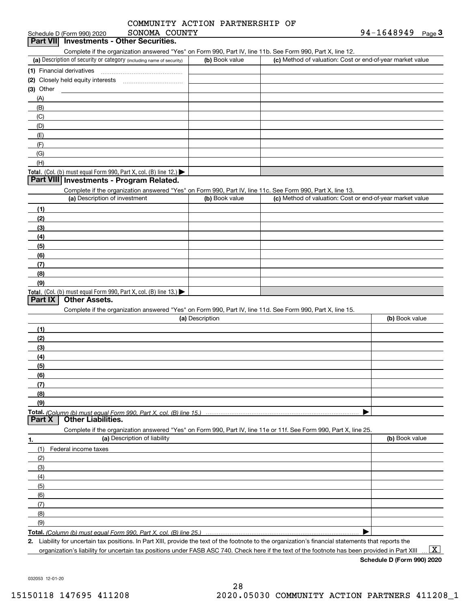|               | COMMUNITY ACTION PARTNERSHIP OF |  |
|---------------|---------------------------------|--|
| SONOMA COUNTY |                                 |  |

| Schedule D (Form 990) 2020<br>Part VII Investments - Other Securities. |  |
|------------------------------------------------------------------------|--|
|                                                                        |  |

Complete if the organization answered "Yes" on Form 990, Part IV, line 11b. See Form 990, Part X, line 12.

| (a) Description of security or category (including name of security)       | (b) Book value | (c) Method of valuation: Cost or end-of-year market value |
|----------------------------------------------------------------------------|----------------|-----------------------------------------------------------|
| (1) Financial derivatives                                                  |                |                                                           |
| (2) Closely held equity interests                                          |                |                                                           |
| $(3)$ Other                                                                |                |                                                           |
| (A)                                                                        |                |                                                           |
| (B)                                                                        |                |                                                           |
| (C)                                                                        |                |                                                           |
| (D)                                                                        |                |                                                           |
| (E)                                                                        |                |                                                           |
| (F)                                                                        |                |                                                           |
| (G)                                                                        |                |                                                           |
| (H)                                                                        |                |                                                           |
| <b>Total.</b> (Col. (b) must equal Form 990, Part X, col. (B) line $12$ .) |                |                                                           |

#### **Part VIII Investments - Program Related.**

Complete if the organization answered "Yes" on Form 990, Part IV, line 11c. See Form 990, Part X, line 13.

| (a) Description of investment                                    | (b) Book value | (c) Method of valuation: Cost or end-of-year market value |
|------------------------------------------------------------------|----------------|-----------------------------------------------------------|
| (1)                                                              |                |                                                           |
| (2)                                                              |                |                                                           |
| $\frac{1}{2}$                                                    |                |                                                           |
| (4)                                                              |                |                                                           |
| $\left(5\right)$                                                 |                |                                                           |
| (6)                                                              |                |                                                           |
| (7)                                                              |                |                                                           |
| (8)                                                              |                |                                                           |
| (9)                                                              |                |                                                           |
| Total. (Col. (b) must equal Form 990, Part X, col. (B) line 13.) |                |                                                           |

#### **Part IX Other Assets.**

Complete if the organization answered "Yes" on Form 990, Part IV, line 11d. See Form 990, Part X, line 15.

| (a) Description                                                                                                   | (b) Book value |
|-------------------------------------------------------------------------------------------------------------------|----------------|
| (1)                                                                                                               |                |
| (2)                                                                                                               |                |
| $\frac{1}{2}$                                                                                                     |                |
| (4)                                                                                                               |                |
| (5)                                                                                                               |                |
| (6)                                                                                                               |                |
| (7)                                                                                                               |                |
| (8)                                                                                                               |                |
| (9)                                                                                                               |                |
|                                                                                                                   |                |
| <b>Part X</b> Other Liabilities.                                                                                  |                |
| Complete if the organization answered "Yes" on Form 990, Part IV, line 11e or 11f. See Form 990, Part X, line 25. |                |

| 1.  | (a) Description of liability | (b) Book value |
|-----|------------------------------|----------------|
| (1) | Federal income taxes         |                |
| (2) |                              |                |
| (3) |                              |                |
| (4) |                              |                |
| (5) |                              |                |
| (6) |                              |                |
| (7) |                              |                |
| (8) |                              |                |
| (9) |                              |                |
|     |                              |                |

*(Column (b) must equal Form 990, Part X, col. (B) line 25.)* 

**2.**Liability for uncertain tax positions. In Part XIII, provide the text of the footnote to the organization's financial statements that reports the organization's liability for uncertain tax positions under FASB ASC 740. Check here if the text of the footnote has been provided in Part XIII

**Schedule D (Form 990) 2020**  $\boxed{\text{X}}$ 

032053 12-01-20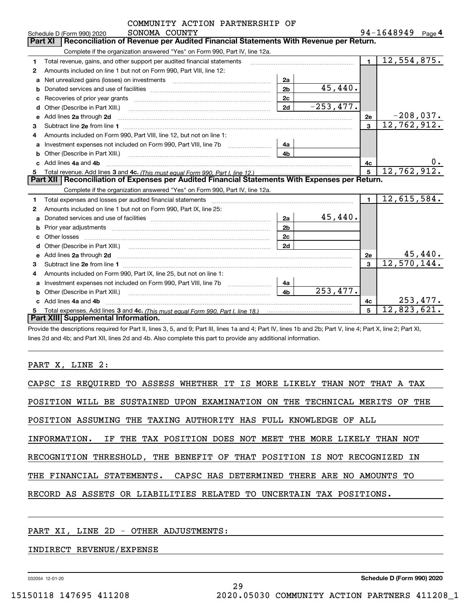|   | COMMUNITY ACTION PARTNERSHIP OF                                                                                          |                |              |                |                          |  |  |  |  |
|---|--------------------------------------------------------------------------------------------------------------------------|----------------|--------------|----------------|--------------------------|--|--|--|--|
|   | SONOMA COUNTY<br>Schedule D (Form 990) 2020                                                                              |                |              |                | 94-1648949 Page 4        |  |  |  |  |
|   | Reconciliation of Revenue per Audited Financial Statements With Revenue per Return.<br>Part XI                           |                |              |                |                          |  |  |  |  |
|   | Complete if the organization answered "Yes" on Form 990, Part IV, line 12a.                                              |                |              |                |                          |  |  |  |  |
| 1 | Total revenue, gains, and other support per audited financial statements                                                 |                |              | $\mathbf{1}$   | 12,554,875.              |  |  |  |  |
| 2 | Amounts included on line 1 but not on Form 990, Part VIII, line 12:                                                      |                |              |                |                          |  |  |  |  |
| a | Net unrealized gains (losses) on investments [11] matter contracts and the unrealized gains (losses) on investments      | 2a             |              |                |                          |  |  |  |  |
| b |                                                                                                                          | 2 <sub>b</sub> | 45,440.      |                |                          |  |  |  |  |
| с |                                                                                                                          | 2c             |              |                |                          |  |  |  |  |
| d | Other (Describe in Part XIII.)                                                                                           | 2d             | $-253, 477.$ |                |                          |  |  |  |  |
| е | Add lines 2a through 2d                                                                                                  |                |              | 2e             | $-208,037.$              |  |  |  |  |
| 3 |                                                                                                                          |                |              | $\overline{3}$ | $\overline{12,762,912.}$ |  |  |  |  |
| 4 | Amounts included on Form 990, Part VIII, line 12, but not on line 1:                                                     |                |              |                |                          |  |  |  |  |
| a |                                                                                                                          | 4a             |              |                |                          |  |  |  |  |
| b |                                                                                                                          | 4b             |              |                |                          |  |  |  |  |
|   | Add lines 4a and 4b                                                                                                      |                |              | 4с             | $0 \cdot$                |  |  |  |  |
| 5 |                                                                                                                          |                |              | 12,762,912.    |                          |  |  |  |  |
|   | Part XII   Reconciliation of Expenses per Audited Financial Statements With Expenses per Return.                         |                |              |                |                          |  |  |  |  |
|   | Complete if the organization answered "Yes" on Form 990, Part IV, line 12a.                                              |                |              |                |                          |  |  |  |  |
| 1 |                                                                                                                          |                |              | $\blacksquare$ | 12,615,584.              |  |  |  |  |
| 2 | Amounts included on line 1 but not on Form 990, Part IX, line 25:                                                        |                |              |                |                          |  |  |  |  |
| a |                                                                                                                          | 2a             | 45,440.      |                |                          |  |  |  |  |
| b |                                                                                                                          | 2 <sub>b</sub> |              |                |                          |  |  |  |  |
|   |                                                                                                                          | 2c             |              |                |                          |  |  |  |  |
| d |                                                                                                                          | 2d             |              |                |                          |  |  |  |  |
| е | Add lines 2a through 2d <b>must be a constructed as the constant of the constant of the constant of the construction</b> |                |              | 2е             | 45,440.                  |  |  |  |  |
| 3 |                                                                                                                          |                |              | 3              | 12,570,144.              |  |  |  |  |
| 4 | Amounts included on Form 990, Part IX, line 25, but not on line 1:                                                       |                |              |                |                          |  |  |  |  |
| a |                                                                                                                          | 4a             |              |                |                          |  |  |  |  |
| b |                                                                                                                          | 4 <sub>h</sub> | 253,477.     |                |                          |  |  |  |  |
|   | Add lines 4a and 4b                                                                                                      |                |              | 4c             | 253,477.                 |  |  |  |  |
|   |                                                                                                                          |                |              | 5              | 12,823,621.              |  |  |  |  |
|   | Part XIII Supplemental Information.                                                                                      |                |              |                |                          |  |  |  |  |

Provide the descriptions required for Part II, lines 3, 5, and 9; Part III, lines 1a and 4; Part IV, lines 1b and 2b; Part V, line 4; Part X, line 2; Part XI, lines 2d and 4b; and Part XII, lines 2d and 4b. Also complete this part to provide any additional information.

#### PART X, LINE 2:

| CAPSC IS REQUIRED TO ASSESS WHETHER IT IS MORE LIKELY THAN NOT THAT A TAX  |
|----------------------------------------------------------------------------|
| POSITION WILL BE SUSTAINED UPON EXAMINATION ON THE TECHNICAL MERITS OF THE |
| POSITION ASSUMING THE TAXING AUTHORITY HAS FULL KNOWLEDGE OF ALL           |
| INFORMATION. IF THE TAX POSITION DOES NOT MEET THE MORE LIKELY THAN NOT    |
| RECOGNITION THRESHOLD, THE BENEFIT OF THAT POSITION IS NOT RECOGNIZED IN   |
| THE FINANCIAL STATEMENTS. CAPSC HAS DETERMINED THERE ARE NO AMOUNTS TO     |
| RECORD AS ASSETS OR LIABILITIES RELATED TO UNCERTAIN TAX POSITIONS.        |
|                                                                            |

29

#### PART XI, LINE 2D - OTHER ADJUSTMENTS:

INDIRECT REVENUE/EXPENSE

032054 12-01-20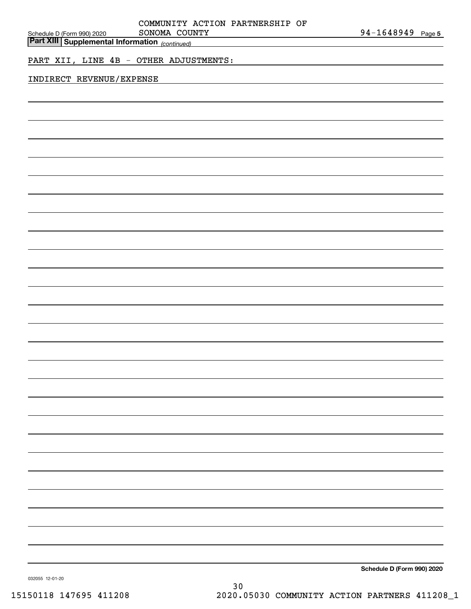|                                                                                                   | COMMUNITY ACTION PARTNERSHIP OF |                                                              |                   |  |
|---------------------------------------------------------------------------------------------------|---------------------------------|--------------------------------------------------------------|-------------------|--|
| Schedule D (Form 990) 2020   SONOMA COUI<br><b>Part XIII</b> Supplemental Information (continued) | SONOMA COUNTY                   | <u> 1989 - Andrea State Barbara, Amerikaansk politiker (</u> | 94-1648949 Page 5 |  |
|                                                                                                   |                                 |                                                              |                   |  |
| PART XII, LINE 4B - OTHER ADJUSTMENTS:                                                            |                                 |                                                              |                   |  |
| INDIRECT REVENUE/EXPENSE                                                                          |                                 |                                                              |                   |  |
|                                                                                                   |                                 |                                                              |                   |  |
|                                                                                                   |                                 |                                                              |                   |  |
|                                                                                                   |                                 |                                                              |                   |  |
|                                                                                                   |                                 |                                                              |                   |  |
|                                                                                                   |                                 |                                                              |                   |  |
|                                                                                                   |                                 |                                                              |                   |  |
|                                                                                                   |                                 |                                                              |                   |  |
|                                                                                                   |                                 |                                                              |                   |  |
|                                                                                                   |                                 |                                                              |                   |  |
|                                                                                                   |                                 |                                                              |                   |  |
|                                                                                                   |                                 |                                                              |                   |  |
|                                                                                                   |                                 |                                                              |                   |  |
|                                                                                                   |                                 |                                                              |                   |  |
|                                                                                                   |                                 |                                                              |                   |  |
|                                                                                                   |                                 |                                                              |                   |  |
|                                                                                                   |                                 |                                                              |                   |  |
|                                                                                                   |                                 |                                                              |                   |  |
|                                                                                                   |                                 |                                                              |                   |  |
|                                                                                                   |                                 |                                                              |                   |  |
|                                                                                                   |                                 |                                                              |                   |  |
|                                                                                                   |                                 |                                                              |                   |  |
|                                                                                                   |                                 |                                                              |                   |  |
|                                                                                                   |                                 |                                                              |                   |  |
|                                                                                                   |                                 |                                                              |                   |  |
|                                                                                                   |                                 |                                                              |                   |  |
|                                                                                                   |                                 |                                                              |                   |  |
|                                                                                                   |                                 |                                                              |                   |  |
|                                                                                                   |                                 |                                                              |                   |  |
|                                                                                                   |                                 |                                                              |                   |  |
|                                                                                                   |                                 |                                                              |                   |  |
|                                                                                                   |                                 |                                                              |                   |  |
|                                                                                                   |                                 |                                                              |                   |  |
|                                                                                                   |                                 |                                                              |                   |  |
|                                                                                                   |                                 |                                                              |                   |  |
|                                                                                                   |                                 |                                                              |                   |  |
|                                                                                                   |                                 |                                                              |                   |  |
|                                                                                                   |                                 |                                                              |                   |  |

**Schedule D (Form 990) 2020**

032055 12-01-20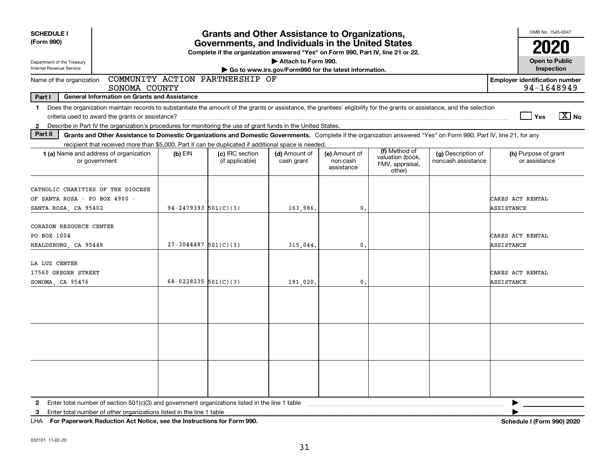| <b>SCHEDULE I</b><br><b>Grants and Other Assistance to Organizations,</b><br>(Form 990)<br>Governments, and Individuals in the United States                                                                                                                                                                             |                                                                                                                                                                                                                                                                                                                                                |                                                                                  |          |    | OMB No. 1545-0047 |  |                                       |
|--------------------------------------------------------------------------------------------------------------------------------------------------------------------------------------------------------------------------------------------------------------------------------------------------------------------------|------------------------------------------------------------------------------------------------------------------------------------------------------------------------------------------------------------------------------------------------------------------------------------------------------------------------------------------------|----------------------------------------------------------------------------------|----------|----|-------------------|--|---------------------------------------|
|                                                                                                                                                                                                                                                                                                                          |                                                                                                                                                                                                                                                                                                                                                | Complete if the organization answered "Yes" on Form 990, Part IV, line 21 or 22. |          |    |                   |  |                                       |
| Department of the Treasury<br>Internal Revenue Service                                                                                                                                                                                                                                                                   |                                                                                                                                                                                                                                                                                                                                                | <b>Open to Public</b><br>Inspection                                              |          |    |                   |  |                                       |
| COMMUNITY ACTION PARTNERSHIP OF<br>Name of the organization<br>SONOMA COUNTY                                                                                                                                                                                                                                             | <b>Employer identification number</b><br>94-1648949                                                                                                                                                                                                                                                                                            |                                                                                  |          |    |                   |  |                                       |
| Part I<br><b>General Information on Grants and Assistance</b>                                                                                                                                                                                                                                                            |                                                                                                                                                                                                                                                                                                                                                |                                                                                  |          |    |                   |  |                                       |
| Does the organization maintain records to substantiate the amount of the grants or assistance, the grantees' eligibility for the grants or assistance, and the selection<br>$\mathbf 1$<br>Describe in Part IV the organization's procedures for monitoring the use of grant funds in the United States.<br>$\mathbf{2}$ |                                                                                                                                                                                                                                                                                                                                                |                                                                                  |          |    |                   |  | $X$ No<br>Yes                         |
| Part II<br>Grants and Other Assistance to Domestic Organizations and Domestic Governments. Complete if the organization answered "Yes" on Form 990, Part IV, line 21, for any                                                                                                                                            |                                                                                                                                                                                                                                                                                                                                                |                                                                                  |          |    |                   |  |                                       |
|                                                                                                                                                                                                                                                                                                                          |                                                                                                                                                                                                                                                                                                                                                |                                                                                  |          |    |                   |  |                                       |
| 1 (a) Name and address of organization<br>or government                                                                                                                                                                                                                                                                  | recipient that received more than \$5,000. Part II can be duplicated if additional space is needed.<br>(f) Method of<br>(c) IRC section<br>(d) Amount of<br>$(b)$ EIN<br>(e) Amount of<br>(g) Description of<br>valuation (book,<br>noncash assistance<br>(if applicable)<br>cash grant<br>non-cash<br>FMV, appraisal,<br>assistance<br>other) |                                                                                  |          |    |                   |  | (h) Purpose of grant<br>or assistance |
| CATHOLIC CHARITIES OF THE DIOCESE<br>OF SANTA ROSA - PO BOX 4900 -<br>SANTA ROSA, CA 95402                                                                                                                                                                                                                               | 94-2479393 $501(C)(3)$                                                                                                                                                                                                                                                                                                                         |                                                                                  | 163,986. | 0. |                   |  | CARES ACT RENTAL<br>ASSISTANCE        |
| CORAZON RESOURCE CENTER<br>PO BOX 1004<br>HEALDSBURG, CA 95448                                                                                                                                                                                                                                                           | $27-3044487$ 501(C)(3)                                                                                                                                                                                                                                                                                                                         |                                                                                  | 315,044. | 0. |                   |  | CARES ACT RENTAL<br>ASSISTANCE        |
| LA LUZ CENTER<br>17560 GREGER STREET<br>SONOMA, CA 95476                                                                                                                                                                                                                                                                 | $68 - 0228235$ 501(C)(3)                                                                                                                                                                                                                                                                                                                       |                                                                                  | 191,020. | 0. |                   |  | CARES ACT RENTAL<br>ASSISTANCE        |
|                                                                                                                                                                                                                                                                                                                          |                                                                                                                                                                                                                                                                                                                                                |                                                                                  |          |    |                   |  |                                       |
|                                                                                                                                                                                                                                                                                                                          |                                                                                                                                                                                                                                                                                                                                                |                                                                                  |          |    |                   |  |                                       |
|                                                                                                                                                                                                                                                                                                                          |                                                                                                                                                                                                                                                                                                                                                |                                                                                  |          |    |                   |  |                                       |
| $\mathbf{2}$                                                                                                                                                                                                                                                                                                             |                                                                                                                                                                                                                                                                                                                                                |                                                                                  |          |    |                   |  |                                       |
| 3 Enter total number of other organizations listed in the line 1 table                                                                                                                                                                                                                                                   |                                                                                                                                                                                                                                                                                                                                                |                                                                                  |          |    |                   |  |                                       |

**For Paperwork Reduction Act Notice, see the Instructions for Form 990. Schedule I (Form 990) 2020** LHA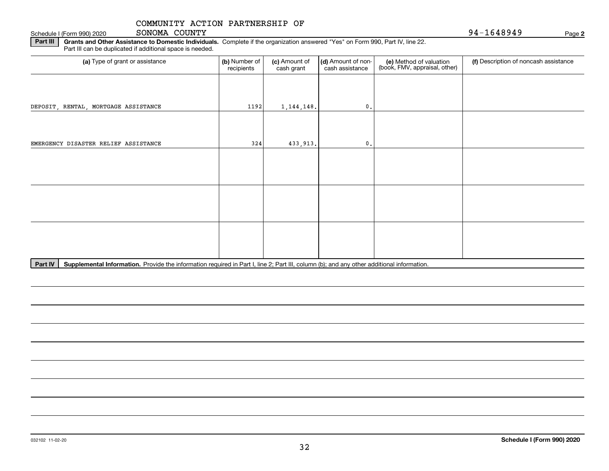Schedule I (Form 990) 2020 SONOMA COUNTY SCHEDULE 1 SONOMA COUNTY SONOMA COUNTY

**2**

**Part III | Grants and Other Assistance to Domestic Individuals. Complete if the organization answered "Yes" on Form 990, Part IV, line 22.** Part III can be duplicated if additional space is needed.

| (a) Type of grant or assistance      | (b) Number of<br>recipients | (c) Amount of<br>cash grant | (d) Amount of non-<br>cash assistance | (e) Method of valuation<br>(book, FMV, appraisal, other) | (f) Description of noncash assistance |
|--------------------------------------|-----------------------------|-----------------------------|---------------------------------------|----------------------------------------------------------|---------------------------------------|
|                                      |                             |                             |                                       |                                                          |                                       |
| DEPOSIT, RENTAL, MORTGAGE ASSISTANCE | 1192                        | 1, 144, 148.                | $\mathbf{0}$ .                        |                                                          |                                       |
|                                      |                             |                             |                                       |                                                          |                                       |
| EMERGENCY DISASTER RELIEF ASSISTANCE | 324                         | 433, 913.                   | $\mathbf{0}$ .                        |                                                          |                                       |
|                                      |                             |                             |                                       |                                                          |                                       |
|                                      |                             |                             |                                       |                                                          |                                       |
|                                      |                             |                             |                                       |                                                          |                                       |
|                                      |                             |                             |                                       |                                                          |                                       |
|                                      |                             |                             |                                       |                                                          |                                       |
|                                      |                             |                             |                                       |                                                          |                                       |

Part IV | Supplemental Information. Provide the information required in Part I, line 2; Part III, column (b); and any other additional information.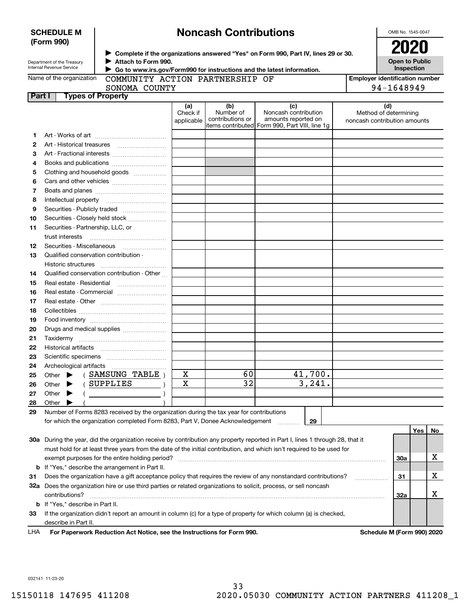| <b>SCHEDULE M</b> |  |
|-------------------|--|
| (Form 990)        |  |

### **Noncash Contributions**

OMB No. 1545-0047

| Department of the Treasury |
|----------------------------|
| Internal Revenue Service   |

**Complete if the organizations answered "Yes" on Form 990, Part IV, lines 29 or 30.** <sup>J</sup>**2020 Attach to Form 990.** J

**Open to Public Inspection**

Method of determining

|  |  | Name of the organization |
|--|--|--------------------------|
|  |  |                          |

 **Go to www.irs.gov/Form990 for instructions and the latest information.** J COMMUNITY ACTION PARTNERSHIP OF

**Employer identification number**

| 1648949 |
|---------|
|         |

| <b>Part I</b> | <b>Types of Property</b> |            |                  |                      |                  |
|---------------|--------------------------|------------|------------------|----------------------|------------------|
|               |                          | (a)        | (b)              | (C                   | (d)              |
|               |                          | Check if   | Number of        | Noncash contribution | Method of de     |
|               |                          | applicable | contributions or | amounts reported on  | noncash contribi |

SONOMA COUNTY

|    |                             |                                                                                                                                |             | applicable   contributions or | amounts reported on<br>litems contributed Form 990, Part VIII, line 1g | noncash contribution amounts |
|----|-----------------------------|--------------------------------------------------------------------------------------------------------------------------------|-------------|-------------------------------|------------------------------------------------------------------------|------------------------------|
| 1  |                             |                                                                                                                                |             |                               |                                                                        |                              |
| 2  |                             |                                                                                                                                |             |                               |                                                                        |                              |
| З  |                             |                                                                                                                                |             |                               |                                                                        |                              |
| 4  |                             |                                                                                                                                |             |                               |                                                                        |                              |
| 5  |                             | Clothing and household goods                                                                                                   |             |                               |                                                                        |                              |
| 6  |                             |                                                                                                                                |             |                               |                                                                        |                              |
| 7  |                             |                                                                                                                                |             |                               |                                                                        |                              |
| 8  |                             |                                                                                                                                |             |                               |                                                                        |                              |
| 9  |                             | Securities - Publicly traded                                                                                                   |             |                               |                                                                        |                              |
| 10 |                             | Securities - Closely held stock                                                                                                |             |                               |                                                                        |                              |
| 11 |                             | Securities - Partnership, LLC, or                                                                                              |             |                               |                                                                        |                              |
|    | trust interests             |                                                                                                                                |             |                               |                                                                        |                              |
| 12 |                             |                                                                                                                                |             |                               |                                                                        |                              |
| 13 |                             | Qualified conservation contribution -                                                                                          |             |                               |                                                                        |                              |
|    |                             |                                                                                                                                |             |                               |                                                                        |                              |
| 14 |                             | Qualified conservation contribution - Other                                                                                    |             |                               |                                                                        |                              |
| 15 |                             | Real estate - Residential                                                                                                      |             |                               |                                                                        |                              |
| 16 |                             | Real estate - Commercial                                                                                                       |             |                               |                                                                        |                              |
| 17 |                             |                                                                                                                                |             |                               |                                                                        |                              |
| 18 |                             |                                                                                                                                |             |                               |                                                                        |                              |
| 19 |                             |                                                                                                                                |             |                               |                                                                        |                              |
| 20 |                             | Drugs and medical supplies                                                                                                     |             |                               |                                                                        |                              |
| 21 |                             |                                                                                                                                |             |                               |                                                                        |                              |
| 22 |                             |                                                                                                                                |             |                               |                                                                        |                              |
| 23 |                             |                                                                                                                                |             |                               |                                                                        |                              |
| 24 |                             |                                                                                                                                |             |                               |                                                                        |                              |
| 25 | Other $\blacktriangleright$ | $($ SAMSUNG TABLE $)$                                                                                                          | $\mathbf X$ | 60                            | 41,700.                                                                |                              |
| 26 | Other $\blacktriangleright$ | (SUPPLIES                                                                                                                      | x           | $\overline{32}$               | 3,241.                                                                 |                              |
| 27 | Other<br>▶                  | $\overline{a}$                                                                                                                 |             |                               |                                                                        |                              |
| 28 | Other                       |                                                                                                                                |             |                               |                                                                        |                              |
| 29 |                             | Number of Forms 8283 received by the organization during the tax year for contributions                                        |             |                               |                                                                        |                              |
|    |                             | for which the organization completed Form 8283, Part V, Donee Acknowledgement                                                  |             |                               | 29<br>1.1.1.1.1.1.1.1.1.1                                              |                              |
|    |                             |                                                                                                                                |             |                               |                                                                        | Yes<br>No                    |
|    |                             | 30a During the year, did the organization receive by contribution any property reported in Part I, lines 1 through 28, that it |             |                               |                                                                        |                              |
|    |                             | must hold for at loget three years from the date of the initial contribution, and which isn't required to be used for          |             |                               |                                                                        |                              |

|     | $\Box$ $\Lambda$ . Ear Denormark Daduction Act Nation, and the Instructions for Earm 000.                             | <b>Cohodule M (Earm 000) 2020</b> |  |
|-----|-----------------------------------------------------------------------------------------------------------------------|-----------------------------------|--|
|     | describe in Part II.                                                                                                  |                                   |  |
| 33  | If the organization didn't report an amount in column (c) for a type of property for which column (a) is checked,     |                                   |  |
|     | <b>b</b> If "Yes," describe in Part II.                                                                               |                                   |  |
|     | contributions?                                                                                                        | 32a                               |  |
| 32a | Does the organization hire or use third parties or related organizations to solicit, process, or sell noncash         |                                   |  |
| 31  | Does the organization have a gift acceptance policy that requires the review of any nonstandard contributions?        | -31                               |  |
|     | <b>b</b> If "Yes," describe the arrangement in Part II.                                                               |                                   |  |
|     | exempt purposes for the entire holding period?                                                                        | 30a                               |  |
|     | must hold for at least three years from the date of the initial contribution, and which isn't required to be used for |                                   |  |

**For Paperwork Reduction Act Notice, see the Instructions for Form 990. Schedule M (Form 990) 2020** LHA

032141 11-23-20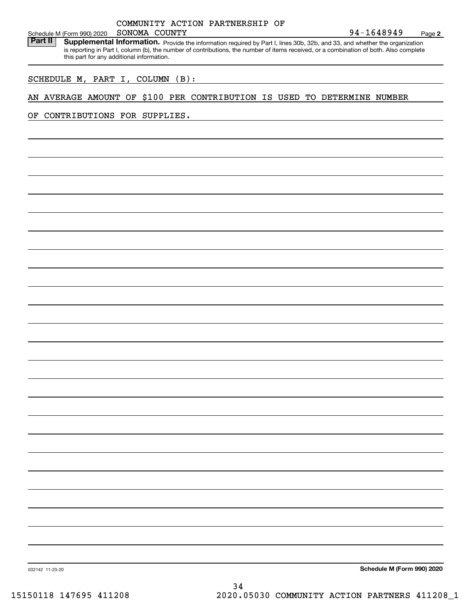#### COMMUNITY ACTION PARTNERSHIP OF SONOMA COUNTY

**2**

Schedule M (Form 990) 2020 SONOMA COUNTY<br>**Part II** Supplemental Information, Provide the information required by Part I lines 30b 32b and 33 and whether the organ Part II | Supplemental Information. Provide the information required by Part I, lines 30b, 32b, and 33, and whether the organization is reporting in Part I, column (b), the number of contributions, the number of items received, or a combination of both. Also complete this part for any additional information.

#### SCHEDULE M, PART I, COLUMN (B):

#### AN AVERAGE AMOUNT OF \$100 PER CONTRIBUTION IS USED TO DETERMINE NUMBER

OF CONTRIBUTIONS FOR SUPPLIES.

**Schedule M (Form 990) 2020**

032142 11-23-20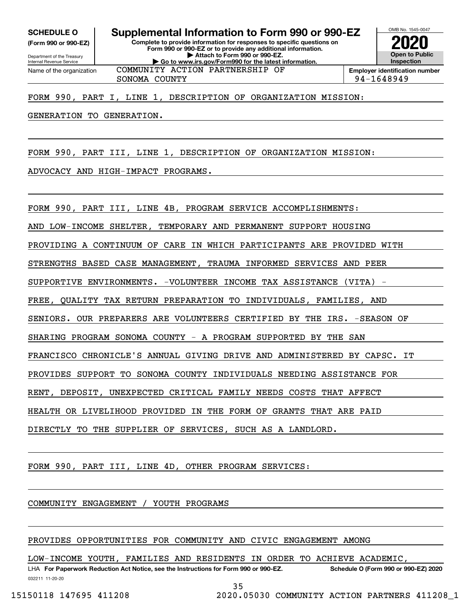**SCHEDULE O Supplemental Information to Form 990 or 990-EZ**

Internal Revenue Service

Department of the Treasury **(Form 990 or 990-EZ)**

Name of the organization

**Complete to provide information for responses to specific questions on Form 990 or 990-EZ or to provide any additional information. | Attach to Form 990 or 990-EZ. | Go to www.irs.gov/Form990 for the latest information.**

COMMUNITY ACTION PARTNERSHIP OF

**Employer identification number** SONOMA COUNTY 34-1648949

OMB No. 1545-0047

**2020**

**Open to Public Inspection**

#### FORM 990, PART I, LINE 1, DESCRIPTION OF ORGANIZATION MISSION:

GENERATION TO GENERATION.

FORM 990, PART III, LINE 1, DESCRIPTION OF ORGANIZATION MISSION:

ADVOCACY AND HIGH-IMPACT PROGRAMS.

FORM 990, PART III, LINE 4B, PROGRAM SERVICE ACCOMPLISHMENTS:

AND LOW-INCOME SHELTER, TEMPORARY AND PERMANENT SUPPORT HOUSING

PROVIDING A CONTINUUM OF CARE IN WHICH PARTICIPANTS ARE PROVIDED WITH

STRENGTHS BASED CASE MANAGEMENT, TRAUMA INFORMED SERVICES AND PEER

SUPPORTIVE ENVIRONMENTS. -VOLUNTEER INCOME TAX ASSISTANCE (VITA)

FREE, QUALITY TAX RETURN PREPARATION TO INDIVIDUALS, FAMILIES, AND

SENIORS. OUR PREPARERS ARE VOLUNTEERS CERTIFIED BY THE IRS. -SEASON OF

SHARING PROGRAM SONOMA COUNTY - A PROGRAM SUPPORTED BY THE SAN

FRANCISCO CHRONICLE'S ANNUAL GIVING DRIVE AND ADMINISTERED BY CAPSC. IT

PROVIDES SUPPORT TO SONOMA COUNTY INDIVIDUALS NEEDING ASSISTANCE FOR

RENT, DEPOSIT, UNEXPECTED CRITICAL FAMILY NEEDS COSTS THAT AFFECT

HEALTH OR LIVELIHOOD PROVIDED IN THE FORM OF GRANTS THAT ARE PAID

DIRECTLY TO THE SUPPLIER OF SERVICES, SUCH AS A LANDLORD.

FORM 990, PART III, LINE 4D, OTHER PROGRAM SERVICES:

COMMUNITY ENGAGEMENT / YOUTH PROGRAMS

### PROVIDES OPPORTUNITIES FOR COMMUNITY AND CIVIC ENGAGEMENT AMONG

LOW-INCOME YOUTH, FAMILIES AND RESIDENTS IN ORDER TO ACHIEVE ACADEMIC,

032211 11-20-20 LHA For Paperwork Reduction Act Notice, see the Instructions for Form 990 or 990-EZ. Schedule O (Form 990 or 990-EZ) 2020

35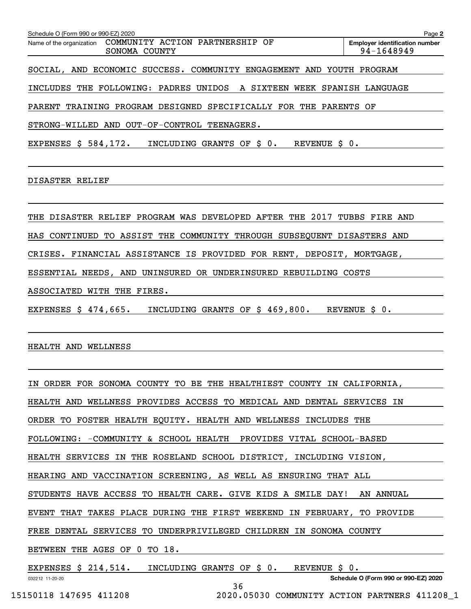| Schedule O (Form 990 or 990-EZ) 2020                                      | Page 2                                              |
|---------------------------------------------------------------------------|-----------------------------------------------------|
| Name of the organization COMMUNITY ACTION PARTNERSHIP OF<br>SONOMA COUNTY | <b>Employer identification number</b><br>94-1648949 |
| SOCIAL, AND ECONOMIC SUCCESS. COMMUNITY ENGAGEMENT AND YOUTH PROGRAM      |                                                     |
| INCLUDES THE FOLLOWING: PADRES UNIDOS A SIXTEEN WEEK SPANISH LANGUAGE     |                                                     |
| PARENT TRAINING PROGRAM DESIGNED SPECIFICALLY FOR THE PARENTS OF          |                                                     |

STRONG-WILLED AND OUT-OF-CONTROL TEENAGERS.

EXPENSES \$ 584,172. INCLUDING GRANTS OF \$ 0. REVENUE \$ 0.

#### DISASTER RELIEF

THE DISASTER RELIEF PROGRAM WAS DEVELOPED AFTER THE 2017 TUBBS FIRE AND

HAS CONTINUED TO ASSIST THE COMMUNITY THROUGH SUBSEQUENT DISASTERS AND

CRISES. FINANCIAL ASSISTANCE IS PROVIDED FOR RENT, DEPOSIT, MORTGAGE,

ESSENTIAL NEEDS, AND UNINSURED OR UNDERINSURED REBUILDING COSTS

ASSOCIATED WITH THE FIRES.

EXPENSES \$ 474,665. INCLUDING GRANTS OF \$ 469,800. REVENUE \$ 0.

#### HEALTH AND WELLNESS

| IN ORDER FOR SONOMA COUNTY TO BE THE HEALTHIEST COUNTY IN CALIFORNIA,   |
|-------------------------------------------------------------------------|
| HEALTH AND WELLNESS PROVIDES ACCESS TO MEDICAL AND DENTAL SERVICES IN   |
| ORDER TO FOSTER HEALTH EQUITY. HEALTH AND WELLNESS INCLUDES THE         |
| FOLLOWING: -COMMUNITY & SCHOOL HEALTH PROVIDES VITAL SCHOOL-BASED       |
| HEALTH SERVICES IN THE ROSELAND SCHOOL DISTRICT, INCLUDING VISION,      |
| HEARING AND VACCINATION SCREENING, AS WELL AS ENSURING THAT ALL         |
| STUDENTS HAVE ACCESS TO HEALTH CARE. GIVE KIDS A SMILE DAY! AN ANNUAL   |
| EVENT THAT TAKES PLACE DURING THE FIRST WEEKEND IN FEBRUARY, TO PROVIDE |
| FREE DENTAL SERVICES TO UNDERPRIVILEGED CHILDREN IN SONOMA COUNTY       |
| BETWEEN THE AGES OF 0 TO 18.                                            |
| EXPENSES \$ 214,514. INCLUDING GRANTS OF \$ 0. REVENUE \$ 0.            |
| Schedule O (Form 990 or 990-EZ) 2020<br>032212 11-20-20                 |

36

15150118 147695 411208 2020.05030 COMMUNITY ACTION PARTNERS 411208\_1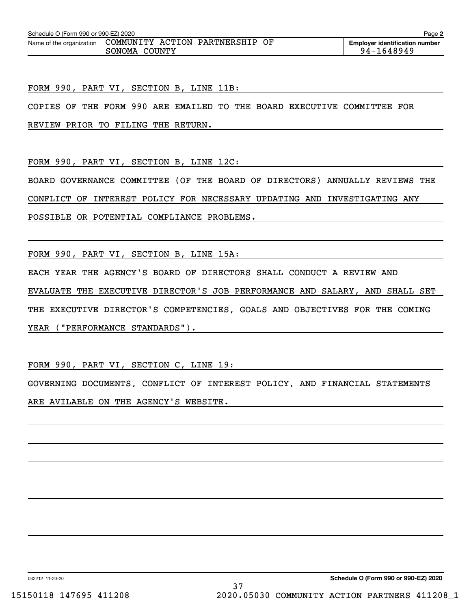| Schedule O (Form 990 or 990-EZ) 2020<br>Page 2 |               |  |                                 |  |                                       |  |  |
|------------------------------------------------|---------------|--|---------------------------------|--|---------------------------------------|--|--|
| Name of the organization                       |               |  | COMMUNITY ACTION PARTNERSHIP OF |  | <b>Employer identification number</b> |  |  |
|                                                | SONOMA COUNTY |  |                                 |  | 94-1648949                            |  |  |

FORM 990, PART VI, SECTION B, LINE 11B:

COPIES OF THE FORM 990 ARE EMAILED TO THE BOARD EXECUTIVE COMMITTEE FOR

REVIEW PRIOR TO FILING THE RETURN.

FORM 990, PART VI, SECTION B, LINE 12C:

BOARD GOVERNANCE COMMITTEE (OF THE BOARD OF DIRECTORS) ANNUALLY REVIEWS THE

CONFLICT OF INTEREST POLICY FOR NECESSARY UPDATING AND INVESTIGATING ANY

POSSIBLE OR POTENTIAL COMPLIANCE PROBLEMS.

FORM 990, PART VI, SECTION B, LINE 15A:

EACH YEAR THE AGENCY'S BOARD OF DIRECTORS SHALL CONDUCT A REVIEW AND

EVALUATE THE EXECUTIVE DIRECTOR'S JOB PERFORMANCE AND SALARY, AND SHALL SET

THE EXECUTIVE DIRECTOR'S COMPETENCIES, GOALS AND OBJECTIVES FOR THE COMING

YEAR ("PERFORMANCE STANDARDS").

FORM 990, PART VI, SECTION C, LINE 19:

GOVERNING DOCUMENTS, CONFLICT OF INTEREST POLICY, AND FINANCIAL STATEMENTS ARE AVILABLE ON THE AGENCY'S WEBSITE.

032212 11-20-20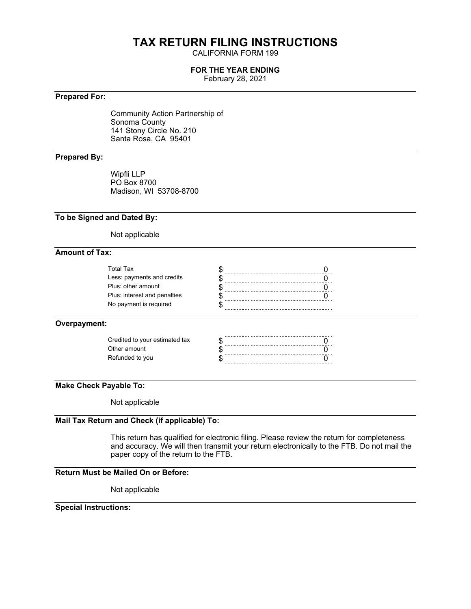## **TAX RETURN FILING INSTRUCTIONS**

CALIFORNIA FORM 199

#### **FOR THE YEAR ENDING**

February 28, 2021

#### **Prepared For:**

Community Action Partnership of Sonoma County 141 Stony Circle No. 210 Santa Rosa, CA 95401

#### **Prepared By:**

Wipfli LLP PO Box 8700 Madison, WI 53708-8700

#### **To be Signed and Dated By:**

Not applicable

#### **Amount of Tax:**

| Total Tax                    |  |
|------------------------------|--|
| Less: payments and credits   |  |
| Plus: other amount           |  |
| Plus: interest and penalties |  |
| No payment is required       |  |
|                              |  |

#### **Overpayment:**

| Credited to your estimated tax |  |
|--------------------------------|--|
| Other amount                   |  |
| Refunded to you                |  |

#### **Make Check Payable To:**

#### Not applicable

#### **Mail Tax Return and Check (if applicable) To:**

This return has qualified for electronic filing. Please review the return for completeness and accuracy. We will then transmit your return electronically to the FTB. Do not mail the paper copy of the return to the FTB.

#### **Return Must be Mailed On or Before:**

Not applicable

#### **Special Instructions:**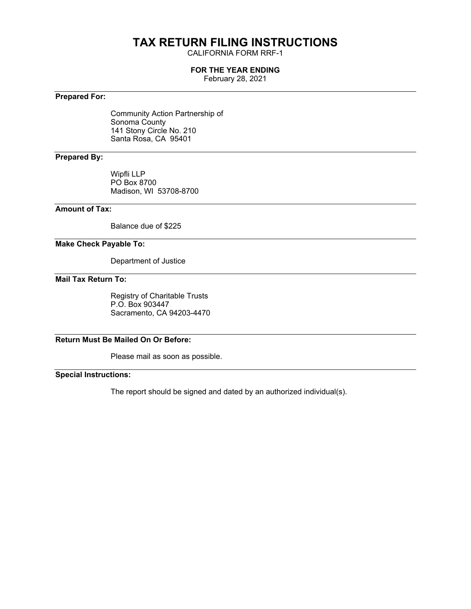## **TAX RETURN FILING INSTRUCTIONS**

CALIFORNIA FORM RRF-1

#### **FOR THE YEAR ENDING**

February 28, 2021

#### **Prepared For:**

Community Action Partnership of Sonoma County 141 Stony Circle No. 210 Santa Rosa, CA 95401

#### **Prepared By:**

Wipfli LLP PO Box 8700 Madison, WI 53708-8700

#### **Amount of Tax:**

Balance due of \$225

#### **Make Check Payable To:**

Department of Justice

#### **Mail Tax Return To:**

Registry of Charitable Trusts P.O. Box 903447 Sacramento, CA 94203-4470

#### **Return Must Be Mailed On Or Before:**

Please mail as soon as possible.

#### **Special Instructions:**

The report should be signed and dated by an authorized individual(s).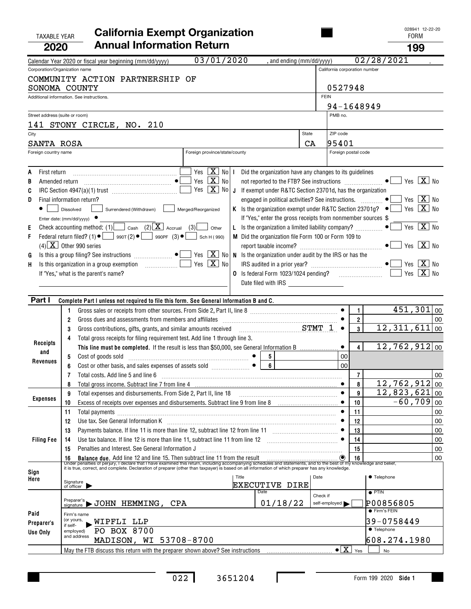#### TAXABLE YEAR FORM **California Exempt Organization 2020Annual Information Return <sup>199</sup>**

|                                    |                                                                                                                                                                                                                                                                                                                                                                                                                      |             |                                           |                | יטו                                                                                                                                                |                       |
|------------------------------------|----------------------------------------------------------------------------------------------------------------------------------------------------------------------------------------------------------------------------------------------------------------------------------------------------------------------------------------------------------------------------------------------------------------------|-------------|-------------------------------------------|----------------|----------------------------------------------------------------------------------------------------------------------------------------------------|-----------------------|
|                                    | 03/01/2020<br>, and ending (mm/dd/yyyy)<br>Calendar Year 2020 or fiscal year beginning (mm/dd/yyyy)                                                                                                                                                                                                                                                                                                                  |             |                                           |                | 02/28/2021                                                                                                                                         |                       |
| Corporation/Organization name      | COMMUNITY ACTION PARTNERSHIP OF                                                                                                                                                                                                                                                                                                                                                                                      |             | California corporation number             |                |                                                                                                                                                    |                       |
|                                    | SONOMA COUNTY                                                                                                                                                                                                                                                                                                                                                                                                        |             | 0527948                                   |                |                                                                                                                                                    |                       |
|                                    | Additional information. See instructions.                                                                                                                                                                                                                                                                                                                                                                            | <b>FEIN</b> |                                           |                |                                                                                                                                                    |                       |
|                                    |                                                                                                                                                                                                                                                                                                                                                                                                                      |             | 94-1648949                                |                |                                                                                                                                                    |                       |
| Street address (suite or room)     |                                                                                                                                                                                                                                                                                                                                                                                                                      |             | PMB no.                                   |                |                                                                                                                                                    |                       |
|                                    | 141 STONY CIRCLE, NO. 210                                                                                                                                                                                                                                                                                                                                                                                            |             |                                           |                |                                                                                                                                                    |                       |
| City                               |                                                                                                                                                                                                                                                                                                                                                                                                                      | State       | ZIP code                                  |                |                                                                                                                                                    |                       |
| SANTA ROSA<br>Foreign country name | Foreign province/state/county                                                                                                                                                                                                                                                                                                                                                                                        | CA          | 95401<br>Foreign postal code              |                |                                                                                                                                                    |                       |
|                                    |                                                                                                                                                                                                                                                                                                                                                                                                                      |             |                                           |                |                                                                                                                                                    |                       |
| A<br>First return                  | Yes $\boxed{\mathbf{X}}$ No I<br>Did the organization have any changes to its guidelines                                                                                                                                                                                                                                                                                                                             |             |                                           |                |                                                                                                                                                    |                       |
| В                                  | Yes $\boxed{\mathbf{X}}$ No                                                                                                                                                                                                                                                                                                                                                                                          |             |                                           |                | Yes $X$ No                                                                                                                                         |                       |
| C                                  | Yes $\boxed{\mathbf{X}}$ No $\boxed{\mathbf{J}}$ If exempt under R&TC Section 23701d, has the organization                                                                                                                                                                                                                                                                                                           |             |                                           |                |                                                                                                                                                    |                       |
| D                                  | engaged in political activities? See instructions.  ● L<br>Final information return?                                                                                                                                                                                                                                                                                                                                 |             |                                           |                | Yes X N0                                                                                                                                           |                       |
|                                    | K Is the organization exempt under R&TC Section 23701g? $\bullet$   Yes $\boxed{\mathbf{X}}$ No<br>Surrendered (Withdrawn)   Merged/Reorganized<br>Dissolved                                                                                                                                                                                                                                                         |             |                                           |                |                                                                                                                                                    |                       |
|                                    | If "Yes," enter the gross receipts from nonmember sources \$<br>Enter date: $(mm/dd/yyyy)$                                                                                                                                                                                                                                                                                                                           |             |                                           |                |                                                                                                                                                    |                       |
| Ε                                  | Check accounting method: (1) $\Box$ Cash (2) $\Box$ Accrual (3) $\Box$ Other<br>L Is the organization a limited liability company?                                                                                                                                                                                                                                                                                   |             |                                           |                | Yes $X$ No                                                                                                                                         |                       |
| F                                  | Federal return filed? (1) $\bullet$ $\Box$ 990T (2) $\bullet$ $\Box$ 990PF (3) $\bullet$ $\Box$<br>M Did the organization file Form 100 or Form 109 to<br>Sch H (990)                                                                                                                                                                                                                                                |             |                                           |                |                                                                                                                                                    | $\boxed{\text{X}}$ No |
|                                    | $(4)$ X Other 990 series<br>Is this a group filing? See instructions $\begin{picture}(16,17) \put(0,0){\line(1,0){10}} \put(15,0){\line(1,0){10}} \put(15,0){\line(1,0){10}} \put(15,0){\line(1,0){10}} \put(15,0){\line(1,0){10}} \put(15,0){\line(1,0){10}} \put(15,0){\line(1,0){10}} \put(15,0){\line(1,0){10}} \put(15,0){\line(1,0){10}} \put(15,0$<br>N Is the organization under audit by the IRS or has the |             |                                           |                |                                                                                                                                                    |                       |
| G<br>H                             | Yes $\boxed{\mathbf{X}}$ No                                                                                                                                                                                                                                                                                                                                                                                          |             |                                           |                | IRS audited in a prior year? $\ldots$ $\ldots$ $\ldots$ $\ldots$ $\ldots$ $\ldots$ $\ldots$ $\ldots$ $\ldots$ $\ldots$ Yes $\boxed{\mathbf{X}}$ No |                       |
|                                    | If "Yes," what is the parent's name?<br><b>0</b> Is federal Form 1023/1024 pending?                                                                                                                                                                                                                                                                                                                                  |             |                                           |                | Yes $X$ No                                                                                                                                         |                       |
|                                    |                                                                                                                                                                                                                                                                                                                                                                                                                      |             |                                           |                |                                                                                                                                                    |                       |
|                                    |                                                                                                                                                                                                                                                                                                                                                                                                                      |             |                                           |                |                                                                                                                                                    |                       |
| Part I                             | Complete Part I unless not required to file this form. See General Information B and C.                                                                                                                                                                                                                                                                                                                              |             |                                           |                |                                                                                                                                                    |                       |
|                                    | Gross sales or receipts from other sources. From Side 2, Part II, line 8 [11] content to the setting of the S<br>1                                                                                                                                                                                                                                                                                                   |             |                                           | $\mathbf{1}$   | $451,301$ 00                                                                                                                                       |                       |
|                                    | Gross dues and assessments from members and affiliates [11] contains an intervention and assessments from members and affiliates [11] contains and assessments from members and affiliates [11] contains and a set of the set<br>2                                                                                                                                                                                   |             |                                           | $\mathbf{2}$   |                                                                                                                                                    | 00                    |
|                                    | Gross contributions, gifts, grants, and similar amounts received $\Box$ STMT 1 $\bullet$<br>3                                                                                                                                                                                                                                                                                                                        |             |                                           | $\mathbf{3}$   | $12,311,611$ 00                                                                                                                                    |                       |
| Receipts                           | Total gross receipts for filing requirement test. Add line 1 through line 3.<br>4                                                                                                                                                                                                                                                                                                                                    |             |                                           | 4              | 12,762,912 00                                                                                                                                      |                       |
| and                                | This line must be completed. If the result is less than \$50,000, see General Information B<br>5                                                                                                                                                                                                                                                                                                                     |             | 00                                        |                |                                                                                                                                                    |                       |
| Revenues                           | 6<br>6                                                                                                                                                                                                                                                                                                                                                                                                               |             | 0 <sub>0</sub>                            |                |                                                                                                                                                    |                       |
|                                    | 7                                                                                                                                                                                                                                                                                                                                                                                                                    |             |                                           | $\overline{7}$ |                                                                                                                                                    | 00                    |
|                                    | Total gross income. Subtract line 7 from line 4 [11] manufactured and substitutions income.<br>8                                                                                                                                                                                                                                                                                                                     |             | $\bullet$                                 | 8              | $12,762,912 _{00}$                                                                                                                                 |                       |
|                                    | Total expenses and disbursements. From Side 2, Part II, line 18<br>9                                                                                                                                                                                                                                                                                                                                                 |             | $\bullet$                                 | $\mathbf{q}$   | $\overline{12,823}$ , 621 00                                                                                                                       |                       |
| <b>Expenses</b>                    | 10                                                                                                                                                                                                                                                                                                                                                                                                                   |             |                                           | 10             | $-60,709$ 00                                                                                                                                       |                       |
|                                    | Total payments [111] matter and the contract of the contract of the contract of the contract of the contract of the contract of the contract of the contract of the contract of the contract of the contract of the contract o<br>11                                                                                                                                                                                 |             |                                           | 11             |                                                                                                                                                    | 00                    |
|                                    | 12                                                                                                                                                                                                                                                                                                                                                                                                                   |             |                                           | 12             |                                                                                                                                                    | 00                    |
|                                    | 13                                                                                                                                                                                                                                                                                                                                                                                                                   |             |                                           | 13             |                                                                                                                                                    | 00                    |
| <b>Filing Fee</b>                  | 14                                                                                                                                                                                                                                                                                                                                                                                                                   |             |                                           | 14             |                                                                                                                                                    | 00                    |
|                                    | 15                                                                                                                                                                                                                                                                                                                                                                                                                   |             |                                           | 15             |                                                                                                                                                    | 00<br>00              |
|                                    | it is true, correct, and complete. Declaration of preparer (other than taxpayer) is based on all information of which preparer has any knowledge.                                                                                                                                                                                                                                                                    |             |                                           |                |                                                                                                                                                    |                       |
| Sign                               | Title                                                                                                                                                                                                                                                                                                                                                                                                                | Date        |                                           |                | ● Telephone                                                                                                                                        |                       |
| Here                               | Signature<br>of officer<br><b>EXECUTIVE DIRE</b>                                                                                                                                                                                                                                                                                                                                                                     |             |                                           |                |                                                                                                                                                    |                       |
|                                    | Date                                                                                                                                                                                                                                                                                                                                                                                                                 | Check if    |                                           |                | $\bullet$ PTIN                                                                                                                                     |                       |
|                                    | $P_{\text{Signature}}$ > JOHN HEMMING, CPA<br>01/18/22                                                                                                                                                                                                                                                                                                                                                               |             | self-employed                             |                | P00856805                                                                                                                                          |                       |
| Paid                               | Firm's name                                                                                                                                                                                                                                                                                                                                                                                                          |             |                                           |                | <b>•</b> Firm's FEIN                                                                                                                               |                       |
| Preparer's                         | (or yours,<br>WIPFLI LLP<br>if self-                                                                                                                                                                                                                                                                                                                                                                                 |             |                                           |                | 39-0758449                                                                                                                                         |                       |
| Use Only                           | PO BOX 8700<br>employed)<br>and address                                                                                                                                                                                                                                                                                                                                                                              |             |                                           |                | ● Telephone                                                                                                                                        |                       |
|                                    | MADISON, WI 53708-8700                                                                                                                                                                                                                                                                                                                                                                                               |             | $\bullet$ $\boxed{\text{X}}$ $\text{Yes}$ |                | 608.274.1980                                                                                                                                       |                       |
|                                    |                                                                                                                                                                                                                                                                                                                                                                                                                      |             |                                           |                | No                                                                                                                                                 |                       |

 $\mathbf{I}$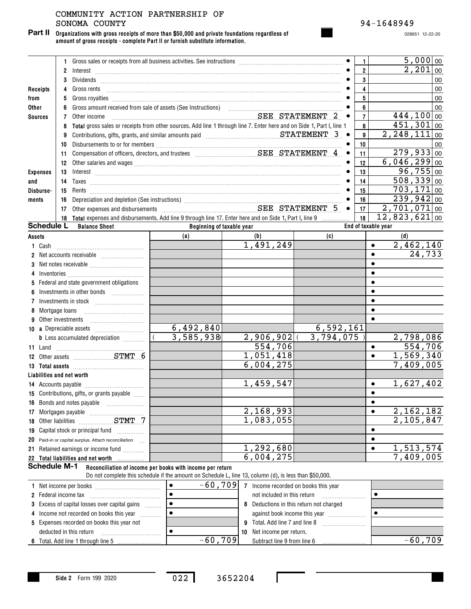#### SONOMA COUNTY 34-1648949 COMMUNITY ACTION PARTNERSHIP OF

**Organizations with gross receipts of more than \$50,000 and private foundations regardless of Part II amount of gross receipts - complete Part II or furnish substitute information.**

028951 12-22-20

|                 |                             | 1.             | Gross sales or receipts from all business activities. See instructions <i>manumeral contentions</i> or receipts from all business activities. See instructions <i>manumeral</i> and <i>also</i> see the set of the set of the set of the set |                           |                                      |                                                                        | 1                       |                        | $5,000 _{00}$              |    |
|-----------------|-----------------------------|----------------|----------------------------------------------------------------------------------------------------------------------------------------------------------------------------------------------------------------------------------------------|---------------------------|--------------------------------------|------------------------------------------------------------------------|-------------------------|------------------------|----------------------------|----|
|                 |                             | $\overline{2}$ |                                                                                                                                                                                                                                              |                           |                                      |                                                                        | $\overline{2}$          |                        | $2,201$ 00                 |    |
|                 |                             | 3              | Dividends                                                                                                                                                                                                                                    |                           |                                      |                                                                        | 3                       |                        |                            | 00 |
| Receipts        |                             | 4              | Gross rents                                                                                                                                                                                                                                  |                           |                                      |                                                                        | $\overline{\mathbf{4}}$ |                        |                            | 00 |
| from            |                             | 5              |                                                                                                                                                                                                                                              |                           |                                      |                                                                        | 5                       |                        |                            | 00 |
| Other           |                             |                |                                                                                                                                                                                                                                              |                           |                                      |                                                                        | 6                       |                        |                            | 00 |
| <b>Sources</b>  |                             | 7              | Other income                                                                                                                                                                                                                                 | <b>SEE STATEMENT 2</b>    |                                      |                                                                        | $\overline{7}$          |                        | $444,100 _{00}$            |    |
|                 |                             | 8              | Total gross sales or receipts from other sources. Add line 1 through line 7. Enter here and on Side 1, Part I, line 1                                                                                                                        |                           |                                      |                                                                        | 8                       |                        | $451,301$ 00               |    |
|                 |                             | 9              |                                                                                                                                                                                                                                              |                           |                                      |                                                                        | 9                       |                        | $2, 248, 111 $ 00          |    |
|                 |                             | 10             |                                                                                                                                                                                                                                              |                           |                                      |                                                                        | 10                      |                        |                            | 00 |
|                 |                             | 11             | Compensation of officers, directors, and trustees [11] SEE STATEMENT 4                                                                                                                                                                       |                           |                                      |                                                                        | 11                      |                        | $279,933 _{00}$            |    |
|                 |                             | 12             |                                                                                                                                                                                                                                              |                           |                                      |                                                                        | 12                      |                        | $6,046,299$ 00             |    |
| <b>Expenses</b> |                             | 13             |                                                                                                                                                                                                                                              |                           |                                      |                                                                        | 13                      |                        | $96,755$ 00                |    |
| and             |                             | 14             |                                                                                                                                                                                                                                              |                           |                                      |                                                                        | 14                      |                        | 508, 339 00                |    |
| Disburse-       |                             | 15             |                                                                                                                                                                                                                                              |                           |                                      |                                                                        | 15                      |                        | 703, 171 00                |    |
| ments           |                             | 16             |                                                                                                                                                                                                                                              |                           |                                      |                                                                        | 16                      |                        | 239,942 00                 |    |
|                 |                             | 17             |                                                                                                                                                                                                                                              |                           |                                      |                                                                        | 17                      |                        | $2,701,071$ 00             |    |
|                 |                             |                | 18 Total expenses and disbursements. Add line 9 through line 17. Enter here and on Side 1, Part I, line 9                                                                                                                                    |                           |                                      |                                                                        | 18                      |                        | $\overline{12,823,621 00}$ |    |
|                 | <b>Schedule L</b>           |                | <b>Balance Sheet</b>                                                                                                                                                                                                                         | Beginning of taxable year |                                      |                                                                        |                         | End of taxable year    |                            |    |
| <b>Assets</b>   |                             |                |                                                                                                                                                                                                                                              | (a)                       | (b)<br>1,491,249                     | (c)                                                                    |                         |                        | (d)                        |    |
| 1 Cash          |                             |                |                                                                                                                                                                                                                                              |                           |                                      |                                                                        |                         | $\bullet$<br>$\bullet$ | 2,462,140<br>24,733        |    |
|                 |                             |                | Net accounts receivable                                                                                                                                                                                                                      |                           |                                      |                                                                        |                         | $\bullet$              |                            |    |
| 3               |                             |                |                                                                                                                                                                                                                                              |                           |                                      |                                                                        |                         | $\bullet$              |                            |    |
|                 |                             |                | Federal and state government obligations                                                                                                                                                                                                     |                           |                                      |                                                                        |                         |                        |                            |    |
|                 |                             |                | Investments in other bonds                                                                                                                                                                                                                   |                           |                                      |                                                                        |                         | $\bullet$              |                            |    |
|                 |                             |                |                                                                                                                                                                                                                                              |                           |                                      |                                                                        |                         | $\bullet$              |                            |    |
|                 | Mortgage loans              |                |                                                                                                                                                                                                                                              |                           |                                      |                                                                        |                         |                        |                            |    |
|                 | Other investments           |                |                                                                                                                                                                                                                                              |                           |                                      |                                                                        |                         |                        |                            |    |
|                 |                             |                |                                                                                                                                                                                                                                              | 6,492,840                 |                                      | 6,592,161                                                              |                         |                        |                            |    |
|                 |                             |                | <b>b</b> Less accumulated depreciation <i></i>                                                                                                                                                                                               | 3,585,938                 | $2,906,902$ (                        | 3,794,075                                                              |                         |                        | 2,798,086                  |    |
| 11 Land         |                             |                |                                                                                                                                                                                                                                              |                           | 554,706                              |                                                                        |                         | $\bullet$              | 554,706                    |    |
|                 |                             |                | 12 Other assets STMT 6                                                                                                                                                                                                                       |                           | 1,051,418                            |                                                                        |                         | $\bullet$              | 1,569,340                  |    |
|                 |                             |                |                                                                                                                                                                                                                                              |                           | 6,004,275                            |                                                                        |                         |                        | 7,409,005                  |    |
|                 |                             |                | Liabilities and net worth                                                                                                                                                                                                                    |                           |                                      |                                                                        |                         |                        |                            |    |
|                 |                             |                |                                                                                                                                                                                                                                              |                           | 1,459,547                            |                                                                        |                         | $\bullet$              | 1,627,402                  |    |
|                 |                             |                | 15 Contributions, gifts, or grants payable                                                                                                                                                                                                   |                           |                                      |                                                                        |                         |                        |                            |    |
|                 |                             |                | 16 Bonds and notes payable                                                                                                                                                                                                                   |                           |                                      |                                                                        |                         | $\bullet$              |                            |    |
|                 |                             |                |                                                                                                                                                                                                                                              |                           | 2,168,993                            |                                                                        |                         | $\bullet$              | 2,162,182                  |    |
|                 |                             |                |                                                                                                                                                                                                                                              |                           | 1,083,055                            |                                                                        |                         |                        | 2,105,847                  |    |
|                 |                             |                | 19 Capital stock or principal fund                                                                                                                                                                                                           |                           |                                      |                                                                        |                         | $\bullet$              |                            |    |
|                 |                             |                | 20 Paid-in or capital surplus. Attach reconciliation                                                                                                                                                                                         |                           |                                      |                                                                        |                         | $\bullet$              |                            |    |
|                 |                             |                | 21 Retained earnings or income fund                                                                                                                                                                                                          |                           | 1,292,680                            |                                                                        |                         | $\bullet$              | 1,513,574                  |    |
|                 |                             |                | 22 Total liabilities and net worth                                                                                                                                                                                                           |                           | 6,004,275                            |                                                                        |                         |                        | 7,409,005                  |    |
|                 | <b>Schedule M-1</b>         |                | Reconciliation of income per books with income per return                                                                                                                                                                                    |                           |                                      |                                                                        |                         |                        |                            |    |
|                 |                             |                | Do not complete this schedule if the amount on Schedule L, line 13, column (d), is less than \$50,000.                                                                                                                                       |                           |                                      |                                                                        |                         |                        |                            |    |
|                 |                             |                |                                                                                                                                                                                                                                              | $\bullet$<br>$-60,709$    | 7 Income recorded on books this year |                                                                        |                         |                        |                            |    |
|                 | <b>2</b> Federal income tax |                |                                                                                                                                                                                                                                              | $\bullet$                 | not included in this return          |                                                                        |                         | $\bullet$              |                            |    |
|                 |                             |                | 3 Excess of capital losses over capital gains                                                                                                                                                                                                | $\bullet$                 | 8                                    | Deductions in this return not charged                                  |                         |                        |                            |    |
|                 |                             |                | 4 Income not recorded on books this year <i>manus</i>                                                                                                                                                                                        | $\bullet$                 |                                      | against book income this year <i>[[[[[[[[[[[[[[[[[[[[[[[[[]]]]]</i> ]] |                         | $\bullet$              |                            |    |

**4** Income not recorded on books this year  $\ldots$ **5**Expenses recorded on books this year not **6** Total. Add line 1 through line 5 deducted in this return ~~~~~~~~~~~

**Side 2** Form 199 2020

 $\bullet$ 

022 3652204

**9**Total. Add line 7 and line 8 **10** Net income per return.

Subtract line 9 from line 6 -60,709 -60,709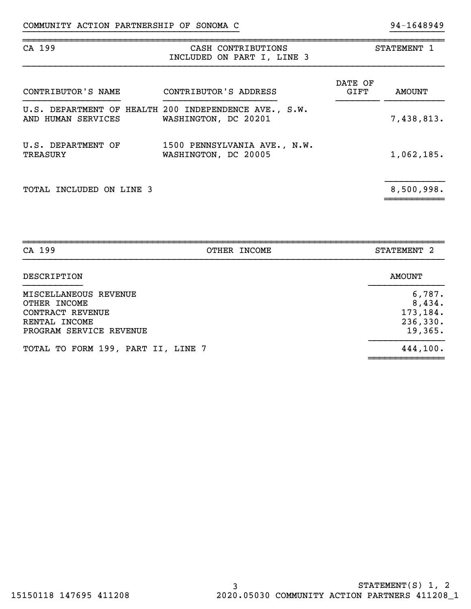| CA 199                         | CASH CONTRIBUTIONS<br>INCLUDED ON PART I, LINE 3                              |                        | STATEMENT 1 |
|--------------------------------|-------------------------------------------------------------------------------|------------------------|-------------|
| CONTRIBUTOR'S NAME             | CONTRIBUTOR'S ADDRESS                                                         | DATE OF<br><b>GIFT</b> | AMOUNT      |
| AND HUMAN SERVICES             | U.S. DEPARTMENT OF HEALTH 200 INDEPENDENCE AVE., S.W.<br>WASHINGTON, DC 20201 |                        | 7,438,813.  |
| U.S. DEPARTMENT OF<br>TREASURY | 1500 PENNSYLVANIA AVE., N.W.<br>WASHINGTON, DC 20005                          |                        | 1,062,185.  |
| TOTAL INCLUDED ON LINE 3       |                                                                               |                        | 8,500,998.  |

}}}}}}}}}}}}}}}}}}}}}}}}}}}}}}}}}}}}}}}} }}}}}}}}}}

| CA 199                                                                                                | OTHER INCOME | STATEMENT 2                                         |
|-------------------------------------------------------------------------------------------------------|--------------|-----------------------------------------------------|
| DESCRIPTION                                                                                           |              | AMOUNT                                              |
| MISCELLANEOUS REVENUE<br>OTHER INCOME<br>CONTRACT REVENUE<br>RENTAL INCOME<br>PROGRAM SERVICE REVENUE |              | 6,787.<br>8,434.<br>173,184.<br>236,330.<br>19,365. |
| TOTAL TO FORM 199, PART II, LINE 7                                                                    |              | 444,100.                                            |

~~~~~~~~~~~~~~~~~~~~~~~~~~~~~~~~~~~~~~~~~~~~~~~~~~~~~~~~~~~~~~~~~~~~~~~~~~~~~~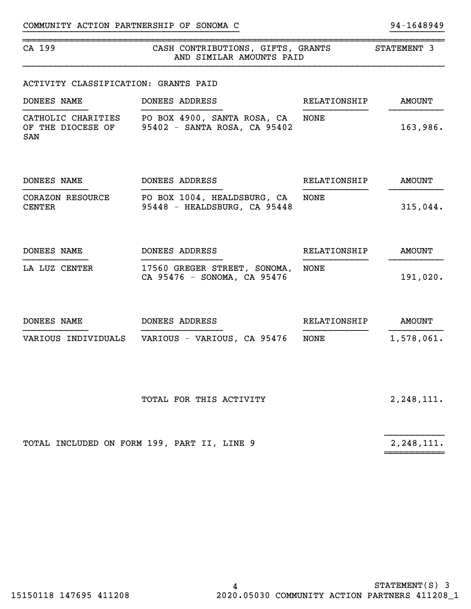| CA 199                                         | CASH CONTRIBUTIONS, GIFTS, GRANTS<br>AND SIMILAR AMOUNTS PAID |              | STATEMENT 3   |
|------------------------------------------------|---------------------------------------------------------------|--------------|---------------|
| ACTIVITY CLASSIFICATION: GRANTS PAID           |                                                               |              |               |
| DONEES NAME                                    | DONEES ADDRESS                                                | RELATIONSHIP | <b>AMOUNT</b> |
| CATHOLIC CHARITIES<br>OF THE DIOCESE OF<br>SAN | PO BOX 4900, SANTA ROSA, CA<br>95402 - SANTA ROSA, CA 95402   | NONE         | 163,986.      |
| DONEES NAME                                    | DONEES ADDRESS                                                | RELATIONSHIP | <b>AMOUNT</b> |
| <b>CORAZON RESOURCE</b><br><b>CENTER</b>       | PO BOX 1004, HEALDSBURG, CA<br>95448 - HEALDSBURG, CA 95448   | NONE         | 315,044.      |
| DONEES NAME                                    | DONEES ADDRESS                                                | RELATIONSHIP | <b>AMOUNT</b> |
| LA LUZ CENTER                                  | 17560 GREGER STREET, SONOMA,<br>CA 95476 - SONOMA, CA 95476   | NONE         | 191,020.      |
| DONEES NAME                                    | DONEES ADDRESS                                                | RELATIONSHIP | <b>AMOUNT</b> |
| VARIOUS INDIVIDUALS                            | VARIOUS - VARIOUS, CA 95476                                   | NONE         | 1,578,061.    |
|                                                | TOTAL FOR THIS ACTIVITY                                       |              | 2,248,111.    |
|                                                | TOTAL INCLUDED ON FORM 199, PART II, LINE 9                   |              | 2, 248, 111.  |

~~~~~~~~~~~

}}}}}}}}}}}}}}}}}}}}}}}}}}}}}}}}}}}}}}}} }}}}}}}}}}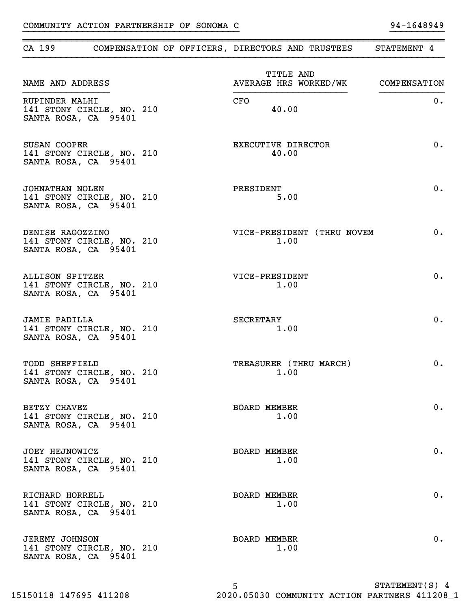| CA 199                                                                     | COMPENSATION OF OFFICERS, DIRECTORS AND TRUSTEES | STATEMENT 4  |
|----------------------------------------------------------------------------|--------------------------------------------------|--------------|
| NAME AND ADDRESS                                                           | TITLE AND<br>AVERAGE HRS WORKED/WK               | COMPENSATION |
| RUPINDER MALHI<br>141 STONY CIRCLE, NO. 210<br>SANTA ROSA, CA 95401        | <b>CFO</b><br>40.00                              | 0.           |
| SUSAN COOPER<br>141 STONY CIRCLE, NO. 210<br>SANTA ROSA, CA 95401          | EXECUTIVE DIRECTOR<br>40.00                      | 0.           |
| JOHNATHAN NOLEN<br>141 STONY CIRCLE, NO. 210<br>SANTA ROSA, CA 95401       | PRESIDENT<br>5.00                                | 0.           |
| DENISE RAGOZZINO<br>141 STONY CIRCLE, NO. 210<br>SANTA ROSA, CA 95401      | VICE-PRESIDENT (THRU NOVEM<br>1.00               | 0.           |
| ALLISON SPITZER<br>141 STONY CIRCLE, NO. 210<br>SANTA ROSA, CA 95401       | VICE-PRESIDENT<br>1.00                           | 0.           |
| <b>JAMIE PADILLA</b><br>141 STONY CIRCLE, NO. 210<br>SANTA ROSA, CA 95401  | SECRETARY<br>1.00                                | 0.           |
| TODD SHEFFIELD<br>141 STONY CIRCLE, NO. 210<br>SANTA ROSA, CA 95401        | TREASURER (THRU MARCH)<br>1.00                   | 0.           |
| BETZY CHAVEZ<br>141 STONY CIRCLE, NO. 210<br>SANTA ROSA, CA 95401          | <b>BOARD MEMBER</b><br>1.00                      | 0.           |
| JOEY HEJNOWICZ<br>141 STONY CIRCLE, NO. 210<br>SANTA ROSA, CA 95401        | <b>BOARD MEMBER</b><br>1.00                      | 0.           |
| RICHARD HORRELL<br>141 STONY CIRCLE, NO. 210<br>SANTA ROSA, CA 95401       | <b>BOARD MEMBER</b><br>1.00                      | 0.           |
| <b>JEREMY JOHNSON</b><br>141 STONY CIRCLE, NO. 210<br>SANTA ROSA, CA 95401 | <b>BOARD MEMBER</b><br>1.00                      | 0.           |

}}}}}}}}}}}}}}}}}}}}}}}}}}}}}}}}}}}}}}}} }}}}}}}}}}

~~~~~~~~~~~~~~~~~~~~~~~~~~~~~~~~~~~~~~~~~~~~~~~~~~~~~~~~~~~~~~~~~~~~~~~~~~~~~~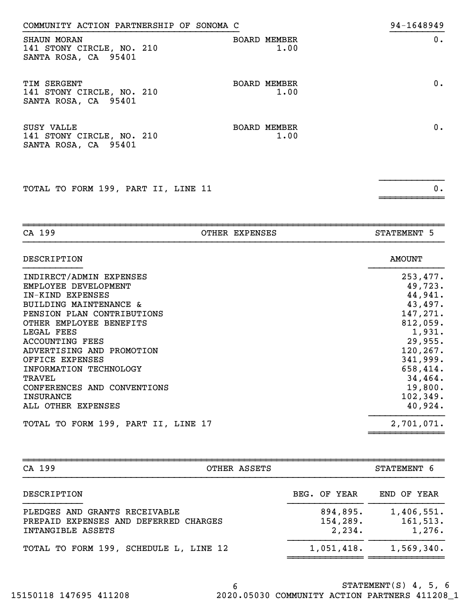| COMMUNITY ACTION PARTNERSHIP OF SONOMA C                         |                             | 94-1648949 |
|------------------------------------------------------------------|-----------------------------|------------|
| SHAUN MORAN<br>141 STONY CIRCLE, NO. 210<br>SANTA ROSA, CA 95401 | <b>BOARD MEMBER</b><br>1.00 | $0$ .      |
| TIM SERGENT<br>141 STONY CIRCLE, NO. 210<br>SANTA ROSA, CA 95401 | <b>BOARD MEMBER</b><br>1.00 | 0.         |
| SUSY VALLE<br>141 STONY CIRCLE, NO. 210<br>SANTA ROSA, CA 95401  | <b>BOARD MEMBER</b><br>1.00 | 0.         |

}}}}}}}}}}}}

~~~~~~~~~~~~

TOTAL TO FORM 199, PART II, LINE 11 0.

| CA 199                              | OTHER EXPENSES | STATEMENT 5   |
|-------------------------------------|----------------|---------------|
| DESCRIPTION                         |                | <b>AMOUNT</b> |
| INDIRECT/ADMIN EXPENSES             |                | 253,477.      |
| EMPLOYEE DEVELOPMENT                |                | 49,723.       |
| IN-KIND EXPENSES                    |                | 44,941.       |
| BUILDING MAINTENANCE &              |                | 43,497.       |
| PENSION PLAN CONTRIBUTIONS          |                | 147,271.      |
| OTHER EMPLOYEE BENEFITS             |                | 812,059.      |
| LEGAL FEES                          |                | 1,931.        |
| ACCOUNTING FEES                     |                | 29,955.       |
| ADVERTISING AND PROMOTION           |                | 120, 267.     |
| OFFICE EXPENSES                     |                | 341,999.      |
| INFORMATION TECHNOLOGY              |                | 658,414.      |
| TRAVEL                              |                | 34,464.       |
| CONFERENCES AND CONVENTIONS         |                | 19,800.       |
| <b>INSURANCE</b>                    |                | 102, 349.     |
| ALL OTHER EXPENSES                  |                | 40,924.       |
| TOTAL TO FORM 199, PART II, LINE 17 |                | 2,701,071.    |

| CA 199<br>OTHER ASSETS                                                                      |                                  | STATEMENT 6                      |  |  |
|---------------------------------------------------------------------------------------------|----------------------------------|----------------------------------|--|--|
| DESCRIPTION                                                                                 | BEG. OF YEAR                     | END OF YEAR                      |  |  |
| PLEDGES AND GRANTS RECEIVABLE<br>PREPAID EXPENSES AND DEFERRED CHARGES<br>INTANGIBLE ASSETS | 894,895.<br>154, 289.<br>2, 234. | 1,406,551.<br>161,513.<br>1,276. |  |  |
| TOTAL TO FORM 199, SCHEDULE L, LINE 12                                                      | 1,051,418.                       | 1,569,340.                       |  |  |

~~~~~~~~~~~~~~ ~~~~~~~~~~~~~~

~~~~~~~~~~~~~~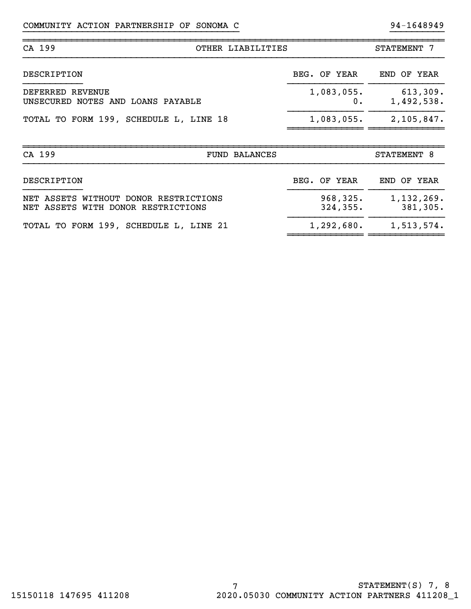| CA 199                                                |  | OTHER LIABILITIES    |            |                  | STATEMENT 7            |  |
|-------------------------------------------------------|--|----------------------|------------|------------------|------------------------|--|
| DESCRIPTION                                           |  |                      |            | BEG. OF YEAR     | END OF YEAR            |  |
| DEFERRED REVENUE<br>UNSECURED NOTES AND LOANS PAYABLE |  |                      |            | 1,083,055.<br>0. | 613,309.<br>1,492,538. |  |
| TOTAL TO FORM 199, SCHEDULE L, LINE 18                |  |                      | 1,083,055. |                  | 2,105,847.             |  |
| CA 199                                                |  | <b>FUND BALANCES</b> |            |                  | STATEMENT 8            |  |

}}}}}}}}}}}}}}}}}}}}}}}}}}}}}}}}}}}}}}}} }}}}}}}}}}

| DESCRIPTION                                                                 | BEG. OF YEAR          | END OF YEAR            |  |  |
|-----------------------------------------------------------------------------|-----------------------|------------------------|--|--|
| NET ASSETS WITHOUT DONOR RESTRICTIONS<br>NET ASSETS WITH DONOR RESTRICTIONS | 968,325.<br>324, 355. | 1,132,269.<br>381,305. |  |  |
| TOTAL TO FORM 199, SCHEDULE L, LINE 21                                      | 1,292,680.            | 1,513,574.             |  |  |

~~~~~~~~~~~~~~ ~~~~~~~~~~~~~~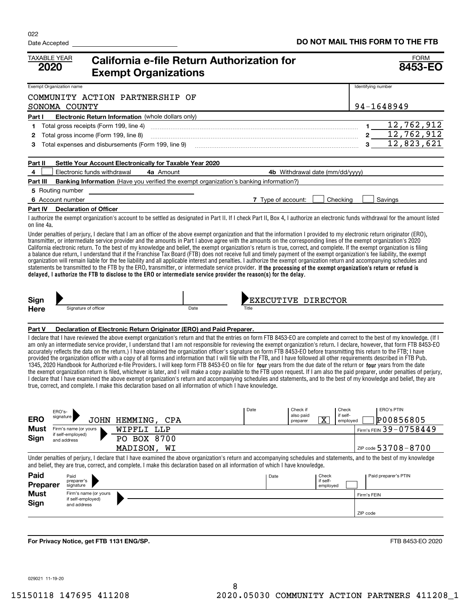| <b>TAXABLE YEAR</b><br>2020                | California e-file Return Authorization for<br><b>Exempt Organizations</b>                                                                                                                                                                                                                                                                                                                                                                                                                                                                                                                                                                                                                                                                                                                                                                                                                                                                                                                                                                                                                                                                                                                                                                                                                                                                                                                                                                     |                               |                    | <b>FORM</b>                                              |
|--------------------------------------------|-----------------------------------------------------------------------------------------------------------------------------------------------------------------------------------------------------------------------------------------------------------------------------------------------------------------------------------------------------------------------------------------------------------------------------------------------------------------------------------------------------------------------------------------------------------------------------------------------------------------------------------------------------------------------------------------------------------------------------------------------------------------------------------------------------------------------------------------------------------------------------------------------------------------------------------------------------------------------------------------------------------------------------------------------------------------------------------------------------------------------------------------------------------------------------------------------------------------------------------------------------------------------------------------------------------------------------------------------------------------------------------------------------------------------------------------------|-------------------------------|--------------------|----------------------------------------------------------|
| Exempt Organization name                   |                                                                                                                                                                                                                                                                                                                                                                                                                                                                                                                                                                                                                                                                                                                                                                                                                                                                                                                                                                                                                                                                                                                                                                                                                                                                                                                                                                                                                                               |                               | Identifying number |                                                          |
|                                            | COMMUNITY ACTION PARTNERSHIP OF                                                                                                                                                                                                                                                                                                                                                                                                                                                                                                                                                                                                                                                                                                                                                                                                                                                                                                                                                                                                                                                                                                                                                                                                                                                                                                                                                                                                               |                               |                    |                                                          |
|                                            | SONOMA COUNTY                                                                                                                                                                                                                                                                                                                                                                                                                                                                                                                                                                                                                                                                                                                                                                                                                                                                                                                                                                                                                                                                                                                                                                                                                                                                                                                                                                                                                                 |                               |                    | 94-1648949                                               |
| Part I                                     | Electronic Return Information (whole dollars only)                                                                                                                                                                                                                                                                                                                                                                                                                                                                                                                                                                                                                                                                                                                                                                                                                                                                                                                                                                                                                                                                                                                                                                                                                                                                                                                                                                                            |                               |                    |                                                          |
| 1                                          | Total gross receipts (Form 199, line 4)                                                                                                                                                                                                                                                                                                                                                                                                                                                                                                                                                                                                                                                                                                                                                                                                                                                                                                                                                                                                                                                                                                                                                                                                                                                                                                                                                                                                       |                               | $1 \equiv$         | 12,762,912                                               |
| 2                                          | Total gross income (Form 199, line 8)                                                                                                                                                                                                                                                                                                                                                                                                                                                                                                                                                                                                                                                                                                                                                                                                                                                                                                                                                                                                                                                                                                                                                                                                                                                                                                                                                                                                         |                               |                    | $2\overline{12,762,912}$                                 |
| 3                                          | Total expenses and disbursements (Form 199, line 9)                                                                                                                                                                                                                                                                                                                                                                                                                                                                                                                                                                                                                                                                                                                                                                                                                                                                                                                                                                                                                                                                                                                                                                                                                                                                                                                                                                                           |                               |                    | 12,823,621                                               |
|                                            |                                                                                                                                                                                                                                                                                                                                                                                                                                                                                                                                                                                                                                                                                                                                                                                                                                                                                                                                                                                                                                                                                                                                                                                                                                                                                                                                                                                                                                               |                               |                    |                                                          |
| Part II                                    | Settle Your Account Electronically for Taxable Year 2020                                                                                                                                                                                                                                                                                                                                                                                                                                                                                                                                                                                                                                                                                                                                                                                                                                                                                                                                                                                                                                                                                                                                                                                                                                                                                                                                                                                      |                               |                    |                                                          |
| 4                                          | Electronic funds withdrawal<br>4a Amount<br>4b Withdrawal date (mm/dd/yyyy)                                                                                                                                                                                                                                                                                                                                                                                                                                                                                                                                                                                                                                                                                                                                                                                                                                                                                                                                                                                                                                                                                                                                                                                                                                                                                                                                                                   |                               |                    |                                                          |
| Part III                                   | <b>Banking Information</b> (Have you verified the exempt organization's banking information?)                                                                                                                                                                                                                                                                                                                                                                                                                                                                                                                                                                                                                                                                                                                                                                                                                                                                                                                                                                                                                                                                                                                                                                                                                                                                                                                                                 |                               |                    |                                                          |
| 5 Routing number                           |                                                                                                                                                                                                                                                                                                                                                                                                                                                                                                                                                                                                                                                                                                                                                                                                                                                                                                                                                                                                                                                                                                                                                                                                                                                                                                                                                                                                                                               |                               |                    |                                                          |
| 6 Account number                           | 7 Type of account:                                                                                                                                                                                                                                                                                                                                                                                                                                                                                                                                                                                                                                                                                                                                                                                                                                                                                                                                                                                                                                                                                                                                                                                                                                                                                                                                                                                                                            | Checking                      |                    | Savings                                                  |
|                                            | Part IV Declaration of Officer                                                                                                                                                                                                                                                                                                                                                                                                                                                                                                                                                                                                                                                                                                                                                                                                                                                                                                                                                                                                                                                                                                                                                                                                                                                                                                                                                                                                                |                               |                    |                                                          |
| on line 4a.                                | I authorize the exempt organization's account to be settled as designated in Part II. If I check Part II, Box 4, I authorize an electronic funds withdrawal for the amount listed                                                                                                                                                                                                                                                                                                                                                                                                                                                                                                                                                                                                                                                                                                                                                                                                                                                                                                                                                                                                                                                                                                                                                                                                                                                             |                               |                    |                                                          |
| Sign                                       | California electronic return. To the best of my knowledge and belief, the exempt organization's return is true, correct, and complete. If the exempt organization is filing<br>a balance due return, I understand that if the Franchise Tax Board (FTB) does not receive full and timely payment of the exempt organization's fee liability, the exempt<br>organization will remain liable for the fee liability and all applicable interest and penalties. I authorize the exempt organization return and accompanying schedules and<br>statements be transmitted to the FTB by the ERO, transmitter, or intermediate service provider. If the processing of the exempt organization's return or refund is<br>delayed, I authorize the FTB to disclose to the ERO or intermediate service provider the reason(s) for the delay.<br>EXECUTIVE DIRECTOR'                                                                                                                                                                                                                                                                                                                                                                                                                                                                                                                                                                                       |                               |                    |                                                          |
| Here                                       | Signature of officer<br>Date<br>Title                                                                                                                                                                                                                                                                                                                                                                                                                                                                                                                                                                                                                                                                                                                                                                                                                                                                                                                                                                                                                                                                                                                                                                                                                                                                                                                                                                                                         |                               |                    |                                                          |
|                                            |                                                                                                                                                                                                                                                                                                                                                                                                                                                                                                                                                                                                                                                                                                                                                                                                                                                                                                                                                                                                                                                                                                                                                                                                                                                                                                                                                                                                                                               |                               |                    |                                                          |
| Part V                                     | Declaration of Electronic Return Originator (ERO) and Paid Preparer.<br>I declare that I have reviewed the above exempt organization's return and that the entries on form FTB 8453-EO are complete and correct to the best of my knowledge. (If I<br>am only an intermediate service provider, I understand that I am not responsible for reviewing the exempt organization's return. I declare, however, that form FTB 8453-EO<br>accurately reflects the data on the return.) I have obtained the organization officer's signature on form FTB 8453-EO before transmitting this return to the FTB; I have<br>provided the organization officer with a copy of all forms and information that I will file with the FTB, and I have followed all other requirements described in FTB Pub.<br>1345, 2020 Handbook for Authorized e-file Providers. I will keep form FTB 8453-EO on file for four years from the due date of the return or four years from the date<br>the exempt organization return is filed, whichever is later, and I will make a copy available to the FTB upon request. If I am also the paid preparer, under penalties of perjury,<br>I declare that I have examined the above exempt organization's return and accompanying schedules and statements, and to the best of my knowledge and belief, they are<br>true, correct, and complete. I make this declaration based on all information of which I have knowledge. |                               |                    |                                                          |
| ERO's-<br>signature<br>ERO<br>Must<br>Sign | Date<br>Check if<br>also paid<br>$\overline{\textnormal{x}}$<br>JOHN HEMMING, CPA<br>preparer<br>Firm's name (or yours<br>WIPFLI LLP<br>if self-employed)<br>PO BOX 8700<br>and address                                                                                                                                                                                                                                                                                                                                                                                                                                                                                                                                                                                                                                                                                                                                                                                                                                                                                                                                                                                                                                                                                                                                                                                                                                                       | Check<br>if self-<br>employed |                    | <b>ERO's PTIN</b><br>P00856805<br>Firm's FEIN 39-0758449 |
|                                            | MADISON, WI                                                                                                                                                                                                                                                                                                                                                                                                                                                                                                                                                                                                                                                                                                                                                                                                                                                                                                                                                                                                                                                                                                                                                                                                                                                                                                                                                                                                                                   |                               |                    | ZIP code 53708-8700                                      |
|                                            | Under penalties of perjury, I declare that I have examined the above organization's return and accompanying schedules and statements, and to the best of my knowledge<br>and belief, they are true, correct, and complete. I make this declaration based on all information of which I have knowledge.                                                                                                                                                                                                                                                                                                                                                                                                                                                                                                                                                                                                                                                                                                                                                                                                                                                                                                                                                                                                                                                                                                                                        |                               |                    |                                                          |
|                                            |                                                                                                                                                                                                                                                                                                                                                                                                                                                                                                                                                                                                                                                                                                                                                                                                                                                                                                                                                                                                                                                                                                                                                                                                                                                                                                                                                                                                                                               |                               |                    |                                                          |
| Paid<br>Preparer                           | Date<br>Paid<br>Check<br>if self-<br>preparer's<br>signature<br>employed                                                                                                                                                                                                                                                                                                                                                                                                                                                                                                                                                                                                                                                                                                                                                                                                                                                                                                                                                                                                                                                                                                                                                                                                                                                                                                                                                                      |                               |                    | Paid preparer's PTIN                                     |
| <b>Must</b>                                | Firm's name (or yours                                                                                                                                                                                                                                                                                                                                                                                                                                                                                                                                                                                                                                                                                                                                                                                                                                                                                                                                                                                                                                                                                                                                                                                                                                                                                                                                                                                                                         |                               | Firm's FEIN        |                                                          |
| Sign                                       | if self-employed)<br>and address                                                                                                                                                                                                                                                                                                                                                                                                                                                                                                                                                                                                                                                                                                                                                                                                                                                                                                                                                                                                                                                                                                                                                                                                                                                                                                                                                                                                              |                               |                    |                                                          |
|                                            |                                                                                                                                                                                                                                                                                                                                                                                                                                                                                                                                                                                                                                                                                                                                                                                                                                                                                                                                                                                                                                                                                                                                                                                                                                                                                                                                                                                                                                               |                               | ZIP code           |                                                          |

**For Privacy Notice, get FTB 1131 ENG/SP.**

FTB 8453-EO 2020

029021 11-19-20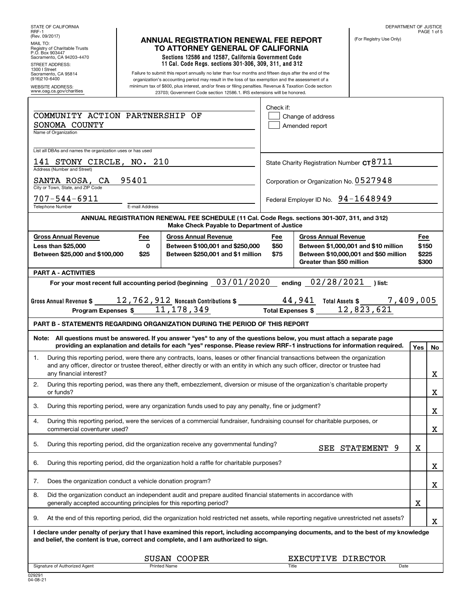| STATE OF CALIFORNIA<br>RRF-1                                                   |                |                                                                                                                                                                                                                                                                      |              |                                           | DEPARTMENT OF JUSTICE                                                         |                | PAGE 1 of 5 |
|--------------------------------------------------------------------------------|----------------|----------------------------------------------------------------------------------------------------------------------------------------------------------------------------------------------------------------------------------------------------------------------|--------------|-------------------------------------------|-------------------------------------------------------------------------------|----------------|-------------|
| (Rev. 09/2017)<br>MAIL TO:<br>Registry of Charitable Trusts<br>P.O. Box 903447 |                | ANNUAL REGISTRATION RENEWAL FEE REPORT<br>TO ATTORNEY GENERAL OF CALIFORNIA                                                                                                                                                                                          |              |                                           | (For Registry Use Only)                                                       |                |             |
| Sacramento, CA 94203-4470<br>STREET ADDRESS:                                   |                | Sections 12586 and 12587, California Government Code<br>11 Cal. Code Regs. sections 301-306, 309, 311, and 312                                                                                                                                                       |              |                                           |                                                                               |                |             |
| 1300   Street<br>Sacramento, CA 95814                                          |                | Failure to submit this report annually no later than four months and fifteen days after the end of the                                                                                                                                                               |              |                                           |                                                                               |                |             |
| (916)210-6400<br><b>WEBSITE ADDRESS:</b>                                       |                | organization's accounting period may result in the loss of tax exemption and the assessment of a<br>minimum tax of \$800, plus interest, and/or fines or filing penalties. Revenue & Taxation Code section                                                           |              |                                           |                                                                               |                |             |
| www.oag.ca.gov/charities                                                       |                | 23703; Government Code section 12586.1. IRS extensions will be honored.                                                                                                                                                                                              |              |                                           |                                                                               |                |             |
| COMMUNITY ACTION PARTNERSHIP OF<br>SONOMA COUNTY                               |                |                                                                                                                                                                                                                                                                      | Check if:    | Change of address<br>Amended report       |                                                                               |                |             |
| Name of Organization                                                           |                |                                                                                                                                                                                                                                                                      |              |                                           |                                                                               |                |             |
| List all DBAs and names the organization uses or has used                      |                |                                                                                                                                                                                                                                                                      |              |                                           |                                                                               |                |             |
| 141 STONY CIRCLE, NO. 210<br>Address (Number and Street)                       |                |                                                                                                                                                                                                                                                                      |              | State Charity Registration Number CT 8711 |                                                                               |                |             |
| SANTA ROSA, CA 95401<br>City or Town, State, and ZIP Code                      |                |                                                                                                                                                                                                                                                                      |              | Corporation or Organization No. 0527948   |                                                                               |                |             |
| $707 - 544 - 6911$                                                             |                |                                                                                                                                                                                                                                                                      |              | Federal Employer ID No. 94-1648949        |                                                                               |                |             |
| <b>Telephone Number</b>                                                        | E-mail Address |                                                                                                                                                                                                                                                                      |              |                                           |                                                                               |                |             |
|                                                                                |                | ANNUAL REGISTRATION RENEWAL FEE SCHEDULE (11 Cal. Code Regs. sections 301-307, 311, and 312)<br>Make Check Payable to Department of Justice                                                                                                                          |              |                                           |                                                                               |                |             |
| <b>Gross Annual Revenue</b>                                                    | Fee            | <b>Gross Annual Revenue</b>                                                                                                                                                                                                                                          | Fee          | <b>Gross Annual Revenue</b>               |                                                                               | Fee            |             |
| Less than \$25,000<br>Between \$25,000 and \$100,000                           | 0<br>\$25      | Between \$100,001 and \$250,000<br>Between \$250,001 and \$1 million                                                                                                                                                                                                 | \$50<br>\$75 |                                           | Between \$1,000,001 and \$10 million<br>Between \$10,000,001 and \$50 million | \$150<br>\$225 |             |
|                                                                                |                |                                                                                                                                                                                                                                                                      |              | Greater than \$50 million                 |                                                                               | \$300          |             |
| <b>PART A - ACTIVITIES</b>                                                     |                |                                                                                                                                                                                                                                                                      |              |                                           |                                                                               |                |             |
|                                                                                |                | For your most recent full accounting period (beginning 03/01/2020                                                                                                                                                                                                    |              | ending $02/28/2021$                       | ) list:                                                                       |                |             |
|                                                                                |                |                                                                                                                                                                                                                                                                      |              |                                           |                                                                               |                |             |
|                                                                                |                |                                                                                                                                                                                                                                                                      |              |                                           |                                                                               |                |             |
|                                                                                |                |                                                                                                                                                                                                                                                                      |              |                                           |                                                                               |                |             |
|                                                                                |                | <b>PART B - STATEMENTS REGARDING ORGANIZATION DURING THE PERIOD OF THIS REPORT</b>                                                                                                                                                                                   |              |                                           |                                                                               |                |             |
|                                                                                |                | Note: All questions must be answered. If you answer "yes" to any of the questions below, you must attach a separate page<br>providing an explanation and details for each "yes" response. Please review RRF-1 instructions for information required.                 |              |                                           |                                                                               |                |             |
| 1.                                                                             |                | During this reporting period, were there any contracts, loans, leases or other financial transactions between the organization<br>and any officer, director or trustee thereof, either directly or with an entity in which any such officer, director or trustee had |              |                                           |                                                                               | <b>Yes</b>     | No.         |
| any financial interest?<br>2.                                                  |                | During this reporting period, was there any theft, embezzlement, diversion or misuse of the organization's charitable property                                                                                                                                       |              |                                           |                                                                               |                | X           |
| or funds?                                                                      |                |                                                                                                                                                                                                                                                                      |              |                                           |                                                                               |                | X           |
| 3.                                                                             |                | During this reporting period, were any organization funds used to pay any penalty, fine or judgment?                                                                                                                                                                 |              |                                           |                                                                               |                | X           |
| 4.<br>commercial coventurer used?                                              |                | During this reporting period, were the services of a commercial fundraiser, fundraising counsel for charitable purposes, or                                                                                                                                          |              |                                           |                                                                               |                | X           |
| 5.                                                                             |                | During this reporting period, did the organization receive any governmental funding?                                                                                                                                                                                 |              |                                           | SEE STATEMENT 9                                                               | X              |             |
| 6.                                                                             |                | During this reporting period, did the organization hold a raffle for charitable purposes?                                                                                                                                                                            |              |                                           |                                                                               |                | X           |
| Does the organization conduct a vehicle donation program?<br>7.                |                |                                                                                                                                                                                                                                                                      |              |                                           |                                                                               |                | X           |
| 8.<br>generally accepted accounting principles for this reporting period?      |                | Did the organization conduct an independent audit and prepare audited financial statements in accordance with                                                                                                                                                        |              |                                           |                                                                               | X              |             |
| 9.                                                                             |                | At the end of this reporting period, did the organization hold restricted net assets, while reporting negative unrestricted net assets?                                                                                                                              |              |                                           |                                                                               |                | X           |
|                                                                                |                | I declare under penalty of perjury that I have examined this report, including accompanying documents, and to the best of my knowledge<br>and belief, the content is true, correct and complete, and I am authorized to sign.                                        |              |                                           |                                                                               |                |             |
|                                                                                |                | SUSAN COOPER                                                                                                                                                                                                                                                         |              | EXECUTIVE DIRECTOR                        |                                                                               |                |             |